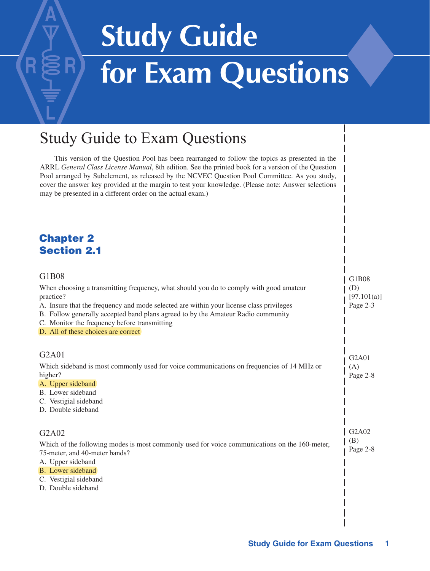# **Study Guide** for Exam Questions

# Study Guide to Exam Questions

This version of the Question Pool has been rearranged to follow the topics as presented in the ARRL *General Class License Manual*, 8th edition. See the printed book for a version of the Question Pool arranged by Subelement, as released by the NCVEC Question Pool Committee. As you study, cover the answer key provided at the margin to test your knowledge. (Please note: Answer selections may be presented in a different order on the actual exam.)

#### Chapter 2 Section 2.1

 $\overline{a}$ 

| G1B08                                                                                               | G1B08                          |
|-----------------------------------------------------------------------------------------------------|--------------------------------|
| When choosing a transmitting frequency, what should you do to comply with good amateur<br>practice? | (D)<br>[97.101(a)]             |
| A. Insure that the frequency and mode selected are within your license class privileges             | Page 2-3                       |
| B. Follow generally accepted band plans agreed to by the Amateur Radio community                    |                                |
| C. Monitor the frequency before transmitting                                                        |                                |
| D. All of these choices are correct                                                                 |                                |
| G <sub>2</sub> A <sub>01</sub>                                                                      | G <sub>2</sub> A <sub>01</sub> |
| Which sideband is most commonly used for voice communications on frequencies of 14 MHz or           | (A)                            |
| higher?                                                                                             | Page 2-8                       |
| A. Upper sideband                                                                                   |                                |
| B. Lower sideband                                                                                   |                                |
| C. Vestigial sideband                                                                               |                                |
| D. Double sideband                                                                                  |                                |
| G <sub>2</sub> A <sub>02</sub>                                                                      | G <sub>2</sub> A <sub>02</sub> |
| Which of the following modes is most commonly used for voice communications on the 160-meter,       | (B)                            |
| 75-meter, and 40-meter bands?                                                                       | Page 2-8                       |
| A. Upper sideband                                                                                   |                                |
| B. Lower sideband                                                                                   |                                |
| C. Vestigial sideband                                                                               |                                |
| D. Double sideband                                                                                  |                                |
|                                                                                                     |                                |
|                                                                                                     |                                |
|                                                                                                     |                                |
|                                                                                                     |                                |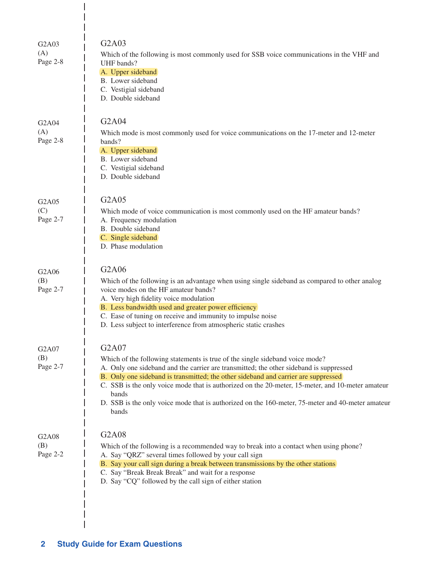| G <sub>2</sub> A <sub>03</sub><br>(A)<br>Page 2-8 | G2A03<br>Which of the following is most commonly used for SSB voice communications in the VHF and<br>UHF bands?<br>A. Upper sideband<br>B. Lower sideband<br>C. Vestigial sideband<br>D. Double sideband                                                                                                                                                                                                                                                                                        |
|---------------------------------------------------|-------------------------------------------------------------------------------------------------------------------------------------------------------------------------------------------------------------------------------------------------------------------------------------------------------------------------------------------------------------------------------------------------------------------------------------------------------------------------------------------------|
| G <sub>2</sub> A <sub>04</sub><br>(A)<br>Page 2-8 | G <sub>2</sub> A <sub>04</sub><br>Which mode is most commonly used for voice communications on the 17-meter and 12-meter<br>bands?<br>A. Upper sideband<br>B. Lower sideband<br>C. Vestigial sideband<br>D. Double sideband                                                                                                                                                                                                                                                                     |
| G <sub>2</sub> A <sub>05</sub><br>(C)<br>Page 2-7 | G <sub>2</sub> A <sub>05</sub><br>Which mode of voice communication is most commonly used on the HF amateur bands?<br>A. Frequency modulation<br>B. Double sideband<br>C. Single sideband<br>D. Phase modulation                                                                                                                                                                                                                                                                                |
| G <sub>2</sub> A <sub>06</sub><br>(B)<br>Page 2-7 | G2A06<br>Which of the following is an advantage when using single sideband as compared to other analog<br>voice modes on the HF amateur bands?<br>A. Very high fidelity voice modulation<br>B. Less bandwidth used and greater power efficiency<br>C. Ease of tuning on receive and immunity to impulse noise<br>D. Less subject to interference from atmospheric static crashes                                                                                                                |
| G2A07<br>(B)<br>Page 2-7                          | G2A07<br>Which of the following statements is true of the single sideband voice mode?<br>A. Only one sideband and the carrier are transmitted; the other sideband is suppressed<br>B. Only one sideband is transmitted; the other sideband and carrier are suppressed<br>C. SSB is the only voice mode that is authorized on the 20-meter, 15-meter, and 10-meter amateur<br>bands<br>D. SSB is the only voice mode that is authorized on the 160-meter, 75-meter and 40-meter amateur<br>bands |
| G2A08<br>(B)<br>Page 2-2                          | G2A08<br>Which of the following is a recommended way to break into a contact when using phone?<br>A. Say "QRZ" several times followed by your call sign<br>B. Say your call sign during a break between transmissions by the other stations<br>C. Say "Break Break Break" and wait for a response<br>D. Say "CQ" followed by the call sign of either station                                                                                                                                    |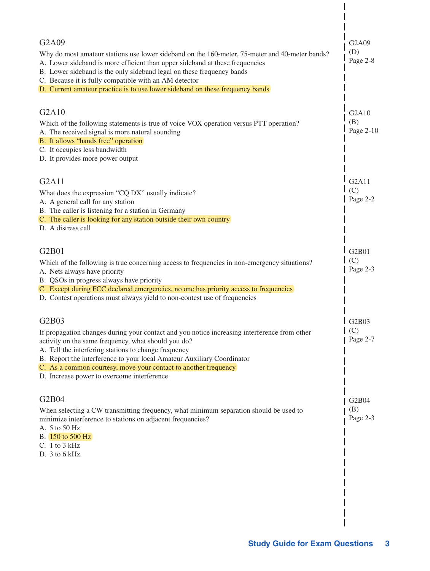| G <sub>2</sub> A <sub>09</sub>                                                                                                            | G2A09            |
|-------------------------------------------------------------------------------------------------------------------------------------------|------------------|
| Why do most amateur stations use lower sideband on the 160-meter, 75-meter and 40-meter bands?                                            | (D)              |
| A. Lower sideband is more efficient than upper sideband at these frequencies                                                              | Page 2-8         |
| B. Lower sideband is the only sideband legal on these frequency bands<br>C. Because it is fully compatible with an AM detector            |                  |
| D. Current amateur practice is to use lower sideband on these frequency bands                                                             |                  |
|                                                                                                                                           |                  |
| G2A10                                                                                                                                     | G2A10            |
| Which of the following statements is true of voice VOX operation versus PTT operation?                                                    | (B)              |
| A. The received signal is more natural sounding                                                                                           | Page 2-10        |
| B. It allows "hands free" operation                                                                                                       |                  |
| C. It occupies less bandwidth                                                                                                             |                  |
| D. It provides more power output                                                                                                          |                  |
| G2A11                                                                                                                                     | G2A11            |
| What does the expression "CQ DX" usually indicate?                                                                                        | (C)              |
| A. A general call for any station                                                                                                         | Page $2-2$       |
| B. The caller is listening for a station in Germany                                                                                       |                  |
| C. The caller is looking for any station outside their own country                                                                        |                  |
| D. A distress call                                                                                                                        |                  |
|                                                                                                                                           |                  |
| G2B01                                                                                                                                     | G2B01            |
| Which of the following is true concerning access to frequencies in non-emergency situations?                                              | (C)<br>Page 2-3  |
| A. Nets always have priority<br>B. QSOs in progress always have priority                                                                  |                  |
| C. Except during FCC declared emergencies, no one has priority access to frequencies                                                      |                  |
| D. Contest operations must always yield to non-contest use of frequencies                                                                 |                  |
|                                                                                                                                           |                  |
| G2B03                                                                                                                                     | G2B03            |
| If propagation changes during your contact and you notice increasing interference from other                                              | (C)              |
| activity on the same frequency, what should you do?                                                                                       | $\vert$ Page 2-7 |
| A. Tell the interfering stations to change frequency                                                                                      |                  |
| B. Report the interference to your local Amateur Auxiliary Coordinator<br>C. As a common courtesy, move your contact to another frequency |                  |
| D. Increase power to overcome interference                                                                                                |                  |
|                                                                                                                                           |                  |
| G2B04                                                                                                                                     | G2B04            |
| When selecting a CW transmitting frequency, what minimum separation should be used to                                                     | (B)              |
| minimize interference to stations on adjacent frequencies?                                                                                | Page 2-3         |
| A. 5 to 50 Hz                                                                                                                             |                  |
| B. 150 to 500 Hz                                                                                                                          |                  |
| $C. 1$ to $3$ kHz                                                                                                                         |                  |
| D. 3 to 6 kHz                                                                                                                             |                  |
|                                                                                                                                           |                  |
|                                                                                                                                           |                  |
|                                                                                                                                           |                  |
|                                                                                                                                           |                  |
|                                                                                                                                           |                  |
|                                                                                                                                           |                  |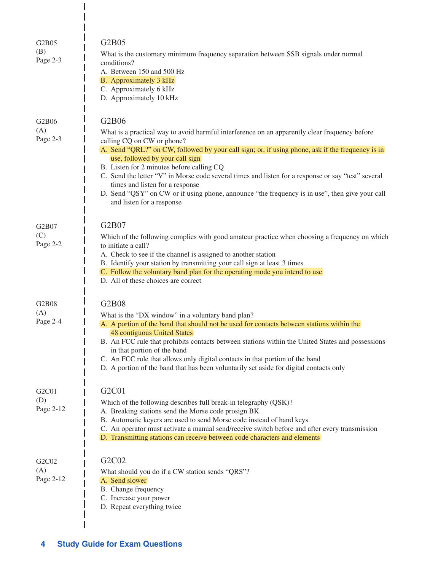| G2B05<br>(B)<br>Page 2-3                           | G2B05<br>What is the customary minimum frequency separation between SSB signals under normal<br>conditions?<br>A. Between 150 and 500 Hz<br>B. Approximately 3 kHz<br>C. Approximately 6 kHz<br>D. Approximately 10 kHz                                                                                                                                                                                                                                                                                                                                                                          |
|----------------------------------------------------|--------------------------------------------------------------------------------------------------------------------------------------------------------------------------------------------------------------------------------------------------------------------------------------------------------------------------------------------------------------------------------------------------------------------------------------------------------------------------------------------------------------------------------------------------------------------------------------------------|
| G2B06<br>(A)<br>Page 2-3                           | G2B06<br>What is a practical way to avoid harmful interference on an apparently clear frequency before<br>calling CQ on CW or phone?<br>A. Send "QRL?" on CW, followed by your call sign; or, if using phone, ask if the frequency is in<br>use, followed by your call sign<br>B. Listen for 2 minutes before calling CQ<br>C. Send the letter "V" in Morse code several times and listen for a response or say "test" several<br>times and listen for a response<br>D. Send "QSY" on CW or if using phone, announce "the frequency is in use", then give your call<br>and listen for a response |
| G2B07<br>(C)<br>Page 2-2                           | G2B07<br>Which of the following complies with good amateur practice when choosing a frequency on which<br>to initiate a call?<br>A. Check to see if the channel is assigned to another station<br>B. Identify your station by transmitting your call sign at least 3 times<br>C. Follow the voluntary band plan for the operating mode you intend to use<br>D. All of these choices are correct                                                                                                                                                                                                  |
| G2B08<br>(A)<br>Page 2-4                           | <b>G2B08</b><br>What is the "DX window" in a voluntary band plan?<br>A. A portion of the band that should not be used for contacts between stations within the<br>48 contiguous United States<br>B. An FCC rule that prohibits contacts between stations within the United States and possessions<br>in that portion of the band<br>C. An FCC rule that allows only digital contacts in that portion of the band<br>D. A portion of the band that has been voluntarily set aside for digital contacts only                                                                                       |
| G <sub>2</sub> C <sub>01</sub><br>(D)<br>Page 2-12 | G2C01<br>Which of the following describes full break-in telegraphy (QSK)?<br>A. Breaking stations send the Morse code prosign BK<br>B. Automatic keyers are used to send Morse code instead of hand keys<br>C. An operator must activate a manual send/receive switch before and after every transmission<br>D. Transmitting stations can receive between code characters and elements                                                                                                                                                                                                           |
| G <sub>2</sub> C <sub>02</sub><br>(A)<br>Page 2-12 | G2C02<br>What should you do if a CW station sends "QRS"?<br>A. Send slower<br>B. Change frequency<br>C. Increase your power<br>D. Repeat everything twice                                                                                                                                                                                                                                                                                                                                                                                                                                        |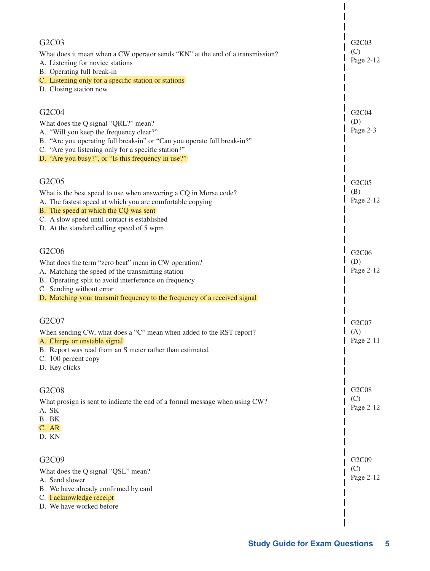| G2C03<br>What does it mean when a CW operator sends "KN" at the end of a transmission?<br>A. Listening for novice stations<br>B. Operating full break-in<br>C. Listening only for a specific station or stations<br>D. Closing station now                                           | G <sub>2</sub> C <sub>03</sub><br>(C)<br>Page 2-12 |
|--------------------------------------------------------------------------------------------------------------------------------------------------------------------------------------------------------------------------------------------------------------------------------------|----------------------------------------------------|
| G2C04<br>What does the Q signal "QRL?" mean?<br>A. "Will you keep the frequency clear?"<br>B. "Are you operating full break-in" or "Can you operate full break-in?"<br>C. "Are you listening only for a specific station?"<br>D. "Are you busy?", or "Is this frequency in use?"     | G2C04<br>(D)<br>Page 2-3                           |
| G2C05<br>What is the best speed to use when answering a CQ in Morse code?<br>A. The fastest speed at which you are comfortable copying<br>B. The speed at which the CQ was sent<br>C. A slow speed until contact is established<br>D. At the standard calling speed of 5 wpm         | G2C05<br>(B)<br>Page 2-12                          |
| G2C06<br>What does the term "zero beat" mean in CW operation?<br>A. Matching the speed of the transmitting station<br>B. Operating split to avoid interference on frequency<br>C. Sending without error<br>D. Matching your transmit frequency to the frequency of a received signal | G2C06<br>(D)<br>Page 2-12                          |
| G2C07<br>When sending CW, what does a "C" mean when added to the RST report?<br>A. Chirpy or unstable signal<br>B. Report was read from an S meter rather than estimated<br>C. 100 percent copy<br>D. Key clicks                                                                     | G2C07<br>(A)<br>Page 2-11                          |
| G2C08<br>What prosign is sent to indicate the end of a formal message when using CW?<br>A. SK<br>B. BK<br>C. AR<br>D. KN                                                                                                                                                             | G <sub>2</sub> C <sub>08</sub><br>(C)<br>Page 2-12 |
| G2C09<br>What does the Q signal "QSL" mean?<br>A. Send slower<br>B. We have already confirmed by card<br>C. I acknowledge receipt<br>D. We have worked before                                                                                                                        | G2C09<br>(C)<br>Page 2-12                          |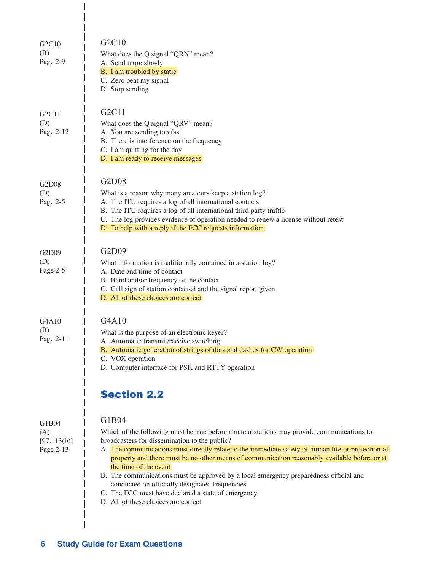| G2C10<br>(B)<br>Page 2-9                 | G2C10<br>What does the Q signal "QRN" mean?<br>A. Send more slowly<br>B. I am troubled by static<br>C. Zero beat my signal<br>D. Stop sending                                                                                                                                                                                                                                                                                                                                                                                                                                                                                                   |
|------------------------------------------|-------------------------------------------------------------------------------------------------------------------------------------------------------------------------------------------------------------------------------------------------------------------------------------------------------------------------------------------------------------------------------------------------------------------------------------------------------------------------------------------------------------------------------------------------------------------------------------------------------------------------------------------------|
| G2C11<br>(D)<br>Page 2-12                | G2C11<br>What does the Q signal "QRV" mean?<br>A. You are sending too fast<br>B. There is interference on the frequency<br>C. I am quitting for the day<br>D. I am ready to receive messages                                                                                                                                                                                                                                                                                                                                                                                                                                                    |
| G2D08<br>(D)<br>Page 2-5                 | G2D08<br>What is a reason why many amateurs keep a station log?<br>A. The ITU requires a log of all international contacts<br>B. The ITU requires a log of all international third party traffic<br>C. The log provides evidence of operation needed to renew a license without retest<br>D. To help with a reply if the FCC requests information                                                                                                                                                                                                                                                                                               |
| G2D09<br>(D)<br>Page 2-5                 | G2D09<br>What information is traditionally contained in a station log?<br>A. Date and time of contact<br>B. Band and/or frequency of the contact<br>C. Call sign of station contacted and the signal report given<br>D. All of these choices are correct                                                                                                                                                                                                                                                                                                                                                                                        |
| G4A10<br>(B)<br>Page 2-11                | G4A10<br>What is the purpose of an electronic keyer?<br>A. Automatic transmit/receive switching<br>B. Automatic generation of strings of dots and dashes for CW operation<br>C. VOX operation<br>D. Computer interface for PSK and RTTY operation                                                                                                                                                                                                                                                                                                                                                                                               |
| G1B04<br>(A)<br>[97.113(b)]<br>Page 2-13 | <b>Section 2.2</b><br>G1B04<br>Which of the following must be true before amateur stations may provide communications to<br>broadcasters for dissemination to the public?<br>A. The communications must directly relate to the immediate safety of human life or protection of<br>property and there must be no other means of communication reasonably available before or at<br>the time of the event<br>B. The communications must be approved by a local emergency preparedness official and<br>conducted on officially designated frequencies<br>C. The FCC must have declared a state of emergency<br>D. All of these choices are correct |

 $\begin{array}{c} \hline \end{array}$ 

 $\mathcal I$  $\overline{\phantom{a}}$  $\overline{1}$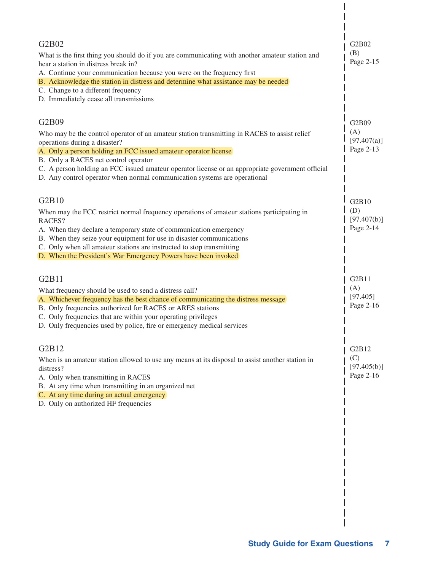| G2B02<br>What is the first thing you should do if you are communicating with another amateur station and<br>hear a station in distress break in?                                                 | G2B02<br>(B)<br>Page 2-15       |
|--------------------------------------------------------------------------------------------------------------------------------------------------------------------------------------------------|---------------------------------|
| A. Continue your communication because you were on the frequency first<br>B. Acknowledge the station in distress and determine what assistance may be needed                                     |                                 |
| C. Change to a different frequency<br>D. Immediately cease all transmissions                                                                                                                     |                                 |
| G2B09                                                                                                                                                                                            | G2B09                           |
| Who may be the control operator of an amateur station transmitting in RACES to assist relief<br>operations during a disaster?<br>A. Only a person holding an FCC issued amateur operator license | (A)<br>[97.407(a)]<br>Page 2-13 |
| B. Only a RACES net control operator                                                                                                                                                             |                                 |
| C. A person holding an FCC issued amateur operator license or an appropriate government official<br>D. Any control operator when normal communication systems are operational                    |                                 |
| G2B10                                                                                                                                                                                            | G2B10                           |
| When may the FCC restrict normal frequency operations of amateur stations participating in<br>RACES?                                                                                             | (D)<br>[97.407(b)]              |
| A. When they declare a temporary state of communication emergency<br>B. When they seize your equipment for use in disaster communications                                                        | Page 2-14                       |
| C. Only when all amateur stations are instructed to stop transmitting<br>D. When the President's War Emergency Powers have been invoked                                                          |                                 |
|                                                                                                                                                                                                  |                                 |
| G2B11                                                                                                                                                                                            | G2B11                           |
| What frequency should be used to send a distress call?<br>A. Whichever frequency has the best chance of communicating the distress message                                                       | (A)<br>[97.405]                 |
| B. Only frequencies authorized for RACES or ARES stations<br>C. Only frequencies that are within your operating privileges                                                                       | Page 2-16                       |
| D. Only frequencies used by police, fire or emergency medical services                                                                                                                           |                                 |
| G2B12                                                                                                                                                                                            | G2B12                           |
| When is an amateur station allowed to use any means at its disposal to assist another station in<br>distress?                                                                                    | (C)<br>[97.405(b)]              |
| A. Only when transmitting in RACES                                                                                                                                                               | Page 2-16                       |
| B. At any time when transmitting in an organized net<br>C. At any time during an actual emergency                                                                                                |                                 |
| D. Only on authorized HF frequencies                                                                                                                                                             |                                 |
|                                                                                                                                                                                                  |                                 |
|                                                                                                                                                                                                  |                                 |
|                                                                                                                                                                                                  |                                 |
|                                                                                                                                                                                                  |                                 |
|                                                                                                                                                                                                  |                                 |
|                                                                                                                                                                                                  |                                 |
|                                                                                                                                                                                                  |                                 |
|                                                                                                                                                                                                  |                                 |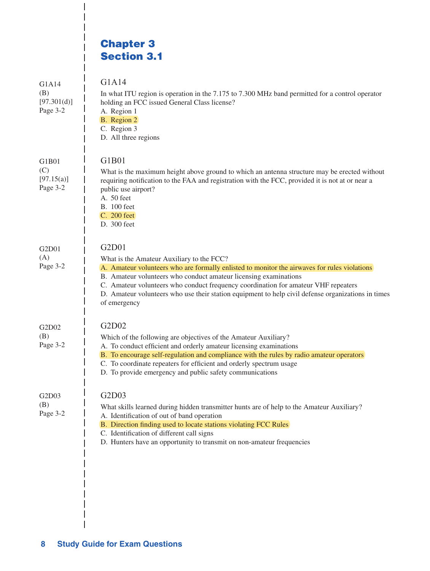# Chapter 3 Section 3.1

 $\overline{\phantom{a}}$ 

 $\overline{\phantom{a}}$ 

| G1A14<br>(B)<br>[97.301(d)]<br>Page 3-2 | G1A14<br>In what ITU region is operation in the 7.175 to 7.300 MHz band permitted for a control operator<br>holding an FCC issued General Class license?<br>A. Region 1<br>B. Region 2<br>C. Region 3<br>D. All three regions                                                                                                                                                                                                      |
|-----------------------------------------|------------------------------------------------------------------------------------------------------------------------------------------------------------------------------------------------------------------------------------------------------------------------------------------------------------------------------------------------------------------------------------------------------------------------------------|
| G1B01<br>(C)<br>[97.15(a)]<br>Page 3-2  | G1B01<br>What is the maximum height above ground to which an antenna structure may be erected without<br>requiring notification to the FAA and registration with the FCC, provided it is not at or near a<br>public use airport?<br>A. 50 feet<br><b>B.</b> 100 feet<br>C. 200 feet<br>D. 300 feet                                                                                                                                 |
| G2D01<br>(A)<br>Page 3-2                | G2D01<br>What is the Amateur Auxiliary to the FCC?<br>A. Amateur volunteers who are formally enlisted to monitor the airwaves for rules violations<br>B. Amateur volunteers who conduct amateur licensing examinations<br>C. Amateur volunteers who conduct frequency coordination for amateur VHF repeaters<br>D. Amateur volunteers who use their station equipment to help civil defense organizations in times<br>of emergency |
| G2D02<br>(B)<br>Page 3-2                | G2D02<br>Which of the following are objectives of the Amateur Auxiliary?<br>A. To conduct efficient and orderly amateur licensing examinations<br>B. To encourage self-regulation and compliance with the rules by radio amateur operators<br>C. To coordinate repeaters for efficient and orderly spectrum usage<br>D. To provide emergency and public safety communications                                                      |
| G2D03<br>(B)<br>Page 3-2                | G2D03<br>What skills learned during hidden transmitter hunts are of help to the Amateur Auxiliary?<br>A. Identification of out of band operation<br>B. Direction finding used to locate stations violating FCC Rules<br>C. Identification of different call signs<br>D. Hunters have an opportunity to transmit on non-amateur frequencies                                                                                         |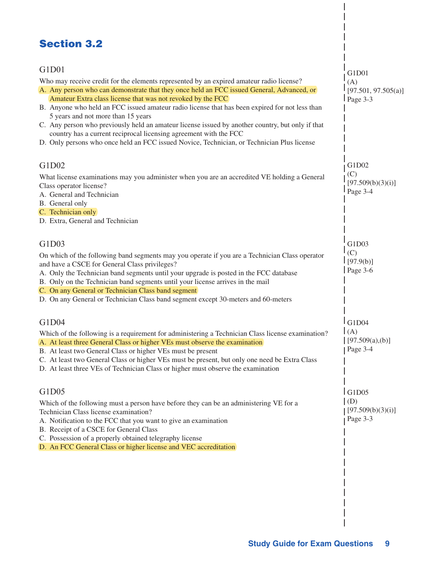### Section 3.2

| G1D01<br>Who may receive credit for the elements represented by an expired amateur radio license?<br>A. Any person who can demonstrate that they once held an FCC issued General, Advanced, or<br>Amateur Extra class license that was not revoked by the FCC<br>B. Anyone who held an FCC issued amateur radio license that has been expired for not less than<br>5 years and not more than 15 years<br>C. Any person who previously held an amateur license issued by another country, but only if that<br>country has a current reciprocal licensing agreement with the FCC<br>D. Only persons who once held an FCC issued Novice, Technician, or Technician Plus license | G1D01<br>(A)<br>[97.501, 97.505(a)]<br>Page 3-3 |
|------------------------------------------------------------------------------------------------------------------------------------------------------------------------------------------------------------------------------------------------------------------------------------------------------------------------------------------------------------------------------------------------------------------------------------------------------------------------------------------------------------------------------------------------------------------------------------------------------------------------------------------------------------------------------|-------------------------------------------------|
| G1D02<br>What license examinations may you administer when you are an accredited VE holding a General<br>Class operator license?<br>A. General and Technician<br>B. General only<br>C. Technician only<br>D. Extra, General and Technician                                                                                                                                                                                                                                                                                                                                                                                                                                   | G1D02<br>(C)<br>[97.509(b)(3)(i)]<br>Page 3-4   |
| G1D03<br>On which of the following band segments may you operate if you are a Technician Class operator<br>and have a CSCE for General Class privileges?<br>A. Only the Technician band segments until your upgrade is posted in the FCC database<br>B. Only on the Technician band segments until your license arrives in the mail<br>C. On any General or Technician Class band segment<br>D. On any General or Technician Class band segment except 30-meters and 60-meters                                                                                                                                                                                               | G1D03<br>(C)<br>[97.9(b)]<br>Page 3-6           |
| G1D04<br>Which of the following is a requirement for administering a Technician Class license examination?<br>A. At least three General Class or higher VEs must observe the examination<br>B. At least two General Class or higher VEs must be present<br>C. At least two General Class or higher VEs must be present, but only one need be Extra Class<br>D. At least three VEs of Technician Class or higher must observe the examination                                                                                                                                                                                                                                 | G1D04<br>(A)<br>[97.509(a), (b)]<br>Page 3-4    |
| G1D05<br>Which of the following must a person have before they can be an administering VE for a<br>Technician Class license examination?<br>A. Notification to the FCC that you want to give an examination<br>B. Receipt of a CSCE for General Class<br>C. Possession of a properly obtained telegraphy license<br>D. An FCC General Class or higher license and VEC accreditation                                                                                                                                                                                                                                                                                          | IG1D05<br>(D)<br>[97.509(b)(3)(i)]<br>Page 3-3  |

 $\overline{1}$  $\overline{\phantom{a}}$  $\begin{array}{c} \hline \end{array}$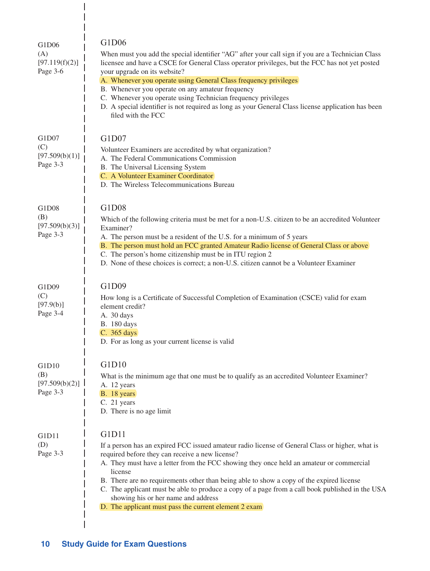| G1D06<br>(A)<br>[97.119(f)(2)]<br>Page 3-6 | G1D06<br>When must you add the special identifier "AG" after your call sign if you are a Technician Class<br>licensee and have a CSCE for General Class operator privileges, but the FCC has not yet posted<br>your upgrade on its website?<br>A. Whenever you operate using General Class frequency privileges<br>B. Whenever you operate on any amateur frequency<br>C. Whenever you operate using Technician frequency privileges<br>D. A special identifier is not required as long as your General Class license application has been<br>filed with the FCC |
|--------------------------------------------|------------------------------------------------------------------------------------------------------------------------------------------------------------------------------------------------------------------------------------------------------------------------------------------------------------------------------------------------------------------------------------------------------------------------------------------------------------------------------------------------------------------------------------------------------------------|
| G1D07<br>(C)<br>[97.509(b)(1)]<br>Page 3-3 | G1D07<br>Volunteer Examiners are accredited by what organization?<br>A. The Federal Communications Commission<br>B. The Universal Licensing System<br>C. A Volunteer Examiner Coordinator<br>D. The Wireless Telecommunications Bureau                                                                                                                                                                                                                                                                                                                           |
| G1D08<br>(B)<br>[97.509(b)(3)]<br>Page 3-3 | G1D08<br>Which of the following criteria must be met for a non-U.S. citizen to be an accredited Volunteer<br>Examiner?<br>A. The person must be a resident of the U.S. for a minimum of 5 years<br>B. The person must hold an FCC granted Amateur Radio license of General Class or above<br>C. The person's home citizenship must be in ITU region 2<br>D. None of these choices is correct; a non-U.S. citizen cannot be a Volunteer Examiner                                                                                                                  |
| G1D09<br>(C)<br>[97.9(b)]<br>Page 3-4      | G1D09<br>How long is a Certificate of Successful Completion of Examination (CSCE) valid for exam<br>element credit?<br>A. 30 days<br>B. 180 days<br>C. 365 days<br>D. For as long as your current license is valid                                                                                                                                                                                                                                                                                                                                               |
| G1D10<br>(B)<br>[97.509(b)(2)]<br>Page 3-3 | G1D10<br>What is the minimum age that one must be to qualify as an accredited Volunteer Examiner?<br>A. 12 years<br>B. 18 years<br>C. 21 years<br>D. There is no age limit                                                                                                                                                                                                                                                                                                                                                                                       |
| G1D11<br>(D)<br>Page 3-3                   | G1D11<br>If a person has an expired FCC issued amateur radio license of General Class or higher, what is<br>required before they can receive a new license?<br>A. They must have a letter from the FCC showing they once held an amateur or commercial<br>license<br>B. There are no requirements other than being able to show a copy of the expired license<br>C. The applicant must be able to produce a copy of a page from a call book published in the USA<br>showing his or her name and address<br>D. The applicant must pass the current element 2 exam |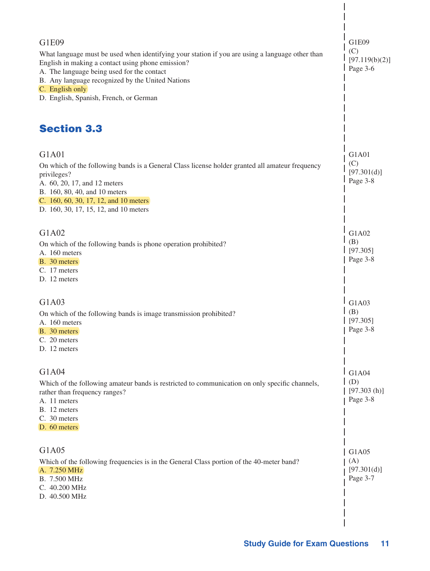| G1E09<br>What language must be used when identifying your station if you are using a language other than<br>English in making a contact using phone emission?<br>A. The language being used for the contact<br>B. Any language recognized by the United Nations<br>C. English only<br>D. English, Spanish, French, or German | G1E09<br>(C)<br>[97.119(b)(2)]<br>Page 3-6     |
|------------------------------------------------------------------------------------------------------------------------------------------------------------------------------------------------------------------------------------------------------------------------------------------------------------------------------|------------------------------------------------|
| <b>Section 3.3</b>                                                                                                                                                                                                                                                                                                           |                                                |
| G1A01<br>On which of the following bands is a General Class license holder granted all amateur frequency<br>privileges?<br>A. 60, 20, 17, and 12 meters<br>B. 160, 80, 40, and 10 meters<br>C. 160, 60, 30, 17, 12, and 10 meters<br>D. 160, 30, 17, 15, 12, and 10 meters                                                   | G1A01<br>(C)<br>[97.301(d)]<br>Page 3-8        |
| G1A02<br>On which of the following bands is phone operation prohibited?<br>A. 160 meters<br>B. 30 meters<br>C. 17 meters<br>D. 12 meters                                                                                                                                                                                     | G1A02<br>(B)<br>[97.305]<br>Page 3-8           |
| G1A03<br>On which of the following bands is image transmission prohibited?<br>A. 160 meters<br>B. 30 meters<br>C. 20 meters<br>D. 12 meters                                                                                                                                                                                  | G1A03<br>(B)<br>[97.305]<br>  Page 3-8         |
| G1A04<br>Which of the following amateur bands is restricted to communication on only specific channels,<br>rather than frequency ranges?<br>A. 11 meters<br>B. 12 meters<br>C. 30 meters<br>D. 60 meters                                                                                                                     | G1A04<br>$\mid$ (D)<br>[97.303(h)]<br>Page 3-8 |
| G1A05<br>Which of the following frequencies is in the General Class portion of the 40-meter band?<br>A. 7.250 MHz<br>B. 7.500 MHz<br>C. 40.200 MHz<br>D. 40.500 MHz                                                                                                                                                          | G1A05<br>(A)<br>[97.301(d)]<br>Page 3-7        |

 $\begin{array}{c} \end{array}$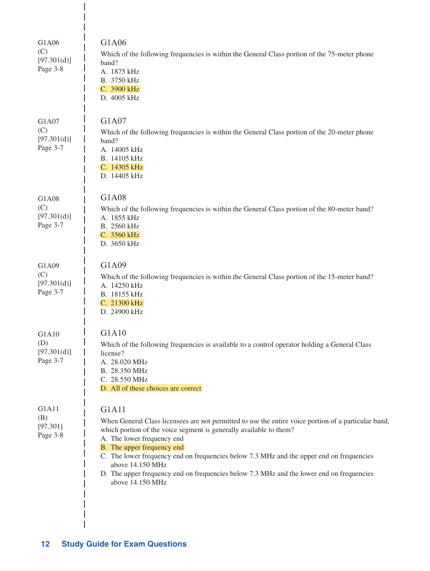| G1A06<br>(C)<br>[97.301(d)]<br>Page 3-8 | G1A06<br>Which of the following frequencies is within the General Class portion of the 75-meter phone<br>band?<br>A. 1875 kHz<br>B. 3750 kHz<br>C. 3900 kHz<br>D. 4005 kHz                                                                                                                                                                                                                                                                                                      |
|-----------------------------------------|---------------------------------------------------------------------------------------------------------------------------------------------------------------------------------------------------------------------------------------------------------------------------------------------------------------------------------------------------------------------------------------------------------------------------------------------------------------------------------|
| G1A07<br>(C)<br>[97.301(d)]<br>Page 3-7 | G1A07<br>Which of the following frequencies is within the General Class portion of the 20-meter phone<br>band?<br>A. 14005 kHz<br>B. 14105 kHz<br>C. 14305 kHz<br>D. 14405 kHz                                                                                                                                                                                                                                                                                                  |
| G1A08<br>(C)<br>[97.301(d)]<br>Page 3-7 | G1A08<br>Which of the following frequencies is within the General Class portion of the 80-meter band?<br>A. 1855 kHz<br>B. 2560 kHz<br>C. 3560 kHz<br>D. 3650 kHz                                                                                                                                                                                                                                                                                                               |
| G1A09<br>(C)<br>[97.301(d)]<br>Page 3-7 | G1A09<br>Which of the following frequencies is within the General Class portion of the 15-meter band?<br>A. 14250 kHz<br>B. 18155 kHz<br>C. 21300 kHz<br>D. 24900 kHz                                                                                                                                                                                                                                                                                                           |
| G1A10<br>(D)<br>[97.301(d)]<br>Page 3-7 | G1A10<br>Which of the following frequencies is available to a control operator holding a General Class<br>license?<br>A. 28.020 MHz<br>B. 28.350 MHz<br>C. 28.550 MHz<br>D. All of these choices are correct                                                                                                                                                                                                                                                                    |
| G1A11<br>(B)<br>[97.301]<br>Page 3-8    | G1A11<br>When General Class licensees are not permitted to use the entire voice portion of a particular band,<br>which portion of the voice segment is generally available to them?<br>A. The lower frequency end<br>B. The upper frequency end<br>C. The lower frequency end on frequencies below 7.3 MHz and the upper end on frequencies<br>above 14.150 MHz<br>D. The upper frequency end on frequencies below 7.3 MHz and the lower end on frequencies<br>above 14.150 MHz |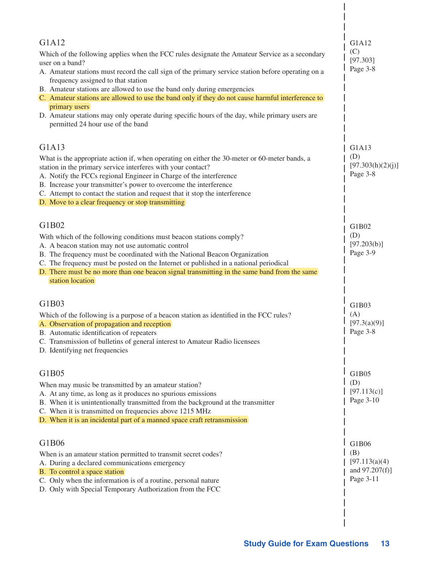| G1A12<br>Which of the following applies when the FCC rules designate the Amateur Service as a secondary<br>user on a band?<br>A. Amateur stations must record the call sign of the primary service station before operating on a<br>frequency assigned to that station<br>B. Amateur stations are allowed to use the band only during emergencies<br>C. Amateur stations are allowed to use the band only if they do not cause harmful interference to<br>primary users<br>D. Amateur stations may only operate during specific hours of the day, while primary users are<br>permitted 24 hour use of the band | G1A12<br>(C)<br>[97.303]<br>Page 3-8                         |
|----------------------------------------------------------------------------------------------------------------------------------------------------------------------------------------------------------------------------------------------------------------------------------------------------------------------------------------------------------------------------------------------------------------------------------------------------------------------------------------------------------------------------------------------------------------------------------------------------------------|--------------------------------------------------------------|
| G1A13<br>What is the appropriate action if, when operating on either the 30-meter or 60-meter bands, a<br>station in the primary service interferes with your contact?<br>A. Notify the FCCs regional Engineer in Charge of the interference<br>B. Increase your transmitter's power to overcome the interference<br>C. Attempt to contact the station and request that it stop the interference<br>D. Move to a clear frequency or stop transmitting                                                                                                                                                          | G1A13<br>(D)<br>[97.303(h)(2)(j)]<br>Page 3-8                |
| G1B02<br>With which of the following conditions must beacon stations comply?<br>A. A beacon station may not use automatic control<br>B. The frequency must be coordinated with the National Beacon Organization<br>C. The frequency must be posted on the Internet or published in a national periodical<br>D. There must be no more than one beacon signal transmitting in the same band from the same<br>station location                                                                                                                                                                                    | G1B02<br>(D)<br>[97.203(b)]<br>Page 3-9                      |
| G1B03<br>Which of the following is a purpose of a beacon station as identified in the FCC rules?<br>A. Observation of propagation and reception<br>B. Automatic identification of repeaters<br>C. Transmission of bulletins of general interest to Amateur Radio licensees<br>D. Identifying net frequencies                                                                                                                                                                                                                                                                                                   | G1B03<br>(A)<br>[97.3(a)(9)]<br>$\log$ Page 3-8              |
| G1B05<br>When may music be transmitted by an amateur station?<br>A. At any time, as long as it produces no spurious emissions<br>B. When it is unintentionally transmitted from the background at the transmitter<br>C. When it is transmitted on frequencies above 1215 MHz<br>D. When it is an incidental part of a manned space craft retransmission                                                                                                                                                                                                                                                        | G1B05<br>(D)<br>[97.113(c)]<br>Page 3-10                     |
| G1B06<br>When is an amateur station permitted to transmit secret codes?<br>A. During a declared communications emergency<br>B. To control a space station<br>C. Only when the information is of a routine, personal nature<br>D. Only with Special Temporary Authorization from the FCC                                                                                                                                                                                                                                                                                                                        | G1B06<br>(B)<br>[97.113(a)(4)<br>and 97.207(f)]<br>Page 3-11 |

 $\overline{\phantom{a}}$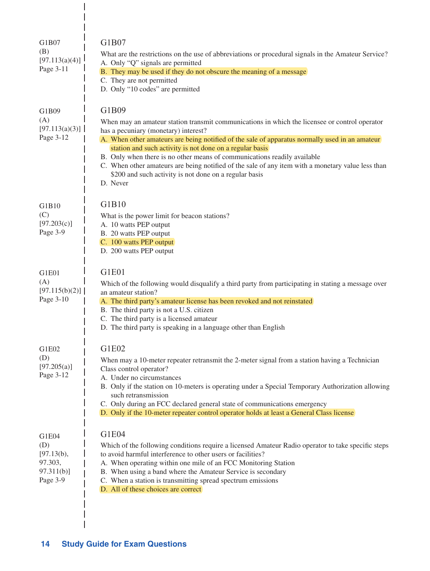| G1B07<br>(B)<br>[97.113(a)(4)]<br>Page 3-11                    | G1B07<br>What are the restrictions on the use of abbreviations or procedural signals in the Amateur Service?<br>A. Only "Q" signals are permitted<br>B. They may be used if they do not obscure the meaning of a message<br>C. They are not permitted<br>D. Only "10 codes" are permitted                                                                                                                                                                                                                                                                           |
|----------------------------------------------------------------|---------------------------------------------------------------------------------------------------------------------------------------------------------------------------------------------------------------------------------------------------------------------------------------------------------------------------------------------------------------------------------------------------------------------------------------------------------------------------------------------------------------------------------------------------------------------|
| G1B09<br>(A)<br>[97.113(a)(3)]<br>Page 3-12                    | G1B09<br>When may an amateur station transmit communications in which the licensee or control operator<br>has a pecuniary (monetary) interest?<br>A. When other amateurs are being notified of the sale of apparatus normally used in an amateur<br>station and such activity is not done on a regular basis<br>B. Only when there is no other means of communications readily available<br>C. When other amateurs are being notified of the sale of any item with a monetary value less than<br>\$200 and such activity is not done on a regular basis<br>D. Never |
| G1B10<br>(C)<br>[97.203(c)]<br>Page 3-9                        | G1B10<br>What is the power limit for beacon stations?<br>A. 10 watts PEP output<br>B. 20 watts PEP output<br>C. 100 watts PEP output<br>D. 200 watts PEP output                                                                                                                                                                                                                                                                                                                                                                                                     |
| G1E01<br>(A)<br>[97.115(b)(2)]<br>Page 3-10                    | G1E01<br>Which of the following would disqualify a third party from participating in stating a message over<br>an amateur station?<br>A. The third party's amateur license has been revoked and not reinstated<br>B. The third party is not a U.S. citizen<br>C. The third party is a licensed amateur<br>D. The third party is speaking in a language other than English                                                                                                                                                                                           |
| G1E02<br>(D)<br>[97.205(a)]<br>Page 3-12                       | G1E02<br>When may a 10-meter repeater retransmit the 2-meter signal from a station having a Technician<br>Class control operator?<br>A. Under no circumstances<br>B. Only if the station on 10-meters is operating under a Special Temporary Authorization allowing<br>such retransmission<br>C. Only during an FCC declared general state of communications emergency<br>D. Only if the 10-meter repeater control operator holds at least a General Class license                                                                                                  |
| G1E04<br>(D)<br>[97.13(b),<br>97.303,<br>97.311(b)<br>Page 3-9 | G1E04<br>Which of the following conditions require a licensed Amateur Radio operator to take specific steps<br>to avoid harmful interference to other users or facilities?<br>A. When operating within one mile of an FCC Monitoring Station<br>B. When using a band where the Amateur Service is secondary<br>C. When a station is transmitting spread spectrum emissions<br>D. All of these choices are correct                                                                                                                                                   |

 $\overline{\phantom{a}}$ 

 $\begin{array}{c} \hline \end{array}$  $\overline{\phantom{a}}$  $\overline{1}$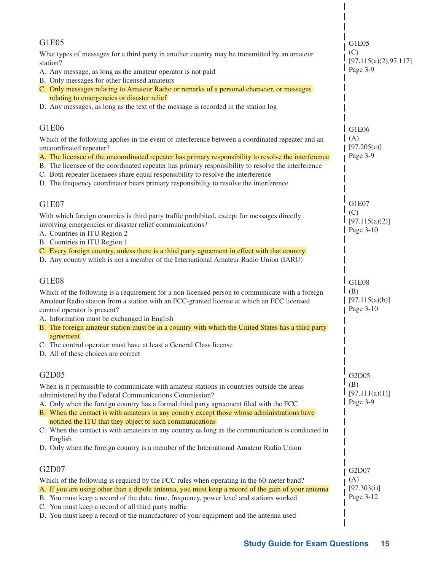| G1E05<br>What types of messages for a third party in another country may be transmitted by an amateur<br>station?<br>A. Any message, as long as the amateur operator is not paid<br>B. Only messages for other licensed amateurs<br>C. Only messages relating to Amateur Radio or remarks of a personal character, or messages<br>relating to emergencies or disaster relief<br>D. Any messages, as long as the text of the message is recorded in the station log                                                                                                                                                         | G1E05<br>(C)<br>[97.115(a)(2), 97.117]<br>Page 3-9 |
|----------------------------------------------------------------------------------------------------------------------------------------------------------------------------------------------------------------------------------------------------------------------------------------------------------------------------------------------------------------------------------------------------------------------------------------------------------------------------------------------------------------------------------------------------------------------------------------------------------------------------|----------------------------------------------------|
| G1E06<br>Which of the following applies in the event of interference between a coordinated repeater and an<br>uncoordinated repeater?<br>A. The licensee of the uncoordinated repeater has primary responsibility to resolve the interference<br>B. The licensee of the coordinated repeater has primary responsibility to resolve the interference<br>C. Both repeater licensees share equal responsibility to resolve the interference<br>D. The frequency coordinator bears primary responsibility to resolve the interference                                                                                          | G1E06<br>(A)<br>[97.205(c)]<br>Page 3-9            |
| G1E07<br>With which foreign countries is third party traffic prohibited, except for messages directly<br>involving emergencies or disaster relief communications?<br>A. Countries in ITU Region 2<br>B. Countries in ITU Region 1<br>C. Every foreign country, unless there is a third party agreement in effect with that country<br>D. Any country which is not a member of the International Amateur Radio Union (IARU)                                                                                                                                                                                                 | G1E07<br>(C)<br>[97.115(a)(2)]<br>Page 3-10        |
| G1E08<br>Which of the following is a requirement for a non-licensed person to communicate with a foreign<br>Amateur Radio station from a station with an FCC-granted license at which an FCC licensed<br>control operator is present?<br>A. Information must be exchanged in English<br>B. The foreign amateur station must be in a country with which the United States has a third party<br>agreement<br>C. The control operator must have at least a General Class license<br>D. All of these choices are correct                                                                                                       | G1E08<br>(B)<br>[97.115(a)(b)]<br>Page 3-10        |
| G2D05<br>When is it permissible to communicate with amateur stations in countries outside the areas<br>administered by the Federal Communications Commission?<br>A. Only when the foreign country has a formal third party agreement filed with the FCC<br>B. When the contact is with amateurs in any country except those whose administrations have<br>notified the ITU that they object to such communications<br>C. When the contact is with amateurs in any country as long as the communication is conducted in<br>English<br>D. Only when the foreign country is a member of the International Amateur Radio Union | G2D05<br>(B)<br>[97.111(a)(1)]<br>Page 3-9         |
| G2D07<br>Which of the following is required by the FCC rules when operating in the 60-meter band?<br>A. If you are using other than a dipole antenna, you must keep a record of the gain of your antenna<br>B. You must keep a record of the date, time, frequency, power level and stations worked<br>C. You must keep a record of all third party traffic<br>D. You must keep a record of the manufacturer of your equipment and the antenna used                                                                                                                                                                        | G2D07<br>(A)<br>[97.303(i)]<br>Page 3-12           |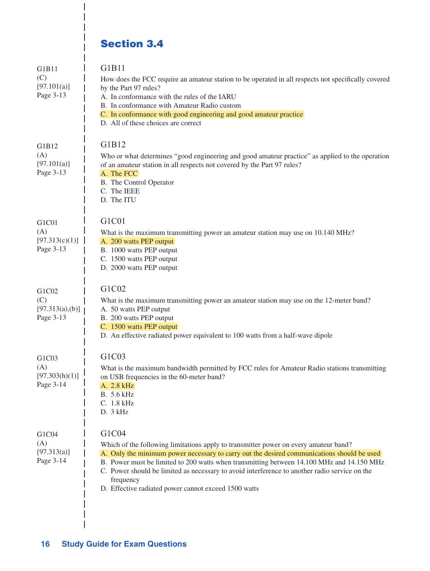# Section 3.4

I I I

| G1B11<br>(C)<br>[97.101(a)]<br>Page 3-13     | G1B11<br>How does the FCC require an amateur station to be operated in all respects not specifically covered<br>by the Part 97 rules?<br>A. In conformance with the rules of the IARU<br>B. In conformance with Amateur Radio custom<br>C. In conformance with good engineering and good amateur practice<br>D. All of these choices are correct                                                                                                               |
|----------------------------------------------|----------------------------------------------------------------------------------------------------------------------------------------------------------------------------------------------------------------------------------------------------------------------------------------------------------------------------------------------------------------------------------------------------------------------------------------------------------------|
| G1B12<br>(A)<br>[97.101(a)]<br>Page 3-13     | G1B12<br>Who or what determines "good engineering and good amateur practice" as applied to the operation<br>of an amateur station in all respects not covered by the Part 97 rules?<br>A. The FCC<br>B. The Control Operator<br>C. The IEEE<br>D. The ITU                                                                                                                                                                                                      |
| G1C01<br>(A)<br>[97.313(c)(1)]<br>Page 3-13  | G1C01<br>What is the maximum transmitting power an amateur station may use on 10.140 MHz?<br>A. 200 watts PEP output<br>B. 1000 watts PEP output<br>C. 1500 watts PEP output<br>D. 2000 watts PEP output                                                                                                                                                                                                                                                       |
| G1C02<br>(C)<br>[97.313(a),(b)]<br>Page 3-13 | G1C02<br>What is the maximum transmitting power an amateur station may use on the 12-meter band?<br>A. 50 watts PEP output<br>B. 200 watts PEP output<br>C. 1500 watts PEP output<br>D. An effective radiated power equivalent to 100 watts from a half-wave dipole                                                                                                                                                                                            |
| G1C03<br>(A)<br>[97.303(h)(1)]<br>Page 3-14  | G1C03<br>What is the maximum bandwidth permitted by FCC rules for Amateur Radio stations transmitting<br>on USB frequencies in the 60-meter band?<br>A. 2.8 kHz<br>B. 5.6 kHz<br>C. 1.8 kHz<br>D. 3 kHz                                                                                                                                                                                                                                                        |
| G1C04<br>(A)<br>[97.313(a)]<br>Page 3-14     | G1C04<br>Which of the following limitations apply to transmitter power on every amateur band?<br>A. Only the minimum power necessary to carry out the desired communications should be used<br>B. Power must be limited to 200 watts when transmitting between 14.100 MHz and 14.150 MHz<br>C. Power should be limited as necessary to avoid interference to another radio service on the<br>frequency<br>D. Effective radiated power cannot exceed 1500 watts |

 $\overline{\phantom{a}}$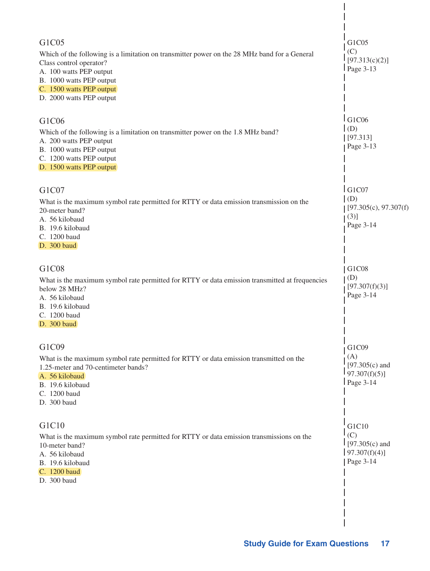| G1C05<br>Which of the following is a limitation on transmitter power on the 28 MHz band for a General<br>Class control operator?<br>A. 100 watts PEP output<br>B. 1000 watts PEP output<br>C. 1500 watts PEP output<br>D. 2000 watts PEP output | G1C05<br>(C)<br>[97.313(c)(2)]<br>$Page 3-13$                       |
|-------------------------------------------------------------------------------------------------------------------------------------------------------------------------------------------------------------------------------------------------|---------------------------------------------------------------------|
| G1C06<br>Which of the following is a limitation on transmitter power on the 1.8 MHz band?<br>A. 200 watts PEP output<br>B. 1000 watts PEP output<br>C. 1200 watts PEP output<br>D. 1500 watts PEP output                                        | G1C06<br>(D)<br>[97.313]<br>Page 3-13                               |
| G1C07<br>What is the maximum symbol rate permitted for RTTY or data emission transmission on the<br>20-meter band?<br>A. 56 kilobaud<br>B. 19.6 kilobaud<br>C. 1200 baud<br>D. 300 baud                                                         | G1C07<br>(D)<br>[97.305(c), 97.307(f)]<br>(3)]<br>Page 3-14         |
| G1C08<br>What is the maximum symbol rate permitted for RTTY or data emission transmitted at frequencies<br>below 28 MHz?<br>A. 56 kilobaud<br>B. 19.6 kilobaud<br>C. 1200 baud<br>D. 300 baud                                                   | G1C08<br>(D)<br>[97.307(f)(3)]<br>Page 3-14                         |
| G1C09<br>What is the maximum symbol rate permitted for RTTY or data emission transmitted on the<br>1.25-meter and 70-centimeter bands?<br>A. 56 kilobaud<br>B. 19.6 kilobaud<br>C. 1200 baud<br>D. 300 baud                                     | G1C09<br>(A)<br>$[97.305(c)$ and<br>$97.307(f)(5)$ ]<br>$Page 3-14$ |
| G1C10<br>What is the maximum symbol rate permitted for RTTY or data emission transmissions on the<br>10-meter band?<br>A. 56 kilobaud<br>B. 19.6 kilobaud<br>C. 1200 baud<br>D. 300 baud                                                        | G1C10<br>(C)<br>$1$ [97.305(c) and<br>$97.307(f)(4)$ ]<br>Page 3-14 |
|                                                                                                                                                                                                                                                 |                                                                     |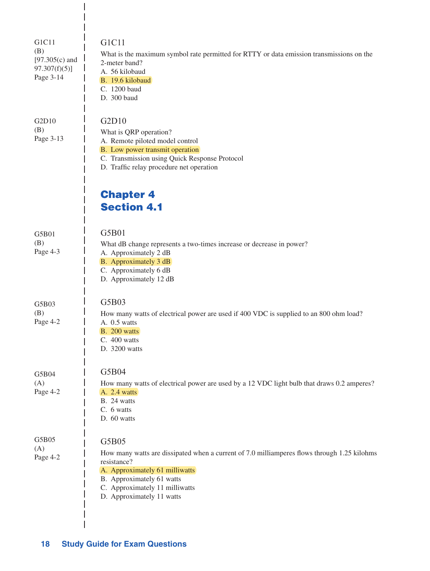| G1C11<br>(B)<br>$[97.305(c)$ and<br>$97.307(f)(5)$ ]<br>Page 3-14 | G1C11<br>What is the maximum symbol rate permitted for RTTY or data emission transmissions on the<br>2-meter band?<br>A. 56 kilobaud<br>B. 19.6 kilobaud<br>C. 1200 baud<br>D. 300 baud                                                           |
|-------------------------------------------------------------------|---------------------------------------------------------------------------------------------------------------------------------------------------------------------------------------------------------------------------------------------------|
| G2D10<br>(B)<br>Page 3-13                                         | G2D10<br>What is QRP operation?<br>A. Remote piloted model control<br>B. Low power transmit operation<br>C. Transmission using Quick Response Protocol<br>D. Traffic relay procedure net operation                                                |
|                                                                   | <b>Chapter 4</b><br><b>Section 4.1</b>                                                                                                                                                                                                            |
| G5B01<br>(B)<br>Page 4-3                                          | G5B01<br>What dB change represents a two-times increase or decrease in power?<br>A. Approximately 2 dB<br>B. Approximately 3 dB<br>C. Approximately 6 dB<br>D. Approximately 12 dB                                                                |
| G5B03<br>(B)<br>Page 4-2                                          | G5B03<br>How many watts of electrical power are used if 400 VDC is supplied to an 800 ohm load?<br>A. 0.5 watts<br>B. 200 watts<br>C. 400 watts<br>D. 3200 watts                                                                                  |
| G5B04<br>(A)<br>Page 4-2                                          | G5B04<br>How many watts of electrical power are used by a 12 VDC light bulb that draws 0.2 amperes?<br>A. 2.4 watts<br>B. 24 watts<br>C. 6 watts<br>D. 60 watts                                                                                   |
| G5B05<br>(A)<br>Page 4-2                                          | G5B05<br>How many watts are dissipated when a current of 7.0 milliamperes flows through 1.25 kilohms<br>resistance?<br>A. Approximately 61 milliwatts<br>B. Approximately 61 watts<br>C. Approximately 11 milliwatts<br>D. Approximately 11 watts |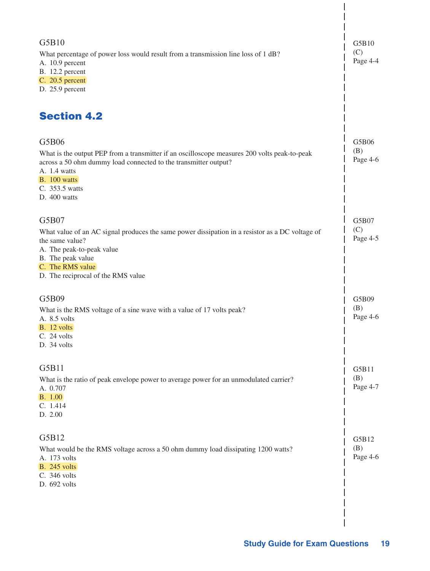| G5B10<br>What percentage of power loss would result from a transmission line loss of 1 dB?<br>A. 10.9 percent<br>B. 12.2 percent<br>C. 20.5 percent<br>D. 25.9 percent<br><b>Section 4.2</b>                                               | G5B10<br>(C)<br>Page 4-4 |
|--------------------------------------------------------------------------------------------------------------------------------------------------------------------------------------------------------------------------------------------|--------------------------|
| G5B06<br>What is the output PEP from a transmitter if an oscilloscope measures 200 volts peak-to-peak<br>across a 50 ohm dummy load connected to the transmitter output?<br>A. 1.4 watts<br>B. 100 watts<br>C. 353.5 watts<br>D. 400 watts | G5B06<br>(B)<br>Page 4-6 |
| G5B07<br>What value of an AC signal produces the same power dissipation in a resistor as a DC voltage of<br>the same value?<br>A. The peak-to-peak value<br>B. The peak value<br>C. The RMS value<br>D. The reciprocal of the RMS value    | G5B07<br>(C)<br>Page 4-5 |
| G5B09<br>What is the RMS voltage of a sine wave with a value of 17 volts peak?<br>A. 8.5 volts<br>B. 12 volts<br>C. 24 volts<br>D. 34 volts                                                                                                | G5B09<br>(B)<br>Page 4-6 |
| G5B11<br>What is the ratio of peak envelope power to average power for an unmodulated carrier?<br>A. 0.707<br><b>B.</b> 1.00<br>C. 1.414<br>D. 2.00                                                                                        | G5B11<br>(B)<br>Page 4-7 |
| G5B12<br>What would be the RMS voltage across a 50 ohm dummy load dissipating 1200 watts?<br>A. 173 volts<br><b>B.</b> 245 volts<br>C. 346 volts<br>D. 692 volts                                                                           | G5B12<br>(B)<br>Page 4-6 |

 $\overline{\phantom{a}}$ 

 $\overline{\phantom{a}}$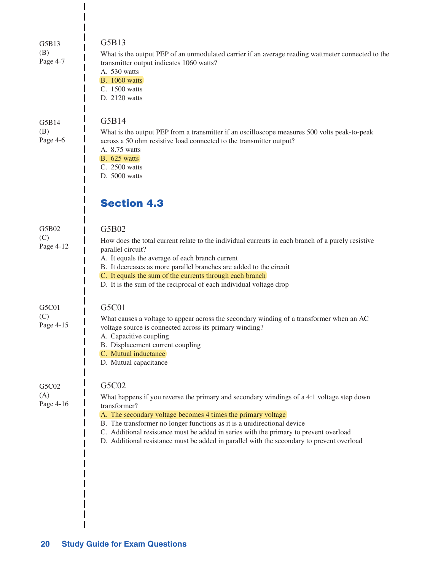| G5B13<br>(B)<br>Page 4-7  | G5B13<br>What is the output PEP of an unmodulated carrier if an average reading wattmeter connected to the<br>transmitter output indicates 1060 watts?<br>A. 530 watts<br><b>B.</b> 1060 watts<br>C. 1500 watts<br>D. 2120 watts                                                                                                                                                                                                                    |
|---------------------------|-----------------------------------------------------------------------------------------------------------------------------------------------------------------------------------------------------------------------------------------------------------------------------------------------------------------------------------------------------------------------------------------------------------------------------------------------------|
| G5B14<br>(B)<br>Page 4-6  | G5B14<br>What is the output PEP from a transmitter if an oscilloscope measures 500 volts peak-to-peak<br>across a 50 ohm resistive load connected to the transmitter output?<br>A. 8.75 watts<br><b>B.</b> 625 watts<br>C. 2500 watts<br>D. 5000 watts                                                                                                                                                                                              |
|                           | <b>Section 4.3</b>                                                                                                                                                                                                                                                                                                                                                                                                                                  |
| G5B02<br>(C)<br>Page 4-12 | G5B02<br>How does the total current relate to the individual currents in each branch of a purely resistive<br>parallel circuit?<br>A. It equals the average of each branch current<br>B. It decreases as more parallel branches are added to the circuit<br>C. It equals the sum of the currents through each branch<br>D. It is the sum of the reciprocal of each individual voltage drop                                                          |
| G5C01<br>(C)<br>Page 4-15 | G5C01<br>What causes a voltage to appear across the secondary winding of a transformer when an AC<br>voltage source is connected across its primary winding?<br>A. Capacitive coupling<br>B. Displacement current coupling<br>C. Mutual inductance<br>D. Mutual capacitance                                                                                                                                                                         |
| G5C02<br>(A)<br>Page 4-16 | G5C02<br>What happens if you reverse the primary and secondary windings of a 4:1 voltage step down<br>transformer?<br>A. The secondary voltage becomes 4 times the primary voltage<br>B. The transformer no longer functions as it is a unidirectional device<br>C. Additional resistance must be added in series with the primary to prevent overload<br>D. Additional resistance must be added in parallel with the secondary to prevent overload |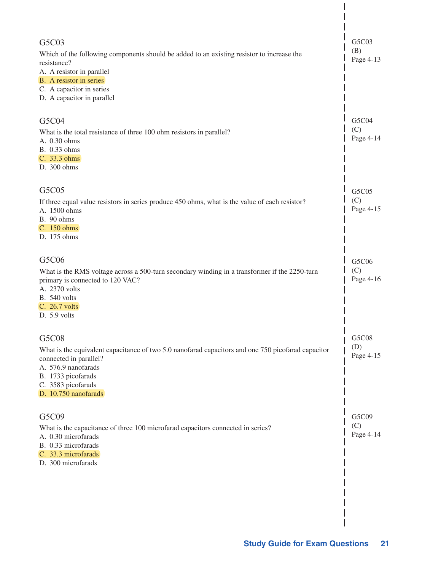| G5C03<br>Which of the following components should be added to an existing resistor to increase the<br>resistance?<br>A. A resistor in parallel<br>B. A resistor in series<br>C. A capacitor in series<br>D. A capacitor in parallel | G5C03<br>(B)<br>Page 4-13 |
|-------------------------------------------------------------------------------------------------------------------------------------------------------------------------------------------------------------------------------------|---------------------------|
| G5C04<br>What is the total resistance of three 100 ohm resistors in parallel?<br>A. 0.30 ohms<br>B. 0.33 ohms<br>C. 33.3 ohms<br>D. 300 ohms                                                                                        | G5C04<br>(C)<br>Page 4-14 |
| G5C05<br>If three equal value resistors in series produce 450 ohms, what is the value of each resistor?<br>A. 1500 ohms<br>B. 90 ohms<br>C. 150 ohms<br>D. 175 ohms                                                                 | G5C05<br>(C)<br>Page 4-15 |
| G5C06<br>What is the RMS voltage across a 500-turn secondary winding in a transformer if the 2250-turn<br>primary is connected to 120 VAC?<br>A. 2370 volts<br><b>B.</b> 540 volts<br>C. 26.7 volts<br>D. 5.9 volts                 | G5C06<br>(C)<br>Page 4-16 |
| G5C08<br>What is the equivalent capacitance of two 5.0 nanofarad capacitors and one 750 picofarad capacitor<br>connected in parallel?<br>A. 576.9 nanofarads<br>B. 1733 picofarads<br>C. 3583 picofarads<br>D. 10.750 nanofarads    | G5C08<br>(D)<br>Page 4-15 |
| G5C09<br>What is the capacitance of three 100 microfarad capacitors connected in series?<br>A. 0.30 microfarads<br>B. 0.33 microfarads<br>C. 33.3 microfarads<br>D. 300 microfarads                                                 | G5C09<br>(C)<br>Page 4-14 |
|                                                                                                                                                                                                                                     |                           |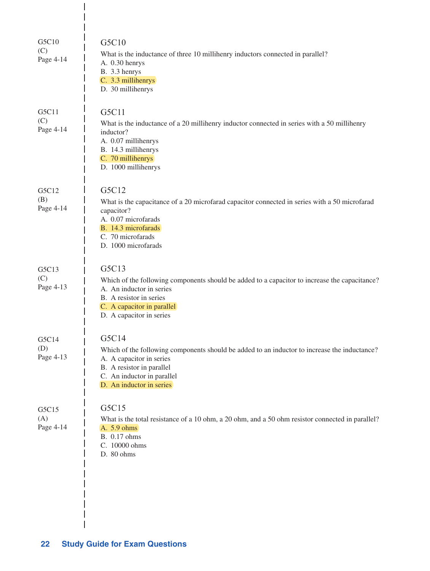| G5C10<br>(C)<br>Page 4-14 | G5C10<br>What is the inductance of three 10 millihenry inductors connected in parallel?<br>A. 0.30 henrys<br>B. 3.3 henrys<br>C. 3.3 millihenrys<br>D. 30 millihenrys                                                    |
|---------------------------|--------------------------------------------------------------------------------------------------------------------------------------------------------------------------------------------------------------------------|
| G5C11<br>(C)<br>Page 4-14 | G5C11<br>What is the inductance of a 20 millihenry inductor connected in series with a 50 millihenry<br>inductor?<br>A. 0.07 millihenrys<br>B. 14.3 millihenrys<br>C. 70 millihenrys<br>D. 1000 millihenrys              |
| G5C12<br>(B)<br>Page 4-14 | G5C12<br>What is the capacitance of a 20 microfarad capacitor connected in series with a 50 microfarad<br>capacitor?<br>A. 0.07 microfarads<br>B. 14.3 microfarads<br>C. 70 microfarads<br>D. 1000 microfarads           |
| G5C13<br>(C)<br>Page 4-13 | G5C13<br>Which of the following components should be added to a capacitor to increase the capacitance?<br>A. An inductor in series<br>B. A resistor in series<br>C. A capacitor in parallel<br>D. A capacitor in series  |
| G5C14<br>(D)<br>Page 4-13 | G5C14<br>Which of the following components should be added to an inductor to increase the inductance?<br>A. A capacitor in series<br>B. A resistor in parallel<br>C. An inductor in parallel<br>D. An inductor in series |
| G5C15<br>(A)<br>Page 4-14 | G5C15<br>What is the total resistance of a 10 ohm, a 20 ohm, and a 50 ohm resistor connected in parallel?<br>A. 5.9 ohms<br>B. 0.17 ohms<br>C. 10000 ohms<br>D. 80 ohms                                                  |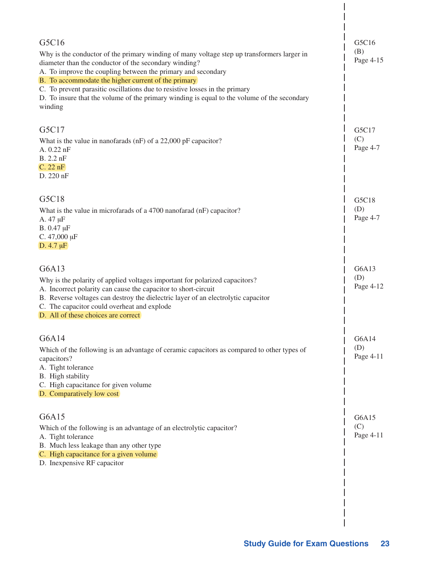| G5C16<br>Why is the conductor of the primary winding of many voltage step up transformers larger in<br>diameter than the conductor of the secondary winding?<br>A. To improve the coupling between the primary and secondary<br>B. To accommodate the higher current of the primary<br>C. To prevent parasitic oscillations due to resistive losses in the primary<br>D. To insure that the volume of the primary winding is equal to the volume of the secondary<br>winding | G5C16<br>(B)<br>Page 4-15 |
|------------------------------------------------------------------------------------------------------------------------------------------------------------------------------------------------------------------------------------------------------------------------------------------------------------------------------------------------------------------------------------------------------------------------------------------------------------------------------|---------------------------|
| G5C17<br>What is the value in nanofarads (nF) of a 22,000 pF capacitor?<br>A. 0.22 nF<br>B. 2.2 nF<br>C. 22 nF<br>D. 220 nF                                                                                                                                                                                                                                                                                                                                                  | G5C17<br>(C)<br>Page 4-7  |
| G5C18<br>What is the value in microfarads of a 4700 nanofarad (nF) capacitor?<br>A. 47 µF<br>B. 0.47 µF<br>C. $47,000 \mu F$<br>D. $4.7 \mu F$                                                                                                                                                                                                                                                                                                                               | G5C18<br>(D)<br>Page 4-7  |
| G6A13<br>Why is the polarity of applied voltages important for polarized capacitors?<br>A. Incorrect polarity can cause the capacitor to short-circuit<br>B. Reverse voltages can destroy the dielectric layer of an electrolytic capacitor<br>C. The capacitor could overheat and explode<br>D. All of these choices are correct                                                                                                                                            | G6A13<br>(D)<br>Page 4-12 |
| G6A14<br>Which of the following is an advantage of ceramic capacitors as compared to other types of<br>capacitors?<br>A. Tight tolerance<br>B. High stability<br>C. High capacitance for given volume<br>D. Comparatively low cost                                                                                                                                                                                                                                           | G6A14<br>(D)<br>Page 4-11 |
| G6A15<br>Which of the following is an advantage of an electrolytic capacitor?<br>A. Tight tolerance<br>B. Much less leakage than any other type<br>C. High capacitance for a given volume<br>D. Inexpensive RF capacitor                                                                                                                                                                                                                                                     | G6A15<br>(C)<br>Page 4-11 |

 $\overline{\phantom{a}}$ 

 $\overline{\phantom{a}}$  $\overline{\phantom{a}}$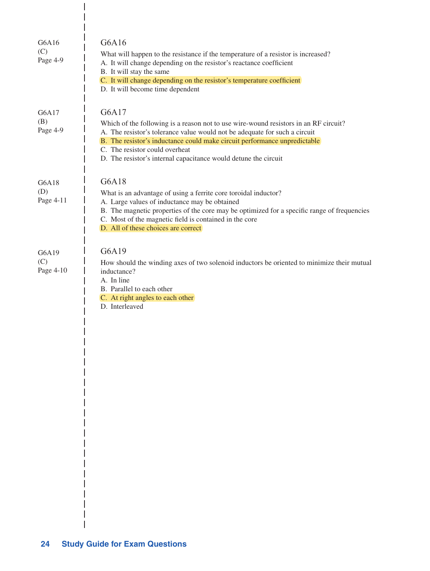| G6A16<br>(C)<br>Page 4-9  | G6A16<br>What will happen to the resistance if the temperature of a resistor is increased?<br>A. It will change depending on the resistor's reactance coefficient<br>B. It will stay the same<br>C. It will change depending on the resistor's temperature coefficient<br>D. It will become time dependent                                                    |
|---------------------------|---------------------------------------------------------------------------------------------------------------------------------------------------------------------------------------------------------------------------------------------------------------------------------------------------------------------------------------------------------------|
| G6A17<br>(B)<br>Page 4-9  | G6A17<br>Which of the following is a reason not to use wire-wound resistors in an RF circuit?<br>A. The resistor's tolerance value would not be adequate for such a circuit<br>B. The resistor's inductance could make circuit performance unpredictable<br>C. The resistor could overheat<br>D. The resistor's internal capacitance would detune the circuit |
| G6A18<br>(D)<br>Page 4-11 | G6A18<br>What is an advantage of using a ferrite core toroidal inductor?<br>A. Large values of inductance may be obtained<br>B. The magnetic properties of the core may be optimized for a specific range of frequencies<br>C. Most of the magnetic field is contained in the core<br>D. All of these choices are correct                                     |
| G6A19<br>(C)<br>Page 4-10 | G6A19<br>How should the winding axes of two solenoid inductors be oriented to minimize their mutual<br>inductance?<br>A. In line<br>B. Parallel to each other<br>C. At right angles to each other<br>D. Interleaved                                                                                                                                           |

 $\overline{\phantom{a}}$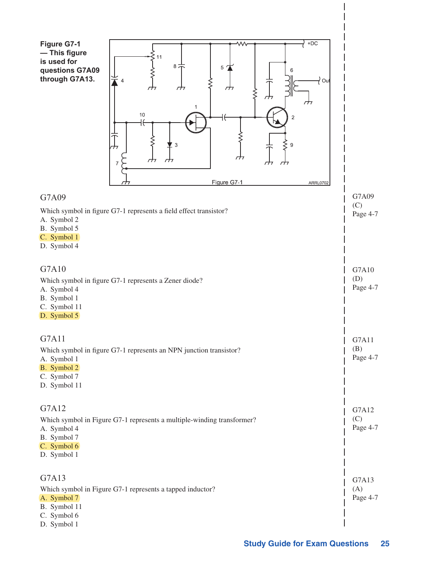| $+DC$<br>Figure G7-1<br>ᄿ<br>- This figure<br>11<br>is used for<br>$8\frac{1}{1}$<br>5<br>questions G7A09<br>through G7A13.<br>∤ out<br>$\overline{4}$<br>₼<br>77<br>77<br>⋚<br>↛<br>₼<br>1<br>$10$<br>$\overline{2}$<br>H<br>$\sqrt{3}$<br>9<br>гĦ<br>гĦ<br>σπ<br>77<br>Figure G7-1<br>ARRL0702 |                          |
|--------------------------------------------------------------------------------------------------------------------------------------------------------------------------------------------------------------------------------------------------------------------------------------------------|--------------------------|
| G7A09                                                                                                                                                                                                                                                                                            | G7A09                    |
| Which symbol in figure G7-1 represents a field effect transistor?<br>A. Symbol 2<br>B. Symbol 5<br>C. Symbol 1<br>D. Symbol 4                                                                                                                                                                    | (C)<br>Page 4-7          |
| G7A10<br>Which symbol in figure G7-1 represents a Zener diode?<br>A. Symbol 4<br>B. Symbol 1<br>C. Symbol 11<br>D. Symbol 5                                                                                                                                                                      | G7A10<br>(D)<br>Page 4-7 |
| G7A11<br>Which symbol in figure G7-1 represents an NPN junction transistor?<br>A. Symbol 1<br>B. Symbol 2<br>C. Symbol 7<br>D. Symbol 11                                                                                                                                                         | G7A11<br>(B)<br>Page 4-7 |
| G7A12<br>Which symbol in Figure G7-1 represents a multiple-winding transformer?<br>A. Symbol 4<br>B. Symbol 7<br>C. Symbol 6<br>D. Symbol 1                                                                                                                                                      | G7A12<br>(C)<br>Page 4-7 |
| G7A13<br>Which symbol in Figure G7-1 represents a tapped inductor?<br>A. Symbol 7<br>B. Symbol 11<br>C. Symbol 6<br>D. Symbol 1                                                                                                                                                                  | G7A13<br>(A)<br>Page 4-7 |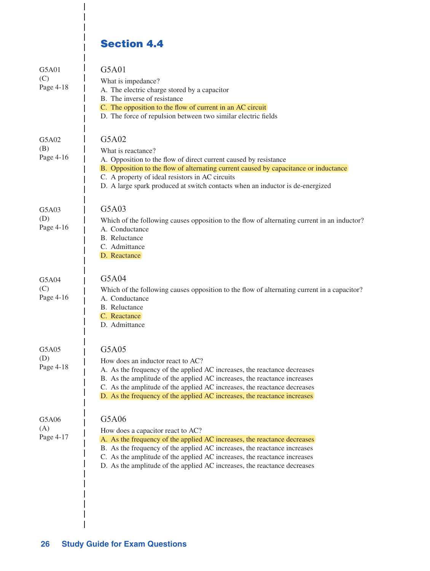## Section 4.4

I I I

| G5A01<br>(C)<br>Page 4-18 | G5A01<br>What is impedance?<br>A. The electric charge stored by a capacitor<br>B. The inverse of resistance<br>C. The opposition to the flow of current in an AC circuit<br>D. The force of repulsion between two similar electric fields                                                                                                                  |
|---------------------------|------------------------------------------------------------------------------------------------------------------------------------------------------------------------------------------------------------------------------------------------------------------------------------------------------------------------------------------------------------|
| G5A02<br>(B)<br>Page 4-16 | G5A02<br>What is reactance?<br>A. Opposition to the flow of direct current caused by resistance<br>B. Opposition to the flow of alternating current caused by capacitance or inductance<br>C. A property of ideal resistors in AC circuits<br>D. A large spark produced at switch contacts when an inductor is de-energized                                |
| G5A03<br>(D)<br>Page 4-16 | G5A03<br>Which of the following causes opposition to the flow of alternating current in an inductor?<br>A. Conductance<br><b>B.</b> Reluctance<br>C. Admittance<br>D. Reactance                                                                                                                                                                            |
| G5A04<br>(C)<br>Page 4-16 | G5A04<br>Which of the following causes opposition to the flow of alternating current in a capacitor?<br>A. Conductance<br><b>B.</b> Reluctance<br>C. Reactance<br>D. Admittance                                                                                                                                                                            |
| G5A05<br>(D)<br>Page 4-18 | G5A05<br>How does an inductor react to AC?<br>A. As the frequency of the applied AC increases, the reactance decreases<br>B. As the amplitude of the applied AC increases, the reactance increases<br>C. As the amplitude of the applied AC increases, the reactance decreases<br>D. As the frequency of the applied AC increases, the reactance increases |
| G5A06<br>(A)<br>Page 4-17 | G5A06<br>How does a capacitor react to AC?<br>A. As the frequency of the applied AC increases, the reactance decreases<br>B. As the frequency of the applied AC increases, the reactance increases<br>C. As the amplitude of the applied AC increases, the reactance increases<br>D. As the amplitude of the applied AC increases, the reactance decreases |

 $\overline{\phantom{a}}$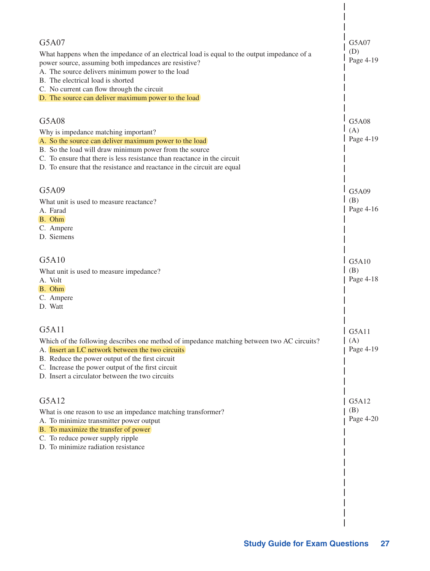| G5A07<br>What happens when the impedance of an electrical load is equal to the output impedance of a<br>power source, assuming both impedances are resistive?<br>A. The source delivers minimum power to the load<br>B. The electrical load is shorted<br>C. No current can flow through the circuit<br>D. The source can deliver maximum power to the load | G5A07<br>(D)<br>Page 4-19 |
|-------------------------------------------------------------------------------------------------------------------------------------------------------------------------------------------------------------------------------------------------------------------------------------------------------------------------------------------------------------|---------------------------|
| G5A08<br>Why is impedance matching important?<br>A. So the source can deliver maximum power to the load<br>B. So the load will draw minimum power from the source<br>C. To ensure that there is less resistance than reactance in the circuit<br>D. To ensure that the resistance and reactance in the circuit are equal                                    | G5A08<br>(A)<br>Page 4-19 |
| G5A09<br>What unit is used to measure reactance?<br>A. Farad<br>B. Ohm<br>C. Ampere<br>D. Siemens                                                                                                                                                                                                                                                           | G5A09<br>(B)<br>Page 4-16 |
| G5A10<br>What unit is used to measure impedance?<br>A. Volt<br>B. Ohm<br>C. Ampere<br>D. Watt                                                                                                                                                                                                                                                               | G5A10<br>(B)<br>Page 4-18 |
| G5A11<br>Which of the following describes one method of impedance matching between two AC circuits?<br>A. Insert an LC network between the two circuits<br>B. Reduce the power output of the first circuit<br>C. Increase the power output of the first circuit<br>D. Insert a circulator between the two circuits                                          | G5A11<br>(A)<br>Page 4-19 |
| G5A12<br>What is one reason to use an impedance matching transformer?<br>A. To minimize transmitter power output<br>B. To maximize the transfer of power<br>C. To reduce power supply ripple<br>D. To minimize radiation resistance                                                                                                                         | G5A12<br>(B)<br>Page 4-20 |
|                                                                                                                                                                                                                                                                                                                                                             |                           |

 $\overline{\phantom{a}}$  $\overline{\phantom{a}}$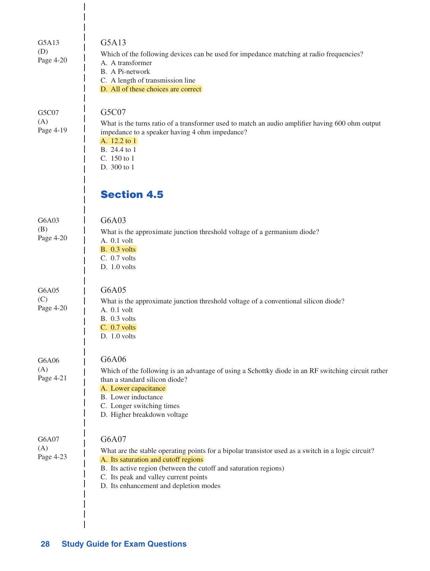| G5A13<br>(D)<br>Page 4-20 | G5A13<br>Which of the following devices can be used for impedance matching at radio frequencies?<br>A. A transformer<br>B. A Pi-network<br>C. A length of transmission line<br>D. All of these choices are correct                                                                                         |
|---------------------------|------------------------------------------------------------------------------------------------------------------------------------------------------------------------------------------------------------------------------------------------------------------------------------------------------------|
| G5C07<br>(A)<br>Page 4-19 | G5C07<br>What is the turns ratio of a transformer used to match an audio amplifier having 600 ohm output<br>impedance to a speaker having 4 ohm impedance?<br>A. 12.2 to 1<br>B. 24.4 to 1<br>C. $150 \text{ to } 1$<br>D. 300 to 1                                                                        |
|                           | <b>Section 4.5</b>                                                                                                                                                                                                                                                                                         |
| G6A03<br>(B)<br>Page 4-20 | G6A03<br>What is the approximate junction threshold voltage of a germanium diode?<br>A. 0.1 volt<br><b>B.</b> 0.3 volts<br>C. 0.7 volts<br>D. 1.0 volts                                                                                                                                                    |
| G6A05<br>(C)<br>Page 4-20 | G6A05<br>What is the approximate junction threshold voltage of a conventional silicon diode?<br>A. 0.1 volt<br>B. 0.3 volts<br>C. 0.7 volts<br>D. 1.0 volts                                                                                                                                                |
| G6A06<br>(A)<br>Page 4-21 | G6A06<br>Which of the following is an advantage of using a Schottky diode in an RF switching circuit rather<br>than a standard silicon diode?<br>A. Lower capacitance<br>B. Lower inductance<br>C. Longer switching times<br>D. Higher breakdown voltage                                                   |
| G6A07<br>(A)<br>Page 4-23 | G6A07<br>What are the stable operating points for a bipolar transistor used as a switch in a logic circuit?<br>A. Its saturation and cutoff regions<br>B. Its active region (between the cutoff and saturation regions)<br>C. Its peak and valley current points<br>D. Its enhancement and depletion modes |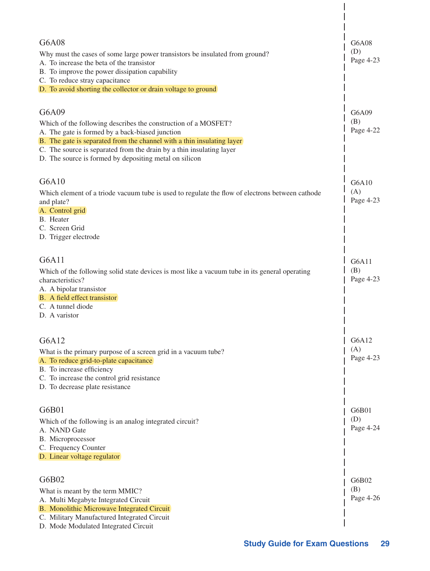| G6A08<br>Why must the cases of some large power transistors be insulated from ground?<br>A. To increase the beta of the transistor<br>B. To improve the power dissipation capability<br>C. To reduce stray capacitance<br>D. To avoid shorting the collector or drain voltage to ground                                                | G6A08<br>(D)<br>Page 4-23 |
|----------------------------------------------------------------------------------------------------------------------------------------------------------------------------------------------------------------------------------------------------------------------------------------------------------------------------------------|---------------------------|
| G6A09<br>Which of the following describes the construction of a MOSFET?<br>A. The gate is formed by a back-biased junction<br>B. The gate is separated from the channel with a thin insulating layer<br>C. The source is separated from the drain by a thin insulating layer<br>D. The source is formed by depositing metal on silicon | G6A09<br>(B)<br>Page 4-22 |
| G6A10<br>Which element of a triode vacuum tube is used to regulate the flow of electrons between cathode<br>and plate?<br>A. Control grid<br>B. Heater<br>C. Screen Grid<br>D. Trigger electrode                                                                                                                                       | G6A10<br>(A)<br>Page 4-23 |
| G6A11<br>Which of the following solid state devices is most like a vacuum tube in its general operating<br>characteristics?<br>A. A bipolar transistor<br>B. A field effect transistor<br>C. A tunnel diode<br>D. A varistor                                                                                                           | G6A11<br>(B)<br>Page 4-23 |
| G6A12<br>What is the primary purpose of a screen grid in a vacuum tube?<br>A. To reduce grid-to-plate capacitance<br>B. To increase efficiency<br>C. To increase the control grid resistance<br>D. To decrease plate resistance                                                                                                        | G6A12<br>(A)<br>Page 4-23 |
| G6B01<br>Which of the following is an analog integrated circuit?<br>A. NAND Gate<br>B. Microprocessor<br>C. Frequency Counter<br>D. Linear voltage regulator                                                                                                                                                                           | G6B01<br>(D)<br>Page 4-24 |
| G6B02<br>What is meant by the term MMIC?<br>A. Multi Megabyte Integrated Circuit<br>B. Monolithic Microwave Integrated Circuit<br>C. Military Manufactured Integrated Circuit<br>D. Mode Modulated Integrated Circuit                                                                                                                  | G6B02<br>(B)<br>Page 4-26 |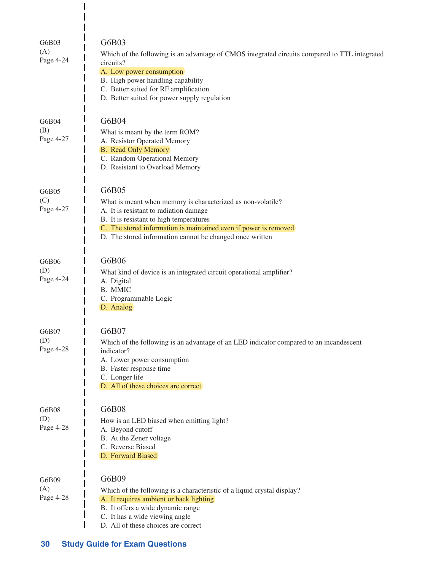| G6B03<br>(A)<br>Page 4-24 | G6B03<br>Which of the following is an advantage of CMOS integrated circuits compared to TTL integrated<br>circuits?<br>A. Low power consumption<br>B. High power handling capability<br>C. Better suited for RF amplification<br>D. Better suited for power supply regulation             |
|---------------------------|-------------------------------------------------------------------------------------------------------------------------------------------------------------------------------------------------------------------------------------------------------------------------------------------|
| G6B04<br>(B)<br>Page 4-27 | G6B04<br>What is meant by the term ROM?<br>A. Resistor Operated Memory<br><b>B.</b> Read Only Memory<br>C. Random Operational Memory<br>D. Resistant to Overload Memory                                                                                                                   |
| G6B05<br>(C)<br>Page 4-27 | G6B05<br>What is meant when memory is characterized as non-volatile?<br>A. It is resistant to radiation damage<br>B. It is resistant to high temperatures<br>C. The stored information is maintained even if power is removed<br>D. The stored information cannot be changed once written |
| G6B06<br>(D)<br>Page 4-24 | G6B06<br>What kind of device is an integrated circuit operational amplifier?<br>A. Digital<br>B. MMIC<br>C. Programmable Logic<br>D. Analog                                                                                                                                               |
| G6B07<br>(D)<br>Page 4-28 | G6B07<br>Which of the following is an advantage of an LED indicator compared to an incandescent<br>indicator?<br>A. Lower power consumption<br>B. Faster response time<br>C. Longer life<br>D. All of these choices are correct                                                           |
| G6B08<br>(D)<br>Page 4-28 | G6B08<br>How is an LED biased when emitting light?<br>A. Beyond cutoff<br>B. At the Zener voltage<br>C. Reverse Biased<br>D. Forward Biased                                                                                                                                               |
| G6B09<br>(A)<br>Page 4-28 | G6B09<br>Which of the following is a characteristic of a liquid crystal display?<br>A. It requires ambient or back lighting<br>B. It offers a wide dynamic range<br>C. It has a wide viewing angle<br>D. All of these choices are correct                                                 |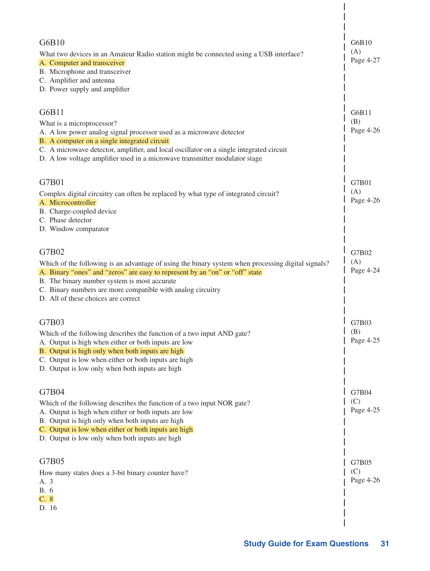| G6B10<br>What two devices in an Amateur Radio station might be connected using a USB interface?<br>A. Computer and transceiver<br>B. Microphone and transceiver<br>C. Amplifier and antenna<br>D. Power supply and amplifier                                                                                                                      | G6B10<br>(A)<br>Page 4-27 |
|---------------------------------------------------------------------------------------------------------------------------------------------------------------------------------------------------------------------------------------------------------------------------------------------------------------------------------------------------|---------------------------|
| G6B11<br>What is a microprocessor?<br>A. A low power analog signal processor used as a microwave detector<br>B. A computer on a single integrated circuit<br>C. A microwave detector, amplifier, and local oscillator on a single integrated circuit<br>D. A low voltage amplifier used in a microwave transmitter modulator stage                | G6B11<br>(B)<br>Page 4-26 |
| G7B01<br>Complex digital circuitry can often be replaced by what type of integrated circuit?<br>A. Microcontroller<br>B. Charge-coupled device<br>C. Phase detector<br>D. Window comparator                                                                                                                                                       | G7B01<br>(A)<br>Page 4-26 |
| G7B02<br>Which of the following is an advantage of using the binary system when processing digital signals?<br>A. Binary "ones" and "zeros" are easy to represent by an "on" or "off" state<br>B. The binary number system is most accurate<br>C. Binary numbers are more compatible with analog circuitry<br>D. All of these choices are correct | G7B02<br>(A)<br>Page 4-24 |
| G7B03<br>Which of the following describes the function of a two input AND gate?<br>A. Output is high when either or both inputs are low<br>B. Output is high only when both inputs are high<br>C. Output is low when either or both inputs are high<br>D. Output is low only when both inputs are high                                            | G7B03<br>(B)<br>Page 4-25 |
| G7B04<br>Which of the following describes the function of a two input NOR gate?<br>A. Output is high when either or both inputs are low<br>B. Output is high only when both inputs are high<br>C. Output is low when either or both inputs are high<br>D. Output is low only when both inputs are high                                            | G7B04<br>(C)<br>Page 4-25 |
| G7B05<br>How many states does a 3-bit binary counter have?<br>A. 3<br><b>B.</b> 6<br>C. 8<br>D. 16                                                                                                                                                                                                                                                | G7B05<br>(C)<br>Page 4-26 |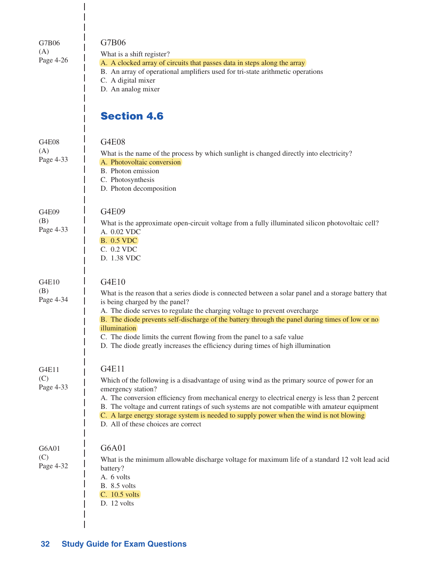| G7B06<br>(A)<br>Page 4-26 | G7B06<br>What is a shift register?<br>A. A clocked array of circuits that passes data in steps along the array<br>B. An array of operational amplifiers used for tri-state arithmetic operations<br>C. A digital mixer<br>D. An analog mixer                                                                                                                                                                                                                                                                  |
|---------------------------|---------------------------------------------------------------------------------------------------------------------------------------------------------------------------------------------------------------------------------------------------------------------------------------------------------------------------------------------------------------------------------------------------------------------------------------------------------------------------------------------------------------|
|                           | <b>Section 4.6</b>                                                                                                                                                                                                                                                                                                                                                                                                                                                                                            |
| G4E08<br>(A)<br>Page 4-33 | <b>G4E08</b><br>What is the name of the process by which sunlight is changed directly into electricity?<br>A. Photovoltaic conversion<br>B. Photon emission<br>C. Photosynthesis<br>D. Photon decomposition                                                                                                                                                                                                                                                                                                   |
| G4E09<br>(B)<br>Page 4-33 | G4E09<br>What is the approximate open-circuit voltage from a fully illuminated silicon photovoltaic cell?<br>A. 0.02 VDC<br><b>B.</b> 0.5 VDC<br>C. 0.2 VDC<br>D. 1.38 VDC                                                                                                                                                                                                                                                                                                                                    |
| G4E10<br>(B)<br>Page 4-34 | G4E10<br>What is the reason that a series diode is connected between a solar panel and a storage battery that<br>is being charged by the panel?<br>A. The diode serves to regulate the charging voltage to prevent overcharge<br>B. The diode prevents self-discharge of the battery through the panel during times of low or no<br>illumination<br>C. The diode limits the current flowing from the panel to a safe value<br>D. The diode greatly increases the efficiency during times of high illumination |
| G4E11<br>(C)<br>Page 4-33 | G4E11<br>Which of the following is a disadvantage of using wind as the primary source of power for an<br>emergency station?<br>A. The conversion efficiency from mechanical energy to electrical energy is less than 2 percent<br>B. The voltage and current ratings of such systems are not compatible with amateur equipment<br>C. A large energy storage system is needed to supply power when the wind is not blowing<br>D. All of these choices are correct                                              |
| G6A01<br>(C)<br>Page 4-32 | G6A01<br>What is the minimum allowable discharge voltage for maximum life of a standard 12 volt lead acid<br>battery?<br>A. 6 volts<br>B. 8.5 volts<br>C. 10.5 volts<br>D. 12 volts                                                                                                                                                                                                                                                                                                                           |

 $\frac{1}{1}$  $\overline{1}$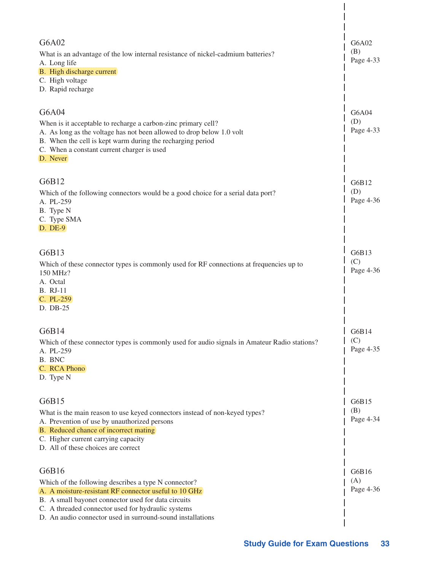| G6A02<br>What is an advantage of the low internal resistance of nickel-cadmium batteries?<br>A. Long life<br>B. High discharge current<br>C. High voltage<br>D. Rapid recharge                                                                                                                    | G6A02<br>(B)<br>Page 4-33 |
|---------------------------------------------------------------------------------------------------------------------------------------------------------------------------------------------------------------------------------------------------------------------------------------------------|---------------------------|
| G6A04<br>When is it acceptable to recharge a carbon-zinc primary cell?<br>A. As long as the voltage has not been allowed to drop below 1.0 volt<br>B. When the cell is kept warm during the recharging period<br>C. When a constant current charger is used<br>D. Never                           | G6A04<br>(D)<br>Page 4-33 |
| G6B12<br>Which of the following connectors would be a good choice for a serial data port?<br>A. PL-259<br>B. Type N<br>C. Type SMA<br>D. DE-9                                                                                                                                                     | G6B12<br>(D)<br>Page 4-36 |
| G6B13<br>Which of these connector types is commonly used for RF connections at frequencies up to<br>150 MHz?<br>A. Octal<br><b>B.</b> RJ-11<br>C. PL-259<br>D. DB-25                                                                                                                              | G6B13<br>(C)<br>Page 4-36 |
| G6B14<br>Which of these connector types is commonly used for audio signals in Amateur Radio stations?<br>A. PL-259<br>B. BNC<br>C. RCA Phono<br>D. Type N                                                                                                                                         | G6B14<br>(C)<br>Page 4-35 |
| G6B15<br>What is the main reason to use keyed connectors instead of non-keyed types?<br>A. Prevention of use by unauthorized persons<br>B. Reduced chance of incorrect mating<br>C. Higher current carrying capacity<br>D. All of these choices are correct                                       | G6B15<br>(B)<br>Page 4-34 |
| G6B16<br>Which of the following describes a type N connector?<br>A. A moisture-resistant RF connector useful to 10 GHz<br>B. A small bayonet connector used for data circuits<br>C. A threaded connector used for hydraulic systems<br>D. An audio connector used in surround-sound installations | G6B16<br>(A)<br>Page 4-36 |

 $\overline{\phantom{a}}$  $\overline{\phantom{a}}$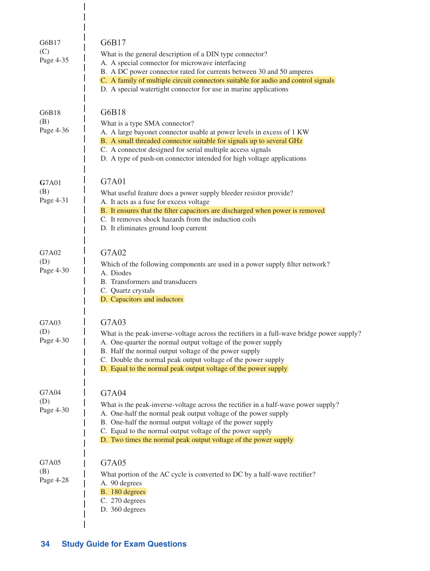| G6B17<br>(C)<br>Page 4-35 | G6B17<br>What is the general description of a DIN type connector?<br>A. A special connector for microwave interfacing<br>B. A DC power connector rated for currents between 30 and 50 amperes<br>C. A family of multiple circuit connectors suitable for audio and control signals<br>D. A special watertight connector for use in marine applications         |
|---------------------------|----------------------------------------------------------------------------------------------------------------------------------------------------------------------------------------------------------------------------------------------------------------------------------------------------------------------------------------------------------------|
| G6B18<br>(B)<br>Page 4-36 | G6B18<br>What is a type SMA connector?<br>A. A large bayonet connector usable at power levels in excess of 1 KW<br>B. A small threaded connector suitable for signals up to several GHz<br>C. A connector designed for serial multiple access signals<br>D. A type of push-on connector intended for high voltage applications                                 |
| G7A01<br>(B)<br>Page 4-31 | G7A01<br>What useful feature does a power supply bleeder resistor provide?<br>A. It acts as a fuse for excess voltage<br>B. It ensures that the filter capacitors are discharged when power is removed<br>C. It removes shock hazards from the induction coils<br>D. It eliminates ground loop current                                                         |
| G7A02<br>(D)<br>Page 4-30 | G7A02<br>Which of the following components are used in a power supply filter network?<br>A. Diodes<br>B. Transformers and transducers<br>C. Quartz crystals<br>D. Capacitors and inductors                                                                                                                                                                     |
| G7A03<br>(D)<br>Page 4-30 | G7A03<br>What is the peak-inverse-voltage across the rectifiers in a full-wave bridge power supply?<br>A. One-quarter the normal output voltage of the power supply<br>B. Half the normal output voltage of the power supply<br>C. Double the normal peak output voltage of the power supply<br>D. Equal to the normal peak output voltage of the power supply |
| G7A04<br>(D)<br>Page 4-30 | G7A04<br>What is the peak-inverse-voltage across the rectifier in a half-wave power supply?<br>A. One-half the normal peak output voltage of the power supply<br>B. One-half the normal output voltage of the power supply<br>C. Equal to the normal output voltage of the power supply<br>D. Two times the normal peak output voltage of the power supply     |
| G7A05<br>(B)<br>Page 4-28 | G7A05<br>What portion of the AC cycle is converted to DC by a half-wave rectifier?<br>A. 90 degrees<br>B. 180 degrees<br>C. 270 degrees<br>D. 360 degrees                                                                                                                                                                                                      |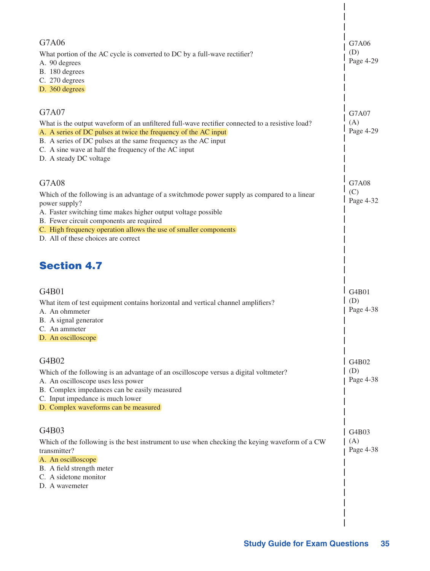| G7A06<br>What portion of the AC cycle is converted to DC by a full-wave rectifier?<br>A. 90 degrees<br>B. 180 degrees<br>C. 270 degrees<br>D. 360 degrees                                                                                                                                                                                     | G7A06<br>(D)<br>Page 4-29 |
|-----------------------------------------------------------------------------------------------------------------------------------------------------------------------------------------------------------------------------------------------------------------------------------------------------------------------------------------------|---------------------------|
| G7A07<br>What is the output waveform of an unfiltered full-wave rectifier connected to a resistive load?<br>A. A series of DC pulses at twice the frequency of the AC input<br>B. A series of DC pulses at the same frequency as the AC input<br>C. A sine wave at half the frequency of the AC input<br>D. A steady DC voltage               | G7A07<br>(A)<br>Page 4-29 |
| G7A08<br>Which of the following is an advantage of a switchmode power supply as compared to a linear<br>power supply?<br>A. Faster switching time makes higher output voltage possible<br>B. Fewer circuit components are required<br>C. High frequency operation allows the use of smaller components<br>D. All of these choices are correct | G7A08<br>(C)<br>Page 4-32 |
| <b>Section 4.7</b>                                                                                                                                                                                                                                                                                                                            |                           |
| G4B01<br>What item of test equipment contains horizontal and vertical channel amplifiers?<br>A. An ohmmeter<br>B. A signal generator<br>C. An ammeter<br>D. An oscilloscope                                                                                                                                                                   | G4B01<br>(D)<br>Page 4-38 |
| G4B02<br>Which of the following is an advantage of an oscilloscope versus a digital voltmeter?<br>A. An oscilloscope uses less power<br>B. Complex impedances can be easily measured<br>C. Input impedance is much lower<br>D. Complex waveforms can be measured                                                                              | G4B02<br>(D)<br>Page 4-38 |
| G4B03<br>Which of the following is the best instrument to use when checking the keying waveform of a CW<br>transmitter?<br>A. An oscilloscope<br>B. A field strength meter<br>C. A sidetone monitor<br>D. A wavemeter                                                                                                                         | G4B03<br>(A)<br>Page 4-38 |

 $\overline{\phantom{a}}$ 

 $\overline{\phantom{a}}$  $\overline{\phantom{a}}$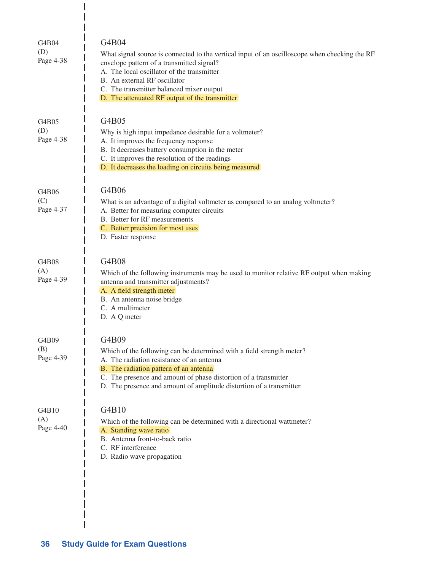| G4B04<br>(D)<br>Page 4-38 | G4B04<br>What signal source is connected to the vertical input of an oscilloscope when checking the RF<br>envelope pattern of a transmitted signal?<br>A. The local oscillator of the transmitter<br>B. An external RF oscillator<br>C. The transmitter balanced mixer output<br>D. The attenuated RF output of the transmitter |
|---------------------------|---------------------------------------------------------------------------------------------------------------------------------------------------------------------------------------------------------------------------------------------------------------------------------------------------------------------------------|
| G4B05<br>(D)<br>Page 4-38 | G4B05<br>Why is high input impedance desirable for a voltmeter?<br>A. It improves the frequency response<br>B. It decreases battery consumption in the meter<br>C. It improves the resolution of the readings<br>D. It decreases the loading on circuits being measured                                                         |
| G4B06<br>(C)<br>Page 4-37 | G4B06<br>What is an advantage of a digital voltmeter as compared to an analog voltmeter?<br>A. Better for measuring computer circuits<br><b>B.</b> Better for RF measurements<br>C. Better precision for most uses<br>D. Faster response                                                                                        |
| G4B08<br>(A)<br>Page 4-39 | G4B08<br>Which of the following instruments may be used to monitor relative RF output when making<br>antenna and transmitter adjustments?<br>A. A field strength meter<br>B. An antenna noise bridge<br>C. A multimeter<br>D. A Q meter                                                                                         |
| G4B09<br>(B)<br>Page 4-39 | G4B09<br>Which of the following can be determined with a field strength meter?<br>A. The radiation resistance of an antenna<br>B. The radiation pattern of an antenna<br>C. The presence and amount of phase distortion of a transmitter<br>D. The presence and amount of amplitude distortion of a transmitter                 |
| G4B10<br>(A)<br>Page 4-40 | G4B10<br>Which of the following can be determined with a directional wattmeter?<br>A. Standing wave ratio<br>B. Antenna front-to-back ratio<br>C. RF interference<br>D. Radio wave propagation                                                                                                                                  |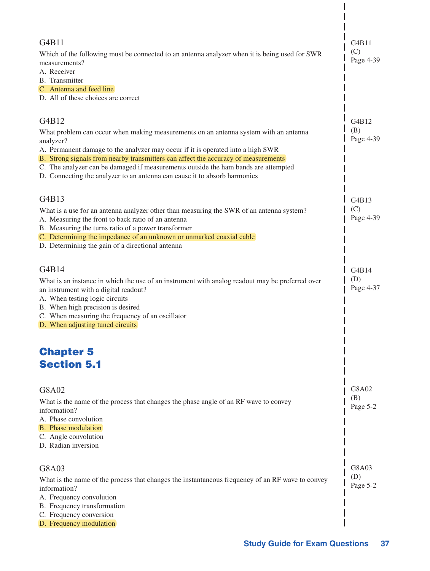| G4B11<br>Which of the following must be connected to an antenna analyzer when it is being used for SWR<br>measurements?<br>A. Receiver                                                                                                                                                                                                                | G4B11<br>(C)<br>Page 4-39 |
|-------------------------------------------------------------------------------------------------------------------------------------------------------------------------------------------------------------------------------------------------------------------------------------------------------------------------------------------------------|---------------------------|
| B. Transmitter<br>C. Antenna and feed line<br>D. All of these choices are correct                                                                                                                                                                                                                                                                     |                           |
| G4B12<br>What problem can occur when making measurements on an antenna system with an antenna                                                                                                                                                                                                                                                         | G4B12<br>(B)              |
| analyzer?<br>A. Permanent damage to the analyzer may occur if it is operated into a high SWR<br>B. Strong signals from nearby transmitters can affect the accuracy of measurements<br>C. The analyzer can be damaged if measurements outside the ham bands are attempted<br>D. Connecting the analyzer to an antenna can cause it to absorb harmonics | Page 4-39                 |
|                                                                                                                                                                                                                                                                                                                                                       |                           |
| G4B13<br>What is a use for an antenna analyzer other than measuring the SWR of an antenna system?<br>A. Measuring the front to back ratio of an antenna<br>B. Measuring the turns ratio of a power transformer<br>C. Determining the impedance of an unknown or unmarked coaxial cable<br>D. Determining the gain of a directional antenna            | G4B13<br>(C)<br>Page 4-39 |
| G4B14<br>What is an instance in which the use of an instrument with analog readout may be preferred over<br>an instrument with a digital readout?<br>A. When testing logic circuits                                                                                                                                                                   | G4B14<br>(D)<br>Page 4-37 |
| B. When high precision is desired<br>C. When measuring the frequency of an oscillator<br>D. When adjusting tuned circuits                                                                                                                                                                                                                             |                           |
| <b>Chapter 5</b><br><b>Section 5.1</b>                                                                                                                                                                                                                                                                                                                |                           |
|                                                                                                                                                                                                                                                                                                                                                       | G8A02                     |
| G8A02<br>What is the name of the process that changes the phase angle of an RF wave to convey<br>information?<br>A. Phase convolution                                                                                                                                                                                                                 | (B)<br>Page 5-2           |
| <b>B.</b> Phase modulation<br>C. Angle convolution<br>D. Radian inversion                                                                                                                                                                                                                                                                             |                           |
| G8A03                                                                                                                                                                                                                                                                                                                                                 | G8A03                     |
| What is the name of the process that changes the instantaneous frequency of an RF wave to convey<br>information?                                                                                                                                                                                                                                      | (D)<br>Page 5-2           |
| A. Frequency convolution<br>B. Frequency transformation                                                                                                                                                                                                                                                                                               |                           |
| C. Frequency conversion<br>D. Frequency modulation                                                                                                                                                                                                                                                                                                    |                           |

 $\overline{\phantom{a}}$  $\overline{\phantom{a}}$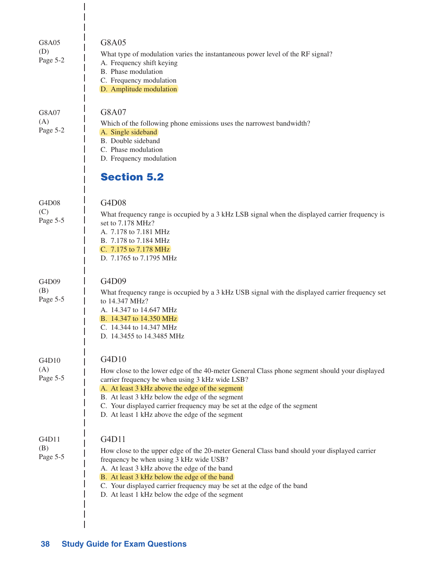| G8A05<br>(D)<br>Page 5-2 | G8A05<br>What type of modulation varies the instantaneous power level of the RF signal?<br>A. Frequency shift keying<br>B. Phase modulation<br>C. Frequency modulation<br>D. Amplitude modulation                                                                                                                                                                                      |
|--------------------------|----------------------------------------------------------------------------------------------------------------------------------------------------------------------------------------------------------------------------------------------------------------------------------------------------------------------------------------------------------------------------------------|
| G8A07<br>(A)<br>Page 5-2 | G8A07<br>Which of the following phone emissions uses the narrowest bandwidth?<br>A. Single sideband<br>B. Double sideband<br>C. Phase modulation<br>D. Frequency modulation<br><b>Section 5.2</b>                                                                                                                                                                                      |
|                          |                                                                                                                                                                                                                                                                                                                                                                                        |
| G4D08<br>(C)<br>Page 5-5 | G4D08<br>What frequency range is occupied by a 3 kHz LSB signal when the displayed carrier frequency is<br>set to 7.178 MHz?<br>A. 7.178 to 7.181 MHz<br>B. 7.178 to 7.184 MHz<br>C. 7.175 to 7.178 MHz<br>D. 7.1765 to 7.1795 MHz                                                                                                                                                     |
| G4D09<br>(B)<br>Page 5-5 | G4D09<br>What frequency range is occupied by a 3 kHz USB signal with the displayed carrier frequency set<br>to 14.347 MHz?<br>A. 14.347 to 14.647 MHz<br>B. 14.347 to 14.350 MHz<br>C. 14.344 to 14.347 MHz<br>D. 14.3455 to 14.3485 MHz                                                                                                                                               |
| G4D10                    | G4D10                                                                                                                                                                                                                                                                                                                                                                                  |
| (A)<br>Page 5-5          | How close to the lower edge of the 40-meter General Class phone segment should your displayed<br>carrier frequency be when using 3 kHz wide LSB?<br>A. At least 3 kHz above the edge of the segment<br>B. At least 3 kHz below the edge of the segment<br>C. Your displayed carrier frequency may be set at the edge of the segment<br>D. At least 1 kHz above the edge of the segment |
| G4D11<br>(B)<br>Page 5-5 | G4D11<br>How close to the upper edge of the 20-meter General Class band should your displayed carrier<br>frequency be when using 3 kHz wide USB?<br>A. At least 3 kHz above the edge of the band<br>B. At least 3 kHz below the edge of the band<br>C. Your displayed carrier frequency may be set at the edge of the band<br>D. At least 1 kHz below the edge of the segment          |

 $\mathbf{I}$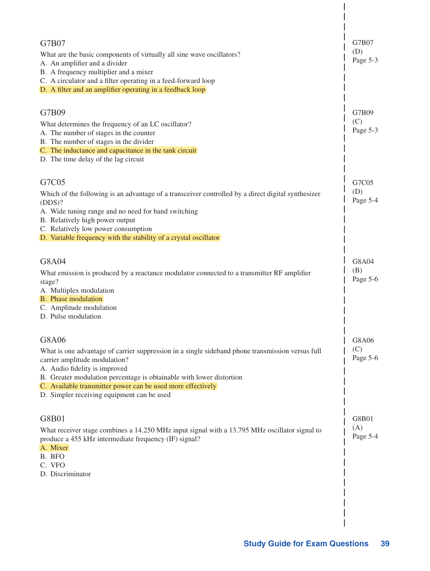| G7B07<br>What are the basic components of virtually all sine wave oscillators?<br>A. An amplifier and a divider<br>B. A frequency multiplier and a mixer<br>C. A circulator and a filter operating in a feed-forward loop<br>D. A filter and an amplifier operating in a feedback loop                                                                           | G7B07<br>(D)<br>Page 5-3 |
|------------------------------------------------------------------------------------------------------------------------------------------------------------------------------------------------------------------------------------------------------------------------------------------------------------------------------------------------------------------|--------------------------|
| G7B09<br>What determines the frequency of an LC oscillator?<br>A. The number of stages in the counter<br>B. The number of stages in the divider<br>C. The inductance and capacitance in the tank circuit<br>D. The time delay of the lag circuit                                                                                                                 | G7B09<br>(C)<br>Page 5-3 |
| G7C05<br>Which of the following is an advantage of a transceiver controlled by a direct digital synthesizer<br>(DDS)?<br>A. Wide tuning range and no need for band switching<br>B. Relatively high power output<br>C. Relatively low power consumption<br>D. Variable frequency with the stability of a crystal oscillator                                       | G7C05<br>(D)<br>Page 5-4 |
| G8A04<br>What emission is produced by a reactance modulator connected to a transmitter RF amplifier<br>stage?<br>A. Multiplex modulation<br><b>B.</b> Phase modulation<br>C. Amplitude modulation<br>D. Pulse modulation                                                                                                                                         | G8A04<br>(B)<br>Page 5-6 |
| G8A06<br>What is one advantage of carrier suppression in a single sideband phone transmission versus full<br>carrier amplitude modulation?<br>A. Audio fidelity is improved<br>B. Greater modulation percentage is obtainable with lower distortion<br>C. Available transmitter power can be used more effectively<br>D. Simpler receiving equipment can be used | G8A06<br>(C)<br>Page 5-6 |
| G8B01<br>What receiver stage combines a 14.250 MHz input signal with a 13.795 MHz oscillator signal to<br>produce a 455 kHz intermediate frequency (IF) signal?<br>A. Mixer<br>B. BFO<br>C. VFO<br>D. Discriminator                                                                                                                                              | G8B01<br>(A)<br>Page 5-4 |

 $\vert$  $\overline{\phantom{a}}$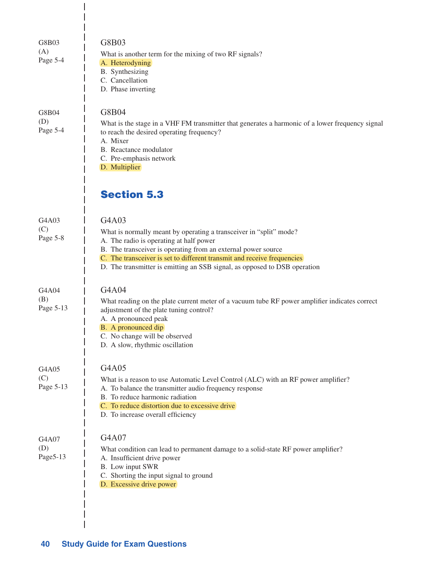| G8B03<br>(A)<br>Page 5-4  | G8B03<br>What is another term for the mixing of two RF signals?<br>A. Heterodyning<br>B. Synthesizing<br>C. Cancellation<br>D. Phase inverting                                                                                                                                                                                                  |
|---------------------------|-------------------------------------------------------------------------------------------------------------------------------------------------------------------------------------------------------------------------------------------------------------------------------------------------------------------------------------------------|
| G8B04<br>(D)<br>Page 5-4  | G8B04<br>What is the stage in a VHF FM transmitter that generates a harmonic of a lower frequency signal<br>to reach the desired operating frequency?<br>A. Mixer<br>B. Reactance modulator<br>C. Pre-emphasis network<br>D. Multiplier                                                                                                         |
|                           | <b>Section 5.3</b>                                                                                                                                                                                                                                                                                                                              |
| G4A03<br>(C)<br>Page 5-8  | G4A03<br>What is normally meant by operating a transceiver in "split" mode?<br>A. The radio is operating at half power<br>B. The transceiver is operating from an external power source<br>C. The transceiver is set to different transmit and receive frequencies<br>D. The transmitter is emitting an SSB signal, as opposed to DSB operation |
| G4A04<br>(B)<br>Page 5-13 | G4A04<br>What reading on the plate current meter of a vacuum tube RF power amplifier indicates correct<br>adjustment of the plate tuning control?<br>A. A pronounced peak<br>B. A pronounced dip<br>C. No change will be observed<br>D. A slow, rhythmic oscillation                                                                            |
| G4A05<br>(C)<br>Page 5-13 | G4A05<br>What is a reason to use Automatic Level Control (ALC) with an RF power amplifier?<br>A. To balance the transmitter audio frequency response<br>B. To reduce harmonic radiation<br>C. To reduce distortion due to excessive drive<br>D. To increase overall efficiency                                                                  |
| G4A07<br>(D)<br>Page5-13  | G4A07<br>What condition can lead to permanent damage to a solid-state RF power amplifier?<br>A. Insufficient drive power<br>B. Low input SWR<br>C. Shorting the input signal to ground<br>D. Excessive drive power                                                                                                                              |

 $\begin{array}{c} \hline \end{array}$  $\overline{\phantom{a}}$  $\mathbf{I}$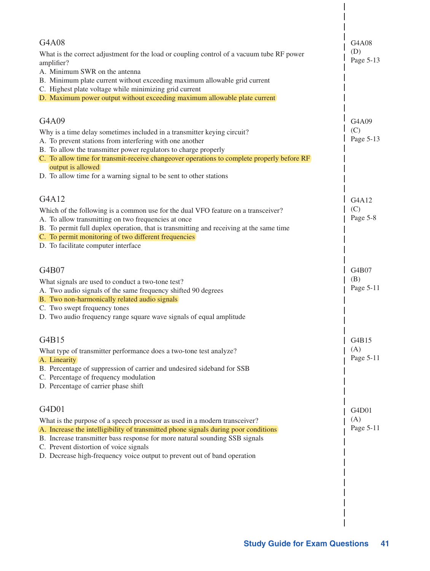| G4A08<br>What is the correct adjustment for the load or coupling control of a vacuum tube RF power<br>amplifier?<br>A. Minimum SWR on the antenna<br>B. Minimum plate current without exceeding maximum allowable grid current<br>C. Highest plate voltage while minimizing grid current<br>D. Maximum power output without exceeding maximum allowable plate current                                    | G4A08<br>(D)<br>Page 5-13 |
|----------------------------------------------------------------------------------------------------------------------------------------------------------------------------------------------------------------------------------------------------------------------------------------------------------------------------------------------------------------------------------------------------------|---------------------------|
| G4A09<br>Why is a time delay sometimes included in a transmitter keying circuit?<br>A. To prevent stations from interfering with one another<br>B. To allow the transmitter power regulators to charge properly<br>C. To allow time for transmit-receive changeover operations to complete properly before RF<br>output is allowed<br>D. To allow time for a warning signal to be sent to other stations | G4A09<br>(C)<br>Page 5-13 |
| G4A12<br>Which of the following is a common use for the dual VFO feature on a transceiver?<br>A. To allow transmitting on two frequencies at once<br>B. To permit full duplex operation, that is transmitting and receiving at the same time<br>C. To permit monitoring of two different frequencies<br>D. To facilitate computer interface                                                              | G4A12<br>(C)<br>Page 5-8  |
| G4B07<br>What signals are used to conduct a two-tone test?<br>A. Two audio signals of the same frequency shifted 90 degrees<br>B. Two non-harmonically related audio signals<br>C. Two swept frequency tones<br>D. Two audio frequency range square wave signals of equal amplitude                                                                                                                      | G4B07<br>(B)<br>Page 5-11 |
| G4B15<br>What type of transmitter performance does a two-tone test analyze?<br>A. Linearity<br>B. Percentage of suppression of carrier and undesired sideband for SSB<br>C. Percentage of frequency modulation<br>D. Percentage of carrier phase shift                                                                                                                                                   | G4B15<br>(A)<br>Page 5-11 |
| G4D01<br>What is the purpose of a speech processor as used in a modern transceiver?<br>A. Increase the intelligibility of transmitted phone signals during poor conditions<br>B. Increase transmitter bass response for more natural sounding SSB signals<br>C. Prevent distortion of voice signals<br>D. Decrease high-frequency voice output to prevent out of band operation                          | G4D01<br>(A)<br>Page 5-11 |
|                                                                                                                                                                                                                                                                                                                                                                                                          |                           |

 $\begin{array}{c} \end{array}$  $\overline{1}$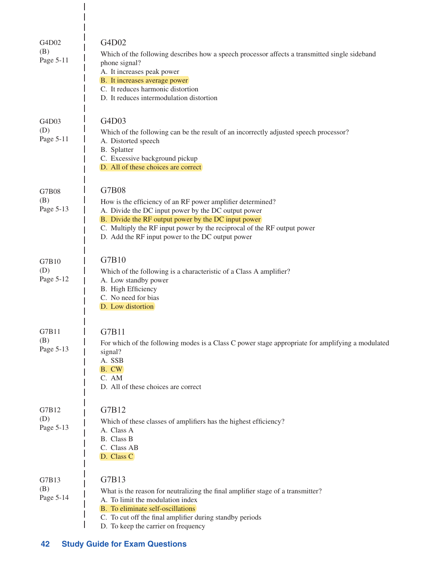| G4D02<br>(B)<br>Page 5-11 | G4D02<br>Which of the following describes how a speech processor affects a transmitted single sideband<br>phone signal?<br>A. It increases peak power<br>B. It increases average power<br>C. It reduces harmonic distortion<br>D. It reduces intermodulation distortion                                          |
|---------------------------|------------------------------------------------------------------------------------------------------------------------------------------------------------------------------------------------------------------------------------------------------------------------------------------------------------------|
| G4D03<br>(D)<br>Page 5-11 | G4D03<br>Which of the following can be the result of an incorrectly adjusted speech processor?<br>A. Distorted speech<br>B. Splatter<br>C. Excessive background pickup<br>D. All of these choices are correct                                                                                                    |
| G7B08<br>(B)<br>Page 5-13 | G7B08<br>How is the efficiency of an RF power amplifier determined?<br>A. Divide the DC input power by the DC output power<br>B. Divide the RF output power by the DC input power<br>C. Multiply the RF input power by the reciprocal of the RF output power<br>D. Add the RF input power to the DC output power |
| G7B10<br>(D)<br>Page 5-12 | G7B10<br>Which of the following is a characteristic of a Class A amplifier?<br>A. Low standby power<br>B. High Efficiency<br>C. No need for bias<br>D. Low distortion                                                                                                                                            |
| G7B11<br>(B)<br>Page 5-13 | G7B11<br>For which of the following modes is a Class C power stage appropriate for amplifying a modulated<br>signal?<br>A. SSB<br>B. CW<br>C. AM<br>D. All of these choices are correct                                                                                                                          |
| G7B12<br>(D)<br>Page 5-13 | G7B12<br>Which of these classes of amplifiers has the highest efficiency?<br>A. Class A<br>B. Class B<br>C. Class AB<br>D. Class C                                                                                                                                                                               |
| G7B13<br>(B)<br>Page 5-14 | G7B13<br>What is the reason for neutralizing the final amplifier stage of a transmitter?<br>A. To limit the modulation index<br>B. To eliminate self-oscillations<br>C. To cut off the final amplifier during standby periods<br>D. To keep the carrier on frequency                                             |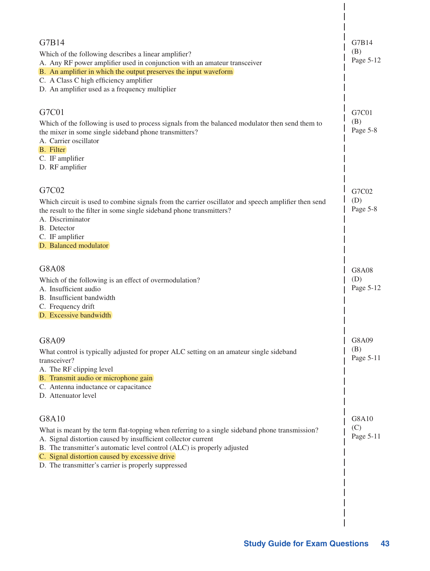| G7B14<br>(B)<br>Page 5-12        |
|----------------------------------|
| G7C01<br>(B)<br>Page 5-8         |
| G7C02<br>(D)<br>Page 5-8         |
| <b>G8A08</b><br>(D)<br>Page 5-12 |
| G8A09<br>(B)<br>Page 5-11        |
| G8A10<br>(C)<br>Page 5-11        |
|                                  |

 $\begin{array}{c} \end{array}$  $\overline{\phantom{a}}$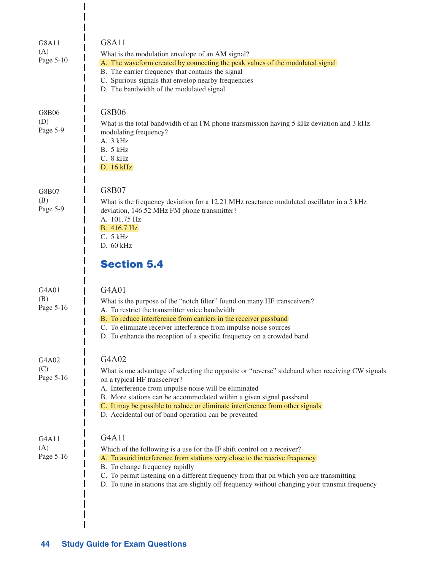| G8A11<br>(A)<br>Page 5-10 | <b>G8A11</b><br>What is the modulation envelope of an AM signal?<br>A. The waveform created by connecting the peak values of the modulated signal<br>B. The carrier frequency that contains the signal<br>C. Spurious signals that envelop nearby frequencies<br>D. The bandwidth of the modulated signal                                                                                                        |
|---------------------------|------------------------------------------------------------------------------------------------------------------------------------------------------------------------------------------------------------------------------------------------------------------------------------------------------------------------------------------------------------------------------------------------------------------|
| G8B06<br>(D)<br>Page 5-9  | G8B06<br>What is the total bandwidth of an FM phone transmission having 5 kHz deviation and 3 kHz<br>modulating frequency?<br>A. 3 kHz<br>B. 5 kHz<br>C. 8 kHz<br>D. 16 kHz                                                                                                                                                                                                                                      |
| G8B07<br>(B)<br>Page 5-9  | G8B07<br>What is the frequency deviation for a 12.21 MHz reactance modulated oscillator in a 5 kHz<br>deviation, 146.52 MHz FM phone transmitter?<br>A. 101.75 Hz<br>B. 416.7 Hz<br>C. 5 kHz<br>$D.60$ kHz<br><b>Section 5.4</b>                                                                                                                                                                                 |
| G4A01<br>(B)<br>Page 5-16 | G4A01<br>What is the purpose of the "notch filter" found on many HF transceivers?<br>A. To restrict the transmitter voice bandwidth<br>B. To reduce interference from carriers in the receiver passband<br>C. To eliminate receiver interference from impulse noise sources<br>D. To enhance the reception of a specific frequency on a crowded band                                                             |
| G4A02<br>(C)<br>Page 5-16 | G4A02<br>What is one advantage of selecting the opposite or "reverse" sideband when receiving CW signals<br>on a typical HF transceiver?<br>A. Interference from impulse noise will be eliminated<br>B. More stations can be accommodated within a given signal passband<br>C. It may be possible to reduce or eliminate interference from other signals<br>D. Accidental out of band operation can be prevented |
| G4A11<br>(A)<br>Page 5-16 | G4A11<br>Which of the following is a use for the IF shift control on a receiver?<br>A. To avoid interference from stations very close to the receive frequency<br>B. To change frequency rapidly<br>C. To permit listening on a different frequency from that on which you are transmitting<br>D. To tune in stations that are slightly off frequency without changing your transmit frequency                   |

 $\mathsf I$  $\begin{array}{c} \hline \end{array}$  $\overline{1}$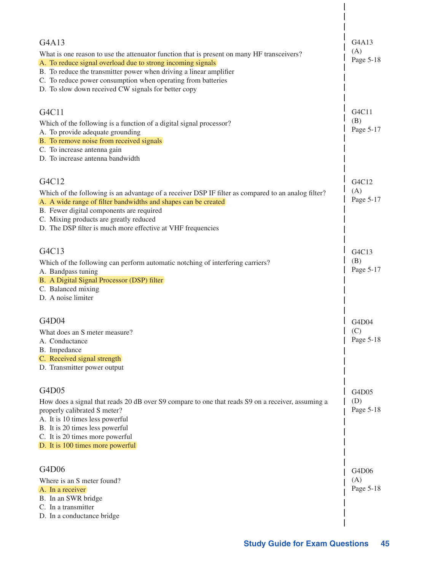| G4A13                                                                                                                             | G4A13            |
|-----------------------------------------------------------------------------------------------------------------------------------|------------------|
| What is one reason to use the attenuator function that is present on many HF transceivers?                                        | (A)<br>Page 5-18 |
| A. To reduce signal overload due to strong incoming signals<br>B. To reduce the transmitter power when driving a linear amplifier |                  |
| C. To reduce power consumption when operating from batteries                                                                      |                  |
| D. To slow down received CW signals for better copy                                                                               |                  |
|                                                                                                                                   |                  |
| G4C11                                                                                                                             | G4C11            |
| Which of the following is a function of a digital signal processor?                                                               | (B)              |
| A. To provide adequate grounding                                                                                                  | Page 5-17        |
| B. To remove noise from received signals<br>C. To increase antenna gain                                                           |                  |
| D. To increase antenna bandwidth                                                                                                  |                  |
|                                                                                                                                   |                  |
| G4C12                                                                                                                             | G4C12            |
| Which of the following is an advantage of a receiver DSP IF filter as compared to an analog filter?                               | (A)              |
| A. A wide range of filter bandwidths and shapes can be created                                                                    | Page 5-17        |
| B. Fewer digital components are required<br>C. Mixing products are greatly reduced                                                |                  |
| D. The DSP filter is much more effective at VHF frequencies                                                                       |                  |
|                                                                                                                                   |                  |
| G4C13                                                                                                                             | G4C13            |
| Which of the following can perform automatic notching of interfering carriers?                                                    | (B)              |
| A. Bandpass tuning                                                                                                                | Page 5-17        |
| B. A Digital Signal Processor (DSP) filter<br>C. Balanced mixing                                                                  |                  |
| D. A noise limiter                                                                                                                |                  |
|                                                                                                                                   |                  |
| G4D04                                                                                                                             | G4D04            |
| What does an S meter measure?                                                                                                     | (C)              |
| A. Conductance                                                                                                                    | Page 5-18        |
| B. Impedance<br>C. Received signal strength                                                                                       |                  |
| D. Transmitter power output                                                                                                       |                  |
|                                                                                                                                   |                  |
| G4D05                                                                                                                             | G4D05            |
| How does a signal that reads 20 dB over S9 compare to one that reads S9 on a receiver, assuming a                                 | (D)              |
| properly calibrated S meter?                                                                                                      | Page 5-18        |
| A. It is 10 times less powerful<br>B. It is 20 times less powerful                                                                |                  |
| C. It is 20 times more powerful                                                                                                   |                  |
| D. It is 100 times more powerful                                                                                                  |                  |
|                                                                                                                                   |                  |
| G4D06                                                                                                                             | G4D06            |
| Where is an S meter found?                                                                                                        | (A)              |
| A. In a receiver<br>B. In an SWR bridge                                                                                           | Page 5-18        |
| C. In a transmitter                                                                                                               |                  |
| D. In a conductance bridge                                                                                                        |                  |
|                                                                                                                                   |                  |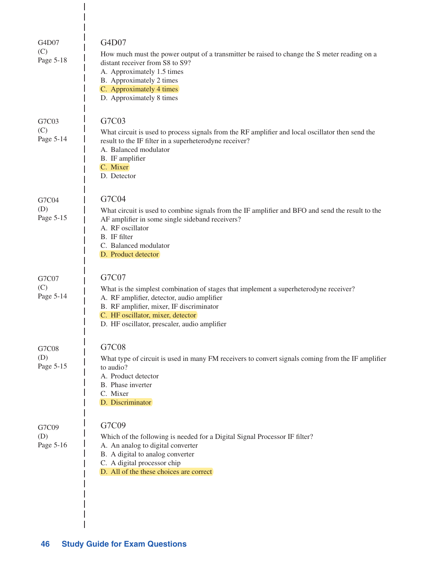| G4D07<br>(C)<br>Page 5-18 | G4D07<br>How much must the power output of a transmitter be raised to change the S meter reading on a<br>distant receiver from S8 to S9?<br>A. Approximately 1.5 times<br>B. Approximately 2 times<br>C. Approximately 4 times<br>D. Approximately 8 times                    |
|---------------------------|-------------------------------------------------------------------------------------------------------------------------------------------------------------------------------------------------------------------------------------------------------------------------------|
| G7C03<br>(C)<br>Page 5-14 | G7C03<br>What circuit is used to process signals from the RF amplifier and local oscillator then send the<br>result to the IF filter in a superheterodyne receiver?<br>A. Balanced modulator<br>B. IF amplifier<br>C. Mixer<br>D. Detector                                    |
| G7C04<br>(D)<br>Page 5-15 | G7C04<br>What circuit is used to combine signals from the IF amplifier and BFO and send the result to the<br>AF amplifier in some single sideband receivers?<br>A. RF oscillator<br>B. IF filter<br>C. Balanced modulator<br>D. Product detector                              |
| G7C07<br>(C)<br>Page 5-14 | G7C07<br>What is the simplest combination of stages that implement a superheterodyne receiver?<br>A. RF amplifier, detector, audio amplifier<br>B. RF amplifier, mixer, IF discriminator<br>C. HF oscillator, mixer, detector<br>D. HF oscillator, prescaler, audio amplifier |
| G7C08<br>(D)<br>Page 5-15 | G7C08<br>What type of circuit is used in many FM receivers to convert signals coming from the IF amplifier<br>to audio?<br>A. Product detector<br>B. Phase inverter<br>C. Mixer<br>D. Discriminator                                                                           |
| G7C09<br>(D)<br>Page 5-16 | G7C09<br>Which of the following is needed for a Digital Signal Processor IF filter?<br>A. An analog to digital converter<br>B. A digital to analog converter<br>C. A digital processor chip<br>D. All of the these choices are correct                                        |

 $\overline{\phantom{a}}$  $\begin{array}{c} \hline \end{array}$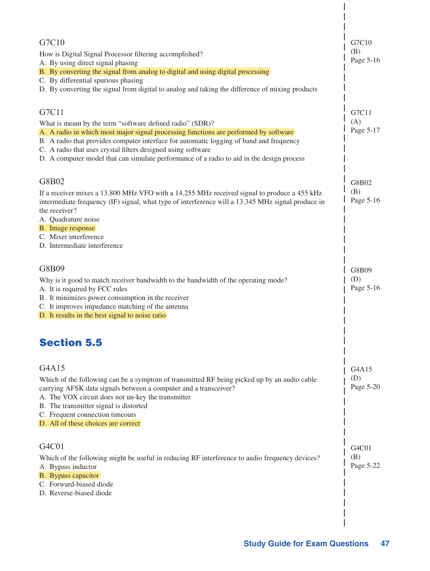| G7C10                                                                                                                                                                                                             | G7C10                          |
|-------------------------------------------------------------------------------------------------------------------------------------------------------------------------------------------------------------------|--------------------------------|
| How is Digital Signal Processor filtering accomplished?                                                                                                                                                           | (B)                            |
| A. By using direct signal phasing<br>B. By converting the signal from analog to digital and using digital processing                                                                                              | Page 5-16                      |
| C. By differential spurious phasing                                                                                                                                                                               |                                |
| D. By converting the signal from digital to analog and taking the difference of mixing products                                                                                                                   |                                |
| G7C11                                                                                                                                                                                                             | G7C11                          |
| What is meant by the term "software defined radio" (SDR)?                                                                                                                                                         | (A)                            |
| A. A radio in which most major signal processing functions are performed by software                                                                                                                              | Page 5-17                      |
| B. A radio that provides computer interface for automatic logging of band and frequency                                                                                                                           |                                |
| C. A radio that uses crystal filters designed using software<br>D. A computer model that can simulate performance of a radio to aid in the design process                                                         |                                |
| G8B02                                                                                                                                                                                                             |                                |
|                                                                                                                                                                                                                   | G8B02<br>(B)                   |
| If a receiver mixes a 13.800 MHz VFO with a 14.255 MHz received signal to produce a 455 kHz<br>intermediate frequency (IF) signal, what type of interference will a 13.345 MHz signal produce in<br>the receiver? | Page 5-16                      |
| A. Quadrature noise                                                                                                                                                                                               |                                |
| B. Image response                                                                                                                                                                                                 |                                |
| C. Mixer interference<br>D. Intermediate interference                                                                                                                                                             |                                |
|                                                                                                                                                                                                                   |                                |
| G8B09                                                                                                                                                                                                             | G8B09                          |
| Why is it good to match receiver bandwidth to the bandwidth of the operating mode?                                                                                                                                | (D)                            |
| A. It is required by FCC rules                                                                                                                                                                                    | Page 5-16                      |
| B. It minimizes power consumption in the receiver<br>C. It improves impedance matching of the antenna                                                                                                             |                                |
| D. It results in the best signal to noise ratio                                                                                                                                                                   |                                |
| <b>Section 5.5</b>                                                                                                                                                                                                |                                |
|                                                                                                                                                                                                                   |                                |
| G4A15                                                                                                                                                                                                             | G4A15                          |
| Which of the following can be a symptom of transmitted RF being picked up by an audio cable                                                                                                                       | (D)                            |
| carrying AFSK data signals between a computer and a transceiver?                                                                                                                                                  | Page 5-20                      |
| A. The VOX circuit does not un-key the transmitter<br>B. The transmitter signal is distorted                                                                                                                      |                                |
| C. Frequent connection timeouts                                                                                                                                                                                   |                                |
| D. All of these choices are correct                                                                                                                                                                               |                                |
| G4C01                                                                                                                                                                                                             | G <sub>4</sub> C <sub>01</sub> |
| Which of the following might be useful in reducing RF interference to audio frequency devices?                                                                                                                    | (B)                            |
| A. Bypass inductor                                                                                                                                                                                                | Page 5-22                      |
| B. Bypass capacitor                                                                                                                                                                                               |                                |
| C. Forward-biased diode<br>D. Reverse-biased diode                                                                                                                                                                |                                |
|                                                                                                                                                                                                                   |                                |
|                                                                                                                                                                                                                   |                                |

 $\overline{\phantom{a}}$  $\overline{\phantom{a}}$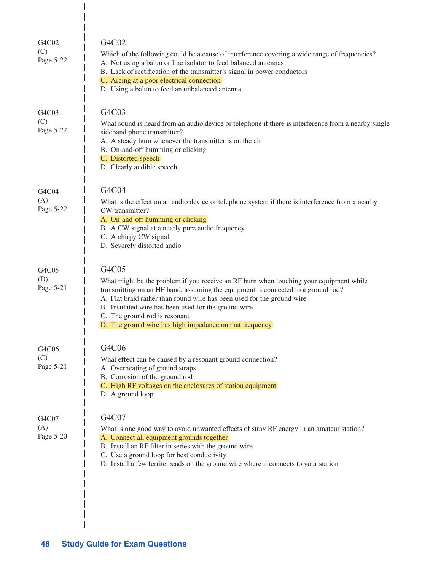| G4C02<br>(C)<br>Page 5-22 | G4C02<br>Which of the following could be a cause of interference covering a wide range of frequencies?<br>A. Not using a balun or line isolator to feed balanced antennas<br>B. Lack of rectification of the transmitter's signal in power conductors<br>C. Arcing at a poor electrical connection<br>D. Using a balun to feed an unbalanced antenna                                                             |
|---------------------------|------------------------------------------------------------------------------------------------------------------------------------------------------------------------------------------------------------------------------------------------------------------------------------------------------------------------------------------------------------------------------------------------------------------|
| G4C03<br>(C)<br>Page 5-22 | G4C03<br>What sound is heard from an audio device or telephone if there is interference from a nearby single<br>sideband phone transmitter?<br>A. A steady hum whenever the transmitter is on the air<br>B. On-and-off humming or clicking<br>C. Distorted speech<br>D. Clearly audible speech                                                                                                                   |
| G4C04<br>(A)<br>Page 5-22 | G4C04<br>What is the effect on an audio device or telephone system if there is interference from a nearby<br>CW transmitter?<br>A. On-and-off humming or clicking<br>B. A CW signal at a nearly pure audio frequency<br>C. A chirpy CW signal<br>D. Severely distorted audio                                                                                                                                     |
| G4C05<br>(D)<br>Page 5-21 | G4C05<br>What might be the problem if you receive an RF burn when touching your equipment while<br>transmitting on an HF band, assuming the equipment is connected to a ground rod?<br>A. Flat braid rather than round wire has been used for the ground wire<br>B. Insulated wire has been used for the ground wire<br>C. The ground rod is resonant<br>D. The ground wire has high impedance on that frequency |
| G4C06<br>(C)<br>Page 5-21 | G4C06<br>What effect can be caused by a resonant ground connection?<br>A. Overheating of ground straps<br>B. Corrosion of the ground rod<br>C. High RF voltages on the enclosures of station equipment<br>D. A ground loop                                                                                                                                                                                       |
| G4C07<br>(A)<br>Page 5-20 | G4C07<br>What is one good way to avoid unwanted effects of stray RF energy in an amateur station?<br>A. Connect all equipment grounds together<br>B. Install an RF filter in series with the ground wire<br>C. Use a ground loop for best conductivity<br>D. Install a few ferrite beads on the ground wire where it connects to your station                                                                    |

 $\frac{1}{1}$  $\overline{1}$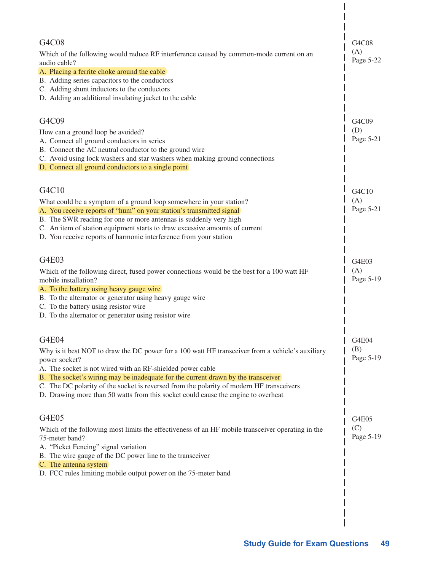| G4C08<br>Which of the following would reduce RF interference caused by common-mode current on an                                          | G4C08<br>(A) |
|-------------------------------------------------------------------------------------------------------------------------------------------|--------------|
| audio cable?                                                                                                                              | Page 5-22    |
| A. Placing a ferrite choke around the cable                                                                                               |              |
| B. Adding series capacitors to the conductors<br>C. Adding shunt inductors to the conductors                                              |              |
| D. Adding an additional insulating jacket to the cable                                                                                    |              |
|                                                                                                                                           |              |
| G4C09                                                                                                                                     | G4C09        |
| How can a ground loop be avoided?                                                                                                         | (D)          |
| A. Connect all ground conductors in series                                                                                                | Page 5-21    |
| B. Connect the AC neutral conductor to the ground wire<br>C. Avoid using lock washers and star washers when making ground connections     |              |
| D. Connect all ground conductors to a single point                                                                                        |              |
|                                                                                                                                           |              |
| G4C10                                                                                                                                     | G4C10        |
| What could be a symptom of a ground loop somewhere in your station?                                                                       | (A)          |
| A. You receive reports of "hum" on your station's transmitted signal<br>B. The SWR reading for one or more antennas is suddenly very high | Page 5-21    |
| C. An item of station equipment starts to draw excessive amounts of current                                                               |              |
| D. You receive reports of harmonic interference from your station                                                                         |              |
|                                                                                                                                           |              |
| G4E03                                                                                                                                     | G4E03        |
| Which of the following direct, fused power connections would be the best for a 100 watt HF                                                | (A)          |
| mobile installation?<br>A. To the battery using heavy gauge wire                                                                          | Page 5-19    |
| B. To the alternator or generator using heavy gauge wire                                                                                  |              |
| C. To the battery using resistor wire                                                                                                     |              |
| D. To the alternator or generator using resistor wire                                                                                     |              |
|                                                                                                                                           |              |
| G4E04                                                                                                                                     | G4E04<br>(B) |
| Why is it best NOT to draw the DC power for a 100 watt HF transceiver from a vehicle's auxiliary<br>power socket?                         | Page 5-19    |
| A. The socket is not wired with an RF-shielded power cable                                                                                |              |
| B. The socket's wiring may be inadequate for the current drawn by the transceiver                                                         |              |
| C. The DC polarity of the socket is reversed from the polarity of modern HF transceivers                                                  |              |
| D. Drawing more than 50 watts from this socket could cause the engine to overheat                                                         |              |
| G4E05                                                                                                                                     |              |
| Which of the following most limits the effectiveness of an HF mobile transceiver operating in the                                         | G4E05<br>(C) |
| 75-meter band?                                                                                                                            | Page 5-19    |
| A. "Picket Fencing" signal variation                                                                                                      |              |
| B. The wire gauge of the DC power line to the transceiver                                                                                 |              |
| C. The antenna system<br>D. FCC rules limiting mobile output power on the 75-meter band                                                   |              |
|                                                                                                                                           |              |
|                                                                                                                                           |              |
|                                                                                                                                           |              |
|                                                                                                                                           |              |
|                                                                                                                                           |              |

 $\begin{array}{c} \end{array}$  $\overline{\phantom{a}}$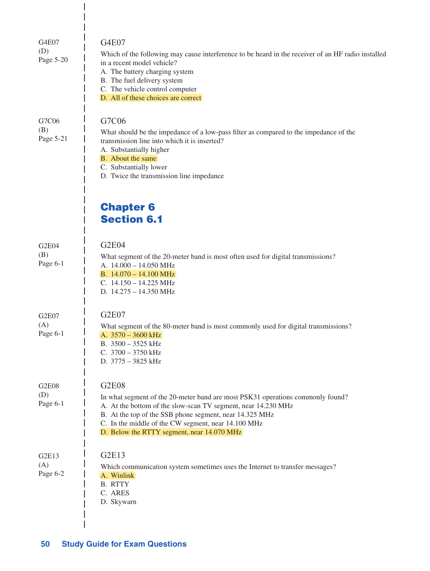| G4E07<br>(D)<br>Page 5-20       | G4E07<br>Which of the following may cause interference to be heard in the receiver of an HF radio installed<br>in a recent model vehicle?<br>A. The battery charging system<br>B. The fuel delivery system<br>C. The vehicle control computer<br>D. All of these choices are correct                                            |
|---------------------------------|---------------------------------------------------------------------------------------------------------------------------------------------------------------------------------------------------------------------------------------------------------------------------------------------------------------------------------|
| G7C06<br>(B)<br>Page 5-21       | G7C06<br>What should be the impedance of a low-pass filter as compared to the impedance of the<br>transmission line into which it is inserted?<br>A. Substantially higher<br>B. About the same<br>C. Substantially lower<br>D. Twice the transmission line impedance                                                            |
|                                 | <b>Chapter 6</b><br><b>Section 6.1</b>                                                                                                                                                                                                                                                                                          |
| G2E04<br>(B)<br>Page 6-1        | G2E04<br>What segment of the 20-meter band is most often used for digital transmissions?<br>A. 14.000 - 14.050 MHz<br>B. $14.070 - 14.100 \text{ MHz}$<br>C. $14.150 - 14.225$ MHz<br>D. 14.275 - 14.350 MHz                                                                                                                    |
| G2E07<br>(A)<br>Page 6-1        | G2E07<br>What segment of the 80-meter band is most commonly used for digital transmissions?<br>A. $3570 - 3600$ kHz<br>B. $3500 - 3525$ kHz<br>C. $3700 - 3750$ kHz<br>D. 3775 - 3825 kHz                                                                                                                                       |
| <b>G2E08</b><br>(D)<br>Page 6-1 | <b>G2E08</b><br>In what segment of the 20-meter band are most PSK31 operations commonly found?<br>A. At the bottom of the slow-scan TV segment, near 14.230 MHz<br>B. At the top of the SSB phone segment, near 14.325 MHz<br>C. In the middle of the CW segment, near 14.100 MHz<br>D. Below the RTTY segment, near 14.070 MHz |
| G2E13<br>(A)<br>Page 6-2        | G2E13<br>Which communication system sometimes uses the Internet to transfer messages?<br>A. Winlink<br><b>B. RTTY</b><br>C. ARES<br>D. Skywarn                                                                                                                                                                                  |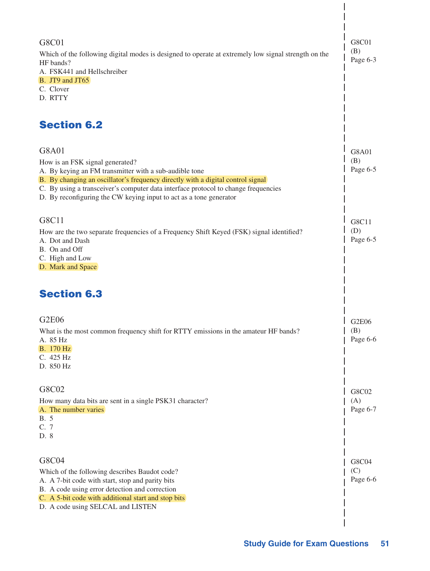| G8C01<br>Which of the following digital modes is designed to operate at extremely low signal strength on the<br>HF bands?<br>A. FSK441 and Hellschreiber<br>$B.$ JT9 and JT65<br>C. Clover<br>D. RTTY                                                                                                                                             | G8C01<br>(B)<br>Page 6-3 |
|---------------------------------------------------------------------------------------------------------------------------------------------------------------------------------------------------------------------------------------------------------------------------------------------------------------------------------------------------|--------------------------|
| <b>Section 6.2</b>                                                                                                                                                                                                                                                                                                                                |                          |
| G8A01<br>How is an FSK signal generated?<br>A. By keying an FM transmitter with a sub-audible tone<br>B. By changing an oscillator's frequency directly with a digital control signal<br>C. By using a transceiver's computer data interface protocol to change frequencies<br>D. By reconfiguring the CW keying input to act as a tone generator | G8A01<br>(B)<br>Page 6-5 |
| G8C11<br>How are the two separate frequencies of a Frequency Shift Keyed (FSK) signal identified?<br>A. Dot and Dash<br>B. On and Off<br>C. High and Low<br>D. Mark and Space                                                                                                                                                                     | G8C11<br>(D)<br>Page 6-5 |
| <b>Section 6.3</b>                                                                                                                                                                                                                                                                                                                                |                          |
| <b>G2E06</b><br>What is the most common frequency shift for RTTY emissions in the amateur HF bands?<br>A. 85 Hz<br><b>B.</b> 170 Hz<br>C. 425 Hz<br>D. 850 Hz                                                                                                                                                                                     | G2E06<br>(B)<br>Page 6-6 |
| G8C02<br>How many data bits are sent in a single PSK31 character?<br>A. The number varies<br>B. 5<br>C. 7<br>D. 8                                                                                                                                                                                                                                 | G8C02<br>(A)<br>Page 6-7 |
| G8C04<br>Which of the following describes Baudot code?<br>A. A 7-bit code with start, stop and parity bits<br>B. A code using error detection and correction<br>C. A 5-bit code with additional start and stop bits<br>D. A code using SELCAL and LISTEN                                                                                          | G8C04<br>(C)<br>Page 6-6 |

 $\overline{\phantom{a}}$  $\overline{\phantom{a}}$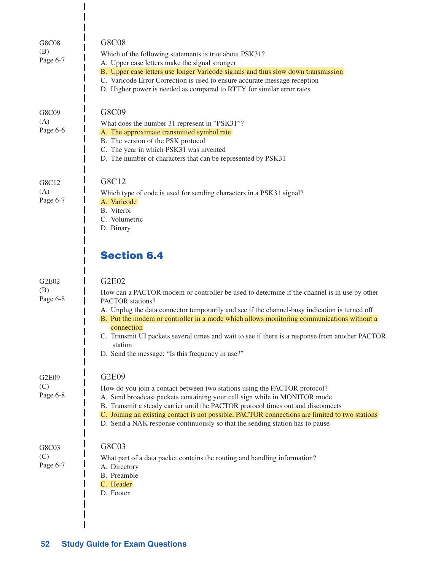| G8C08<br>(B)<br>Page 6-7 | G8C08<br>Which of the following statements is true about PSK31?<br>A. Upper case letters make the signal stronger<br>B. Upper case letters use longer Varicode signals and thus slow down transmission<br>C. Varicode Error Correction is used to ensure accurate message reception<br>D. Higher power is needed as compared to RTTY for similar error rates                                                                                                                                           |
|--------------------------|--------------------------------------------------------------------------------------------------------------------------------------------------------------------------------------------------------------------------------------------------------------------------------------------------------------------------------------------------------------------------------------------------------------------------------------------------------------------------------------------------------|
| G8C09<br>(A)<br>Page 6-6 | G8C09<br>What does the number 31 represent in "PSK31"?<br>A. The approximate transmitted symbol rate<br>B. The version of the PSK protocol<br>C. The year in which PSK31 was invented<br>D. The number of characters that can be represented by PSK31                                                                                                                                                                                                                                                  |
| G8C12<br>(A)<br>Page 6-7 | G8C12<br>Which type of code is used for sending characters in a PSK31 signal?<br>A. Varicode<br>B. Viterbi<br>C. Volumetric<br>D. Binary                                                                                                                                                                                                                                                                                                                                                               |
|                          | <b>Section 6.4</b>                                                                                                                                                                                                                                                                                                                                                                                                                                                                                     |
| G2E02<br>(B)<br>Page 6-8 | G2E02<br>How can a PACTOR modem or controller be used to determine if the channel is in use by other<br>PACTOR stations?<br>A. Unplug the data connector temporarily and see if the channel-busy indication is turned off<br>B. Put the modem or controller in a mode which allows monitoring communications without a<br>connection<br>C. Transmit UI packets several times and wait to see if there is a response from another PACTOR<br>station<br>D. Send the message: "Is this frequency in use?" |
| G2E09<br>(C)<br>Page 6-8 | G2E09<br>How do you join a contact between two stations using the PACTOR protocol?<br>A. Send broadcast packets containing your call sign while in MONITOR mode<br>B. Transmit a steady carrier until the PACTOR protocol times out and disconnects<br>C. Joining an existing contact is not possible, PACTOR connections are limited to two stations<br>D. Send a NAK response continuously so that the sending station has to pause                                                                  |
| G8C03<br>(C)<br>Page 6-7 | G8C03<br>What part of a data packet contains the routing and handling information?<br>A. Directory<br>B. Preamble<br>C. Header<br>D. Footer                                                                                                                                                                                                                                                                                                                                                            |

 $\begin{array}{c} \hline \end{array}$  $\overline{\phantom{a}}$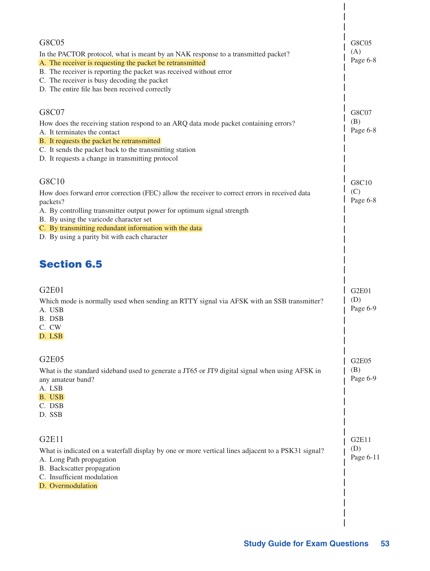| G8C05<br>In the PACTOR protocol, what is meant by an NAK response to a transmitted packet?<br>A. The receiver is requesting the packet be retransmitted<br>B. The receiver is reporting the packet was received without error<br>C. The receiver is busy decoding the packet<br>D. The entire file has been received correctly                   | G8C05<br>(A)<br>Page 6-8  |
|--------------------------------------------------------------------------------------------------------------------------------------------------------------------------------------------------------------------------------------------------------------------------------------------------------------------------------------------------|---------------------------|
| G8C07<br>How does the receiving station respond to an ARQ data mode packet containing errors?<br>A. It terminates the contact<br>B. It requests the packet be retransmitted<br>C. It sends the packet back to the transmitting station<br>D. It requests a change in transmitting protocol                                                       | G8C07<br>(B)<br>Page 6-8  |
| G8C10<br>How does forward error correction (FEC) allow the receiver to correct errors in received data<br>packets?<br>A. By controlling transmitter output power for optimum signal strength<br>B. By using the varicode character set<br>C. By transmitting redundant information with the data<br>D. By using a parity bit with each character | G8C10<br>(C)<br>Page 6-8  |
| <b>Section 6.5</b>                                                                                                                                                                                                                                                                                                                               |                           |
| G2E01<br>Which mode is normally used when sending an RTTY signal via AFSK with an SSB transmitter?<br>A. USB<br>B. DSB<br>C. CW<br>D. LSB                                                                                                                                                                                                        | G2E01<br>(D)<br>Page 6-9  |
| <b>G2E05</b><br>What is the standard sideband used to generate a JT65 or JT9 digital signal when using AFSK in<br>any amateur band?<br>A. LSB<br>B. USB<br>C. DSB<br>D. SSB                                                                                                                                                                      | G2E05<br>(B)<br>Page 6-9  |
| <b>G2E11</b><br>What is indicated on a waterfall display by one or more vertical lines adjacent to a PSK31 signal?<br>A. Long Path propagation<br>B. Backscatter propagation<br>C. Insufficient modulation<br>D. Overmodulation                                                                                                                  | G2E11<br>(D)<br>Page 6-11 |
|                                                                                                                                                                                                                                                                                                                                                  |                           |

 $\begin{array}{c} \end{array}$ 

 $\overline{\phantom{a}}$  $\overline{\phantom{a}}$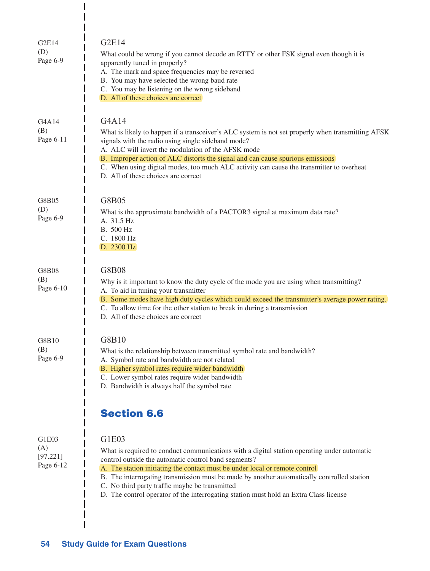| G2E14<br>(D)<br>Page 6-9              | G2E14<br>What could be wrong if you cannot decode an RTTY or other FSK signal even though it is<br>apparently tuned in properly?<br>A. The mark and space frequencies may be reversed<br>B. You may have selected the wrong baud rate<br>C. You may be listening on the wrong sideband<br>D. All of these choices are correct                                                                                                                                                        |
|---------------------------------------|--------------------------------------------------------------------------------------------------------------------------------------------------------------------------------------------------------------------------------------------------------------------------------------------------------------------------------------------------------------------------------------------------------------------------------------------------------------------------------------|
| G4A14<br>(B)<br>Page 6-11             | G4A14<br>What is likely to happen if a transceiver's ALC system is not set properly when transmitting AFSK<br>signals with the radio using single sideband mode?<br>A. ALC will invert the modulation of the AFSK mode<br>B. Improper action of ALC distorts the signal and can cause spurious emissions<br>C. When using digital modes, too much ALC activity can cause the transmitter to overheat<br>D. All of these choices are correct                                          |
| G8B05<br>(D)<br>Page 6-9              | G8B05<br>What is the approximate bandwidth of a PACTOR3 signal at maximum data rate?<br>A. 31.5 Hz<br>B. 500 Hz<br>C. 1800 Hz<br>D. 2300 Hz                                                                                                                                                                                                                                                                                                                                          |
| G8B08<br>(B)<br>Page 6-10             | <b>G8B08</b><br>Why is it important to know the duty cycle of the mode you are using when transmitting?<br>A. To aid in tuning your transmitter<br>B. Some modes have high duty cycles which could exceed the transmitter's average power rating.<br>C. To allow time for the other station to break in during a transmission<br>D. All of these choices are correct                                                                                                                 |
| G8B10<br>(B)<br>Page 6-9              | G8B10<br>What is the relationship between transmitted symbol rate and bandwidth?<br>A. Symbol rate and bandwidth are not related<br>B. Higher symbol rates require wider bandwidth<br>C. Lower symbol rates require wider bandwidth<br>D. Bandwidth is always half the symbol rate<br><b>Section 6.6</b>                                                                                                                                                                             |
| G1E03<br>(A)<br>[97.221]<br>Page 6-12 | G1E03<br>What is required to conduct communications with a digital station operating under automatic<br>control outside the automatic control band segments?<br>A. The station initiating the contact must be under local or remote control<br>B. The interrogating transmission must be made by another automatically controlled station<br>C. No third party traffic maybe be transmitted<br>D. The control operator of the interrogating station must hold an Extra Class license |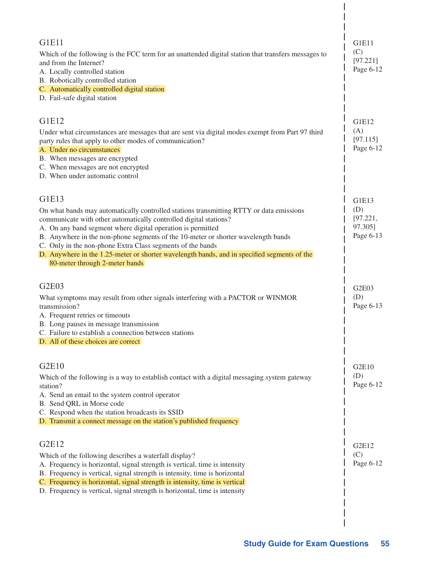| <b>G1E11</b>                                                                                                                                             | G1E11                 |
|----------------------------------------------------------------------------------------------------------------------------------------------------------|-----------------------|
| Which of the following is the FCC term for an unattended digital station that transfers messages to                                                      |                       |
| and from the Internet?<br>A. Locally controlled station                                                                                                  | [97.221]<br>Page 6-12 |
| B. Robotically controlled station                                                                                                                        |                       |
| C. Automatically controlled digital station                                                                                                              |                       |
| D. Fail-safe digital station                                                                                                                             |                       |
| G1E12                                                                                                                                                    | G1E12                 |
| Under what circumstances are messages that are sent via digital modes exempt from Part 97 third                                                          | (A)                   |
| party rules that apply to other modes of communication?                                                                                                  | [97.115]              |
| A. Under no circumstances                                                                                                                                | Page 6-12             |
| B. When messages are encrypted                                                                                                                           |                       |
| C. When messages are not encrypted<br>D. When under automatic control                                                                                    |                       |
|                                                                                                                                                          |                       |
| G1E13                                                                                                                                                    | G1E13                 |
| On what bands may automatically controlled stations transmitting RTTY or data emissions                                                                  | (D)                   |
| communicate with other automatically controlled digital stations?                                                                                        | [97.221,              |
| A. On any band segment where digital operation is permitted                                                                                              | 97.305]<br>Page 6-13  |
| B. Anywhere in the non-phone segments of the 10-meter or shorter wavelength bands<br>C. Only in the non-phone Extra Class segments of the bands          |                       |
| D. Anywhere in the 1.25-meter or shorter wavelength bands, and in specified segments of the                                                              |                       |
| 80-meter through 2-meter bands                                                                                                                           |                       |
| G2E03                                                                                                                                                    |                       |
| What symptoms may result from other signals interfering with a PACTOR or WINMOR                                                                          | G2E03<br>(D)          |
| transmission?                                                                                                                                            | Page 6-13             |
| A. Frequent retries or timeouts                                                                                                                          |                       |
| B. Long pauses in message transmission                                                                                                                   |                       |
| C. Failure to establish a connection between stations                                                                                                    |                       |
| D. All of these choices are correct                                                                                                                      |                       |
| G2E10                                                                                                                                                    | G2E10                 |
| Which of the following is a way to establish contact with a digital messaging system gateway                                                             | (D)                   |
| station?                                                                                                                                                 | Page 6-12             |
| A. Send an email to the system control operator                                                                                                          |                       |
| B. Send QRL in Morse code<br>C. Respond when the station broadcasts its SSID                                                                             |                       |
| D. Transmit a connect message on the station's published frequency                                                                                       |                       |
|                                                                                                                                                          |                       |
| G2E12                                                                                                                                                    | G2E12                 |
| Which of the following describes a waterfall display?                                                                                                    | (C)                   |
| A. Frequency is horizontal, signal strength is vertical, time is intensity                                                                               | Page 6-12             |
| B. Frequency is vertical, signal strength is intensity, time is horizontal                                                                               |                       |
| C. Frequency is horizontal, signal strength is intensity, time is vertical<br>D. Frequency is vertical, signal strength is horizontal, time is intensity |                       |
|                                                                                                                                                          |                       |
|                                                                                                                                                          |                       |

 $\begin{array}{c} \end{array}$ 

 $\overline{\phantom{a}}$  $\overline{\phantom{a}}$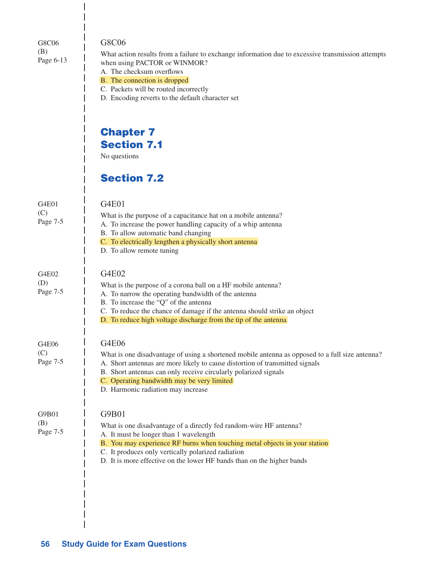G8C06 (B) Page 6-13

#### G8C06

What action results from a failure to exchange information due to excessive transmission attempts when using PACTOR or WINMOR?

- A. The checksum overflows
- B. The connection is dropped
- C. Packets will be routed incorrectly

B. To allow automatic band changing

D. To allow remote tuning

D. Encoding reverts to the default character set

### Chapter 7 Section 7.1

No questions

G4E01

### Section 7.2

G4E01  $(C)$ Page 7-5

G4E02 (D) Page 7-5

G4E06 (C)

#### G4E02

What is the purpose of a corona ball on a HF mobile antenna? A. To narrow the operating bandwidth of the antenna B. To increase the "Q" of the antenna C. To reduce the chance of damage if the antenna should strike an object D. To reduce high voltage discharge from the tip of the antenna G4E06 What is one disadvantage of using a shortened mobile antenna as opposed to a full size antenna?

What is the purpose of a capacitance hat on a mobile antenna? A. To increase the power handling capacity of a whip antenna

C. To electrically lengthen a physically short antenna

A. Short antennas are more likely to cause distortion of transmitted signals B. Short antennas can only receive circularly polarized signals C. Operating bandwidth may be very limited D. Harmonic radiation may increase G9B01 What is one disadvantage of a directly fed random-wire HF antenna? A. It must be longer than 1 wavelength B. You may experience RF burns when touching metal objects in your station C. It produces only vertically polarized radiation D. It is more effective on the lower HF bands than on the higher bands Page 7-5 G9B01 (B) Page 7-5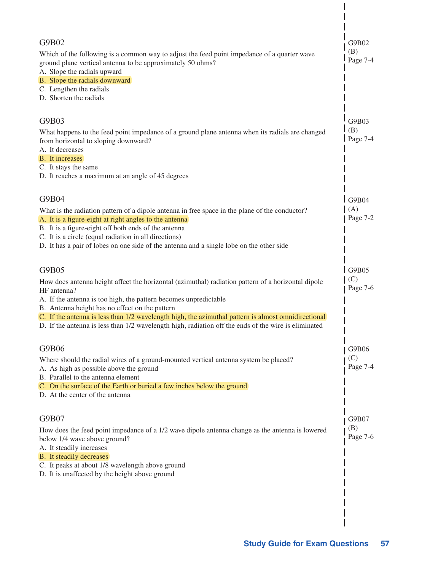| G9B02                                                                                                                                                                                                                                                                     | G9B02             |
|---------------------------------------------------------------------------------------------------------------------------------------------------------------------------------------------------------------------------------------------------------------------------|-------------------|
| Which of the following is a common way to adjust the feed point impedance of a quarter wave<br>ground plane vertical antenna to be approximately 50 ohms?<br>A. Slope the radials upward<br>B. Slope the radials downward                                                 | (B)<br>Page 7-4   |
| C. Lengthen the radials<br>D. Shorten the radials                                                                                                                                                                                                                         |                   |
| G9B03                                                                                                                                                                                                                                                                     | G9B03             |
| What happens to the feed point impedance of a ground plane antenna when its radials are changed<br>from horizontal to sloping downward?<br>A. It decreases                                                                                                                | (B)<br>$Page 7-4$ |
| <b>B.</b> It increases<br>C. It stays the same<br>D. It reaches a maximum at an angle of 45 degrees                                                                                                                                                                       |                   |
| G9B04                                                                                                                                                                                                                                                                     | G9B04             |
| What is the radiation pattern of a dipole antenna in free space in the plane of the conductor?<br>A. It is a figure-eight at right angles to the antenna<br>B. It is a figure-eight off both ends of the antenna<br>C. It is a circle (equal radiation in all directions) | (A)<br>Page 7-2   |
| D. It has a pair of lobes on one side of the antenna and a single lobe on the other side                                                                                                                                                                                  |                   |
| G9B05<br>How does antenna height affect the horizontal (azimuthal) radiation pattern of a horizontal dipole                                                                                                                                                               | G9B05<br>(C)      |
| HF antenna?<br>A. If the antenna is too high, the pattern becomes unpredictable<br>B. Antenna height has no effect on the pattern                                                                                                                                         | Page 7-6          |
| C. If the antenna is less than 1/2 wavelength high, the azimuthal pattern is almost omnidirectional<br>D. If the antenna is less than 1/2 wavelength high, radiation off the ends of the wire is eliminated                                                               |                   |
| G9B06                                                                                                                                                                                                                                                                     | G9B06             |
| Where should the radial wires of a ground-mounted vertical antenna system be placed?<br>A. As high as possible above the ground<br>B. Parallel to the antenna element                                                                                                     | (C)<br>Page 7-4   |
| C. On the surface of the Earth or buried a few inches below the ground<br>D. At the center of the antenna                                                                                                                                                                 |                   |
| G9B07                                                                                                                                                                                                                                                                     | G9B07             |
| How does the feed point impedance of a 1/2 wave dipole antenna change as the antenna is lowered<br>below 1/4 wave above ground?<br>A. It steadily increases                                                                                                               | (B)<br>Page 7-6   |
| <b>B.</b> It steadily decreases<br>C. It peaks at about 1/8 wavelength above ground<br>D. It is unaffected by the height above ground                                                                                                                                     |                   |
|                                                                                                                                                                                                                                                                           |                   |
|                                                                                                                                                                                                                                                                           |                   |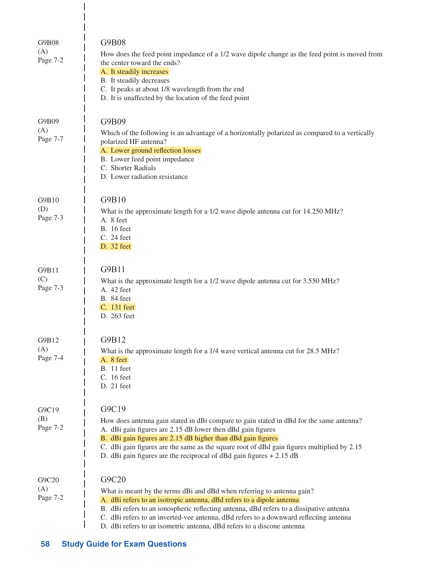| G9B08<br>(A)<br>Page 7-2 | <b>G9B08</b><br>How does the feed point impedance of a 1/2 wave dipole change as the feed point is moved from<br>the center toward the ends?<br>A. It steadily increases<br>B. It steadily decreases<br>C. It peaks at about 1/8 wavelength from the end<br>D. It is unaffected by the location of the feed point                                                                                                      |
|--------------------------|------------------------------------------------------------------------------------------------------------------------------------------------------------------------------------------------------------------------------------------------------------------------------------------------------------------------------------------------------------------------------------------------------------------------|
| G9B09<br>(A)<br>Page 7-7 | G9B09<br>Which of the following is an advantage of a horizontally polarized as compared to a vertically<br>polarized HF antenna?<br>A. Lower ground reflection losses<br>B. Lower feed point impedance<br>C. Shorter Radials<br>D. Lower radiation resistance                                                                                                                                                          |
| G9B10<br>(D)<br>Page 7-3 | G9B10<br>What is the approximate length for a 1/2 wave dipole antenna cut for 14.250 MHz?<br>A. 8 feet<br><b>B.</b> 16 feet<br>C. 24 feet<br>D. 32 feet                                                                                                                                                                                                                                                                |
| G9B11<br>(C)<br>Page 7-3 | G9B11<br>What is the approximate length for a 1/2 wave dipole antenna cut for 3.550 MHz?<br>A. 42 feet<br><b>B.</b> 84 feet<br>C. 131 feet<br>D. 263 feet                                                                                                                                                                                                                                                              |
| G9B12<br>(A)<br>Page 7-4 | G9B12<br>What is the approximate length for a 1/4 wave vertical antenna cut for 28.5 MHz?<br>A. 8 feet<br><b>B.</b> 11 feet<br>C. 16 feet<br>$D. 21$ feet                                                                                                                                                                                                                                                              |
| G9C19<br>(B)<br>Page 7-2 | G9C19<br>How does antenna gain stated in dBi compare to gain stated in dBd for the same antenna?<br>A. dBi gain figures are 2.15 dB lower then dBd gain figures<br>B. dBi gain figures are 2.15 dB higher than dBd gain figures<br>C. dBi gain figures are the same as the square root of dBd gain figures multiplied by 2.15<br>D. dBi gain figures are the reciprocal of dBd gain figures $+ 2.15$ dB                |
| G9C20<br>(A)<br>Page 7-2 | G9C20<br>What is meant by the terms dBi and dBd when referring to antenna gain?<br>A. dBi refers to an isotropic antenna, dBd refers to a dipole antenna<br>B. dBi refers to an ionospheric reflecting antenna, dBd refers to a dissipative antenna<br>C. dBi refers to an inverted-vee antenna, dBd refers to a downward reflecting antenna<br>D. dBi refers to an isometric antenna, dBd refers to a discone antenna |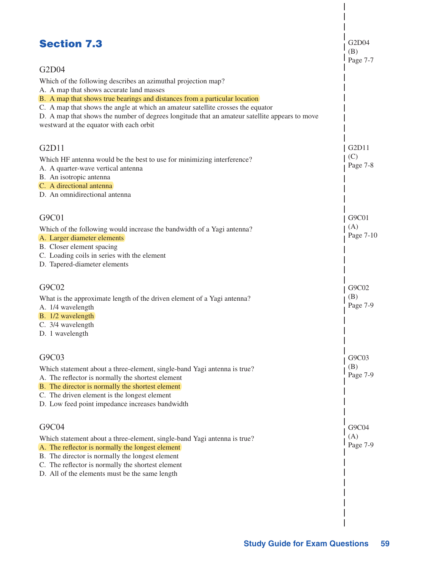| <b>Section 7.3</b>                                                                                                                                                                                                                                                                                                                                    | G2D04<br>(B)<br>Page 7-7       |
|-------------------------------------------------------------------------------------------------------------------------------------------------------------------------------------------------------------------------------------------------------------------------------------------------------------------------------------------------------|--------------------------------|
| G2D04                                                                                                                                                                                                                                                                                                                                                 |                                |
| Which of the following describes an azimuthal projection map?                                                                                                                                                                                                                                                                                         |                                |
| A. A map that shows accurate land masses<br>B. A map that shows true bearings and distances from a particular location<br>C. A map that shows the angle at which an amateur satellite crosses the equator<br>D. A map that shows the number of degrees longitude that an amateur satellite appears to move<br>westward at the equator with each orbit |                                |
| G2D11                                                                                                                                                                                                                                                                                                                                                 | G <sub>2</sub> D <sub>11</sub> |
| Which HF antenna would be the best to use for minimizing interference?                                                                                                                                                                                                                                                                                | (C)                            |
| A. A quarter-wave vertical antenna                                                                                                                                                                                                                                                                                                                    | Page 7-8                       |
| B. An isotropic antenna                                                                                                                                                                                                                                                                                                                               |                                |
| C. A directional antenna<br>D. An omnidirectional antenna                                                                                                                                                                                                                                                                                             |                                |
|                                                                                                                                                                                                                                                                                                                                                       |                                |
| G9C01                                                                                                                                                                                                                                                                                                                                                 | G9C01                          |
| Which of the following would increase the bandwidth of a Yagi antenna?                                                                                                                                                                                                                                                                                | (A)                            |
| A. Larger diameter elements                                                                                                                                                                                                                                                                                                                           | Page 7-10                      |
| B. Closer element spacing                                                                                                                                                                                                                                                                                                                             |                                |
| C. Loading coils in series with the element                                                                                                                                                                                                                                                                                                           |                                |
| D. Tapered-diameter elements                                                                                                                                                                                                                                                                                                                          |                                |
| G9C02                                                                                                                                                                                                                                                                                                                                                 | G9C02                          |
| What is the approximate length of the driven element of a Yagi antenna?                                                                                                                                                                                                                                                                               | (B)                            |
| A. 1/4 wavelength                                                                                                                                                                                                                                                                                                                                     | Page 7-9                       |
| B. 1/2 wavelength                                                                                                                                                                                                                                                                                                                                     |                                |
| C. 3/4 wavelength<br>D. 1 wavelength                                                                                                                                                                                                                                                                                                                  |                                |
|                                                                                                                                                                                                                                                                                                                                                       |                                |
| G9C03                                                                                                                                                                                                                                                                                                                                                 | G9C03                          |
| Which statement about a three-element, single-band Yagi antenna is true?                                                                                                                                                                                                                                                                              | (B)                            |
| A. The reflector is normally the shortest element                                                                                                                                                                                                                                                                                                     | Page 7-9                       |
| B. The director is normally the shortest element<br>C. The driven element is the longest element                                                                                                                                                                                                                                                      |                                |
| D. Low feed point impedance increases bandwidth                                                                                                                                                                                                                                                                                                       |                                |
|                                                                                                                                                                                                                                                                                                                                                       |                                |
| G9C04                                                                                                                                                                                                                                                                                                                                                 | G9C04                          |
| Which statement about a three-element, single-band Yagi antenna is true?                                                                                                                                                                                                                                                                              | (A)<br>Page 7-9                |
| A. The reflector is normally the longest element<br>B. The director is normally the longest element                                                                                                                                                                                                                                                   |                                |
| C. The reflector is normally the shortest element                                                                                                                                                                                                                                                                                                     |                                |
| D. All of the elements must be the same length                                                                                                                                                                                                                                                                                                        |                                |
|                                                                                                                                                                                                                                                                                                                                                       |                                |
|                                                                                                                                                                                                                                                                                                                                                       |                                |
|                                                                                                                                                                                                                                                                                                                                                       |                                |
|                                                                                                                                                                                                                                                                                                                                                       |                                |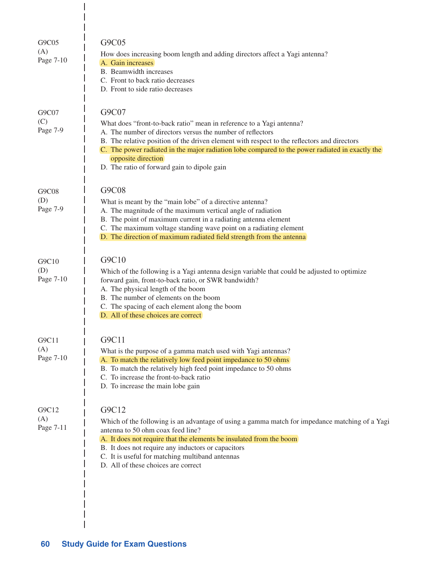| G9C05<br>(A)<br>Page 7-10 | G9C05<br>How does increasing boom length and adding directors affect a Yagi antenna?<br>A. Gain increases<br>B. Beamwidth increases<br>C. Front to back ratio decreases<br>D. Front to side ratio decreases                                                                                                                                                                                                        |
|---------------------------|--------------------------------------------------------------------------------------------------------------------------------------------------------------------------------------------------------------------------------------------------------------------------------------------------------------------------------------------------------------------------------------------------------------------|
| G9C07<br>(C)<br>Page 7-9  | G9C07<br>What does "front-to-back ratio" mean in reference to a Yagi antenna?<br>A. The number of directors versus the number of reflectors<br>B. The relative position of the driven element with respect to the reflectors and directors<br>C. The power radiated in the major radiation lobe compared to the power radiated in exactly the<br>opposite direction<br>D. The ratio of forward gain to dipole gain |
| G9C08<br>(D)<br>Page 7-9  | G9C08<br>What is meant by the "main lobe" of a directive antenna?<br>A. The magnitude of the maximum vertical angle of radiation<br>B. The point of maximum current in a radiating antenna element<br>C. The maximum voltage standing wave point on a radiating element<br>D. The direction of maximum radiated field strength from the antenna                                                                    |
| G9C10<br>(D)<br>Page 7-10 | G9C10<br>Which of the following is a Yagi antenna design variable that could be adjusted to optimize<br>forward gain, front-to-back ratio, or SWR bandwidth?<br>A. The physical length of the boom<br>B. The number of elements on the boom<br>C. The spacing of each element along the boom<br>D. All of these choices are correct                                                                                |
| G9C11<br>(A)<br>Page 7-10 | G9C11<br>What is the purpose of a gamma match used with Yagi antennas?<br>A. To match the relatively low feed point impedance to 50 ohms<br>B. To match the relatively high feed point impedance to 50 ohms<br>C. To increase the front-to-back ratio<br>D. To increase the main lobe gain                                                                                                                         |
| G9C12<br>(A)<br>Page 7-11 | G9C12<br>Which of the following is an advantage of using a gamma match for impedance matching of a Yagi<br>antenna to 50 ohm coax feed line?<br>A. It does not require that the elements be insulated from the boom<br>B. It does not require any inductors or capacitors<br>C. It is useful for matching multiband antennas<br>D. All of these choices are correct                                                |

 $\frac{1}{1}$  $\overline{1}$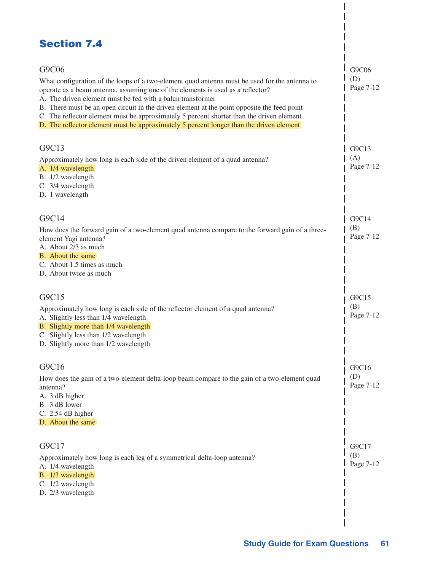| <b>Section 7.4</b>                                                                                                                                                                                                                                                                                                                                                                                                                                                                                                                            |                           |
|-----------------------------------------------------------------------------------------------------------------------------------------------------------------------------------------------------------------------------------------------------------------------------------------------------------------------------------------------------------------------------------------------------------------------------------------------------------------------------------------------------------------------------------------------|---------------------------|
| G9C06<br>What configuration of the loops of a two-element quad antenna must be used for the antenna to<br>operate as a beam antenna, assuming one of the elements is used as a reflector?<br>A. The driven element must be fed with a balun transformer<br>B. There must be an open circuit in the driven element at the point opposite the feed point<br>C. The reflector element must be approximately 5 percent shorter than the driven element<br>D. The reflector element must be approximately 5 percent longer than the driven element | G9C06<br>(D)<br>Page 7-12 |
| G9C13<br>Approximately how long is each side of the driven element of a quad antenna?<br>A. 1/4 wavelength<br>B. 1/2 wavelength<br>C. 3/4 wavelength<br>D. 1 wavelength                                                                                                                                                                                                                                                                                                                                                                       | G9C13<br>(A)<br>Page 7-12 |
| G9C14<br>How does the forward gain of a two-element quad antenna compare to the forward gain of a three-<br>element Yagi antenna?<br>A. About 2/3 as much<br>B. About the same<br>C. About 1.5 times as much<br>D. About twice as much                                                                                                                                                                                                                                                                                                        | G9C14<br>(B)<br>Page 7-12 |
| G9C15<br>Approximately how long is each side of the reflector element of a quad antenna?<br>A. Slightly less than 1/4 wavelength<br>B. Slightly more than 1/4 wavelength<br>C. Slightly less than 1/2 wavelength<br>D. Slightly more than 1/2 wavelength                                                                                                                                                                                                                                                                                      | G9C15<br>(B)<br>Page 7-12 |
| G9C16<br>How does the gain of a two-element delta-loop beam compare to the gain of a two-element quad<br>antenna?<br>A. 3 dB higher<br>B. 3 dB lower<br>C. 2.54 dB higher<br>D. About the same                                                                                                                                                                                                                                                                                                                                                | G9C16<br>(D)<br>Page 7-12 |
| G9C17<br>Approximately how long is each leg of a symmetrical delta-loop antenna?<br>A. 1/4 wavelength<br>B. 1/3 wavelength<br>C. 1/2 wavelength<br>D. 2/3 wavelength                                                                                                                                                                                                                                                                                                                                                                          | G9C17<br>(B)<br>Page 7-12 |

 $\overline{\phantom{a}}$  $\overline{\phantom{a}}$ 

 $\mathbf{I}$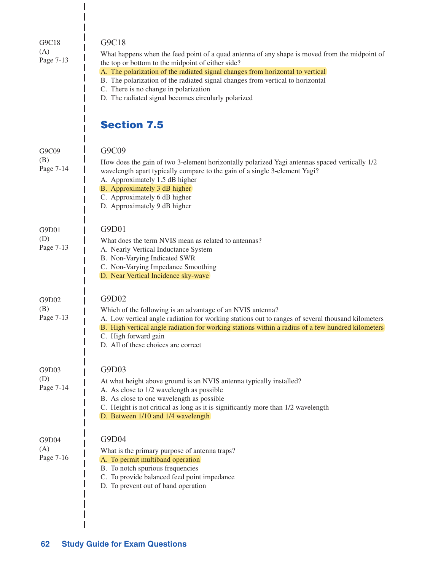| G9C18<br>(A)<br>Page 7-13 | G9C18<br>What happens when the feed point of a quad antenna of any shape is moved from the midpoint of<br>the top or bottom to the midpoint of either side?<br>A. The polarization of the radiated signal changes from horizontal to vertical<br>B. The polarization of the radiated signal changes from vertical to horizontal<br>C. There is no change in polarization<br>D. The radiated signal becomes circularly polarized |
|---------------------------|---------------------------------------------------------------------------------------------------------------------------------------------------------------------------------------------------------------------------------------------------------------------------------------------------------------------------------------------------------------------------------------------------------------------------------|
|                           | <b>Section 7.5</b>                                                                                                                                                                                                                                                                                                                                                                                                              |
| G9C09<br>(B)<br>Page 7-14 | G9C09<br>How does the gain of two 3-element horizontally polarized Yagi antennas spaced vertically 1/2<br>wavelength apart typically compare to the gain of a single 3-element Yagi?<br>A. Approximately 1.5 dB higher<br>B. Approximately 3 dB higher<br>C. Approximately 6 dB higher<br>D. Approximately 9 dB higher                                                                                                          |
| G9D01<br>(D)<br>Page 7-13 | G9D01<br>What does the term NVIS mean as related to antennas?<br>A. Nearly Vertical Inductance System<br>B. Non-Varying Indicated SWR<br>C. Non-Varying Impedance Smoothing<br>D. Near Vertical Incidence sky-wave                                                                                                                                                                                                              |
| G9D02<br>(B)<br>Page 7-13 | G9D02<br>Which of the following is an advantage of an NVIS antenna?<br>A. Low vertical angle radiation for working stations out to ranges of several thousand kilometers<br>B. High vertical angle radiation for working stations within a radius of a few hundred kilometers<br>C. High forward gain<br>D. All of these choices are correct                                                                                    |
| G9D03<br>(D)<br>Page 7-14 | G9D03<br>At what height above ground is an NVIS antenna typically installed?<br>A. As close to 1/2 wavelength as possible<br>B. As close to one wavelength as possible<br>C. Height is not critical as long as it is significantly more than 1/2 wavelength<br>D. Between 1/10 and 1/4 wavelength                                                                                                                               |
| G9D04<br>(A)<br>Page 7-16 | G9D04<br>What is the primary purpose of antenna traps?<br>A. To permit multiband operation<br>B. To notch spurious frequencies<br>C. To provide balanced feed point impedance<br>D. To prevent out of band operation                                                                                                                                                                                                            |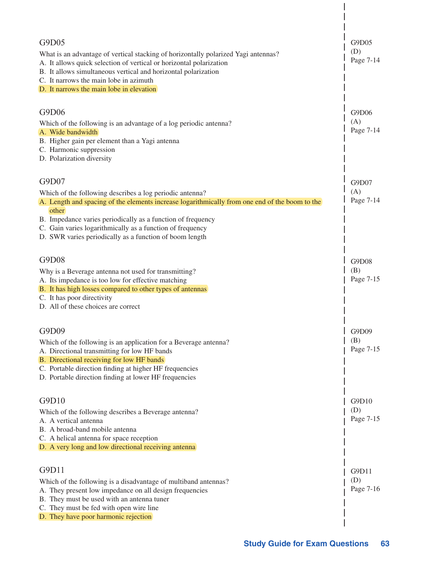| G9D05<br>What is an advantage of vertical stacking of horizontally polarized Yagi antennas?<br>A. It allows quick selection of vertical or horizontal polarization<br>B. It allows simultaneous vertical and horizontal polarization<br>C. It narrows the main lobe in azimuth<br>D. It narrows the main lobe in elevation                                          | G9D05<br>(D)<br>Page 7-14 |
|---------------------------------------------------------------------------------------------------------------------------------------------------------------------------------------------------------------------------------------------------------------------------------------------------------------------------------------------------------------------|---------------------------|
| G9D06<br>Which of the following is an advantage of a log periodic antenna?<br>A. Wide bandwidth<br>B. Higher gain per element than a Yagi antenna<br>C. Harmonic suppression<br>D. Polarization diversity                                                                                                                                                           | G9D06<br>(A)<br>Page 7-14 |
| G9D07<br>Which of the following describes a log periodic antenna?<br>A. Length and spacing of the elements increase logarithmically from one end of the boom to the<br>other<br>B. Impedance varies periodically as a function of frequency<br>C. Gain varies logarithmically as a function of frequency<br>D. SWR varies periodically as a function of boom length | G9D07<br>(A)<br>Page 7-14 |
| G9D08<br>Why is a Beverage antenna not used for transmitting?<br>A. Its impedance is too low for effective matching<br>B. It has high losses compared to other types of antennas<br>C. It has poor directivity<br>D. All of these choices are correct                                                                                                               | G9D08<br>(B)<br>Page 7-15 |
| G9D09<br>Which of the following is an application for a Beverage antenna?<br>A. Directional transmitting for low HF bands<br>B. Directional receiving for low HF bands<br>C. Portable direction finding at higher HF frequencies<br>D. Portable direction finding at lower HF frequencies                                                                           | G9D09<br>(B)<br>Page 7-15 |
| G9D10<br>Which of the following describes a Beverage antenna?<br>A. A vertical antenna<br>B. A broad-band mobile antenna<br>C. A helical antenna for space reception<br>D. A very long and low directional receiving antenna                                                                                                                                        | G9D10<br>(D)<br>Page 7-15 |
| G9D11<br>Which of the following is a disadvantage of multiband antennas?<br>A. They present low impedance on all design frequencies<br>B. They must be used with an antenna tuner<br>C. They must be fed with open wire line<br>D. They have poor harmonic rejection                                                                                                | G9D11<br>(D)<br>Page 7-16 |

 $\overline{\phantom{a}}$  $\overline{\phantom{a}}$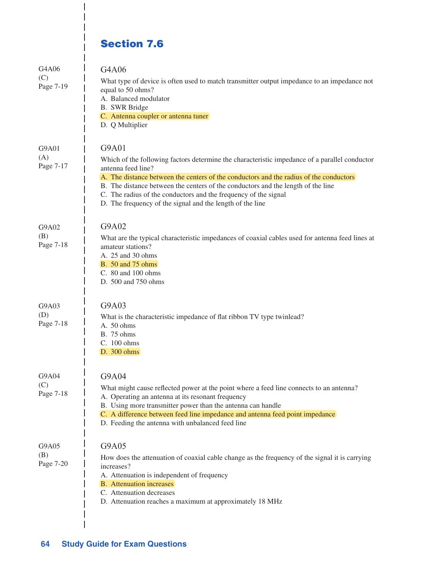# Section 7.6

I I  $\overline{1}$ 

| G4A06<br>(C)<br>Page 7-19 | G4A06<br>What type of device is often used to match transmitter output impedance to an impedance not<br>equal to 50 ohms?<br>A. Balanced modulator<br><b>B.</b> SWR Bridge<br>C. Antenna coupler or antenna tuner<br>D. Q Multiplier                                                                                                                                                                                                       |
|---------------------------|--------------------------------------------------------------------------------------------------------------------------------------------------------------------------------------------------------------------------------------------------------------------------------------------------------------------------------------------------------------------------------------------------------------------------------------------|
| G9A01<br>(A)<br>Page 7-17 | G9A01<br>Which of the following factors determine the characteristic impedance of a parallel conductor<br>antenna feed line?<br>A. The distance between the centers of the conductors and the radius of the conductors<br>B. The distance between the centers of the conductors and the length of the line<br>C. The radius of the conductors and the frequency of the signal<br>D. The frequency of the signal and the length of the line |
| G9A02<br>(B)<br>Page 7-18 | G9A02<br>What are the typical characteristic impedances of coaxial cables used for antenna feed lines at<br>amateur stations?<br>A. 25 and 30 ohms<br><b>B.</b> 50 and 75 ohms<br>C. 80 and 100 ohms<br>D. 500 and 750 ohms                                                                                                                                                                                                                |
| G9A03<br>(D)<br>Page 7-18 | G9A03<br>What is the characteristic impedance of flat ribbon TV type twinlead?<br>A. 50 ohms<br><b>B.</b> 75 ohms<br>C. 100 ohms<br>D. 300 ohms                                                                                                                                                                                                                                                                                            |
| G9A04<br>(C)<br>Page 7-18 | G9A04<br>What might cause reflected power at the point where a feed line connects to an antenna?<br>A. Operating an antenna at its resonant frequency<br>B. Using more transmitter power than the antenna can handle<br>C. A difference between feed line impedance and antenna feed point impedance<br>D. Feeding the antenna with unbalanced feed line                                                                                   |
| G9A05<br>(B)<br>Page 7-20 | G9A05<br>How does the attenuation of coaxial cable change as the frequency of the signal it is carrying<br>increases?<br>A. Attenuation is independent of frequency<br><b>B.</b> Attenuation increases<br>C. Attenuation decreases<br>D. Attenuation reaches a maximum at approximately 18 MHz                                                                                                                                             |

 $\overline{\phantom{a}}$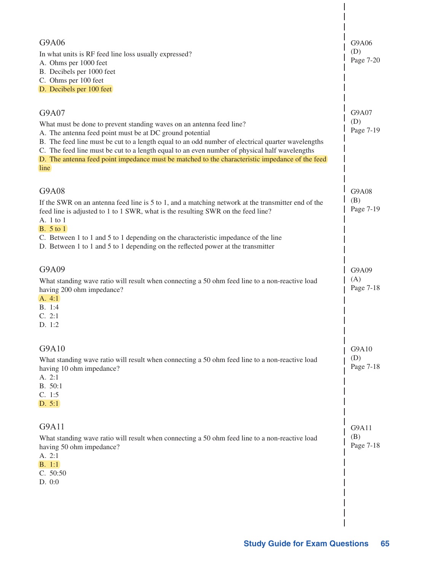| G9A06<br>(D)<br>Page 7-20        |
|----------------------------------|
| G9A07<br>(D)<br>Page 7-19        |
| G9A08<br>(B)<br>Page 7-19        |
| G9A09<br>(A)<br>Page 7-18        |
| $\mid$ G9A10<br>(D)<br>Page 7-18 |
| G9A11<br>(B)<br>Page 7-18        |
|                                  |

 $\begin{array}{c} \end{array}$  $\overline{\phantom{a}}$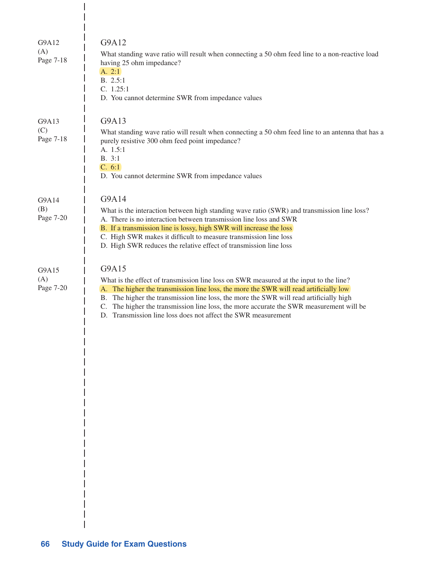| G9A12<br>(A)<br>Page 7-18 | G9A12<br>What standing wave ratio will result when connecting a 50 ohm feed line to a non-reactive load<br>having 25 ohm impedance?<br>A. 2:1<br>B. 2.5:1<br>C. 1.25:1<br>D. You cannot determine SWR from impedance values                                                                                                                                                                                                                    |
|---------------------------|------------------------------------------------------------------------------------------------------------------------------------------------------------------------------------------------------------------------------------------------------------------------------------------------------------------------------------------------------------------------------------------------------------------------------------------------|
| G9A13<br>(C)<br>Page 7-18 | G9A13<br>What standing wave ratio will result when connecting a 50 ohm feed line to an antenna that has a<br>purely resistive 300 ohm feed point impedance?<br>A. 1.5:1<br>B. 3:1<br>C. 6:1<br>D. You cannot determine SWR from impedance values                                                                                                                                                                                               |
| G9A14<br>(B)<br>Page 7-20 | G9A14<br>What is the interaction between high standing wave ratio (SWR) and transmission line loss?<br>A. There is no interaction between transmission line loss and SWR<br>B. If a transmission line is lossy, high SWR will increase the loss<br>C. High SWR makes it difficult to measure transmission line loss<br>D. High SWR reduces the relative effect of transmission line loss                                                       |
| G9A15<br>(A)<br>Page 7-20 | G9A15<br>What is the effect of transmission line loss on SWR measured at the input to the line?<br>A. The higher the transmission line loss, the more the SWR will read artificially low<br>B. The higher the transmission line loss, the more the SWR will read artificially high<br>C. The higher the transmission line loss, the more accurate the SWR measurement will be<br>D. Transmission line loss does not affect the SWR measurement |

 $\overline{\phantom{a}}$  $\overline{\phantom{a}}$ 

 $\begin{array}{c} \hline \end{array}$  $\overline{\phantom{a}}$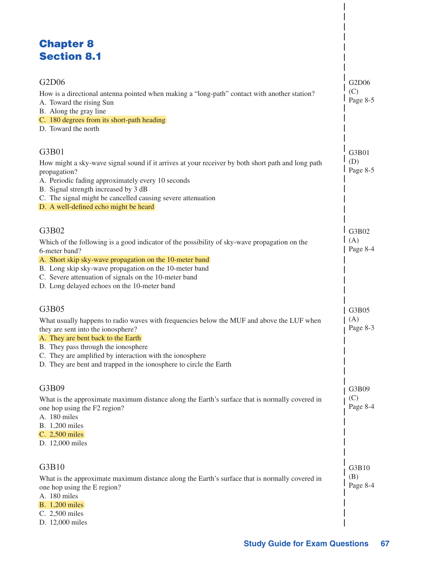# Chapter 8 Section 8.1

| G2D06<br>How is a directional antenna pointed when making a "long-path" contact with another station?<br>A. Toward the rising Sun<br>B. Along the gray line                                                                                                                                                                                             | G2D06<br>(C)<br>Page 8-5 |
|---------------------------------------------------------------------------------------------------------------------------------------------------------------------------------------------------------------------------------------------------------------------------------------------------------------------------------------------------------|--------------------------|
| C. 180 degrees from its short-path heading<br>D. Toward the north                                                                                                                                                                                                                                                                                       |                          |
| G3B01<br>How might a sky-wave signal sound if it arrives at your receiver by both short path and long path<br>propagation?<br>A. Periodic fading approximately every 10 seconds<br>B. Signal strength increased by 3 dB<br>C. The signal might be cancelled causing severe attenuation<br>D. A well-defined echo might be heard                         | G3B01<br>(D)<br>Page 8-5 |
| G3B02<br>Which of the following is a good indicator of the possibility of sky-wave propagation on the<br>6-meter band?<br>A. Short skip sky-wave propagation on the 10-meter band<br>B. Long skip sky-wave propagation on the 10-meter band<br>C. Severe attenuation of signals on the 10-meter band<br>D. Long delayed echoes on the 10-meter band     | G3B02<br>(A)<br>Page 8-4 |
| G3B05<br>What usually happens to radio waves with frequencies below the MUF and above the LUF when<br>they are sent into the ionosphere?<br>A. They are bent back to the Earth<br>B. They pass through the ionosphere<br>C. They are amplified by interaction with the ionosphere<br>D. They are bent and trapped in the ionosphere to circle the Earth | G3B05<br>(A)<br>Page 8-3 |
| G3B09<br>What is the approximate maximum distance along the Earth's surface that is normally covered in<br>one hop using the F2 region?<br>A. 180 miles<br>B. 1,200 miles<br>C. 2,500 miles<br>D. 12,000 miles                                                                                                                                          | G3B09<br>(C)<br>Page 8-4 |
| G3B10<br>What is the approximate maximum distance along the Earth's surface that is normally covered in<br>one hop using the E region?<br>A. 180 miles<br><b>B.</b> 1,200 miles<br>C. 2,500 miles<br>D. 12,000 miles                                                                                                                                    | G3B10<br>(B)<br>Page 8-4 |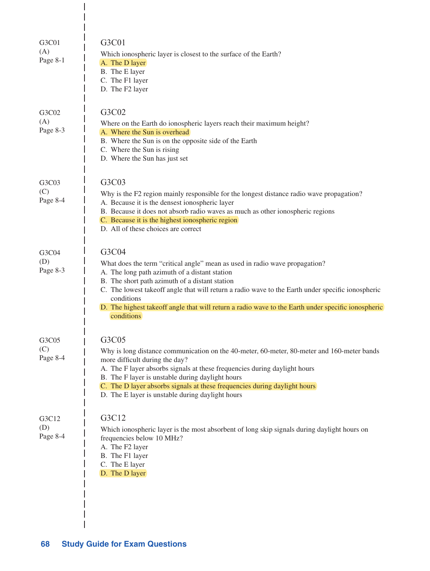| G3C01<br>(A)<br>Page 8-1 | G3C01<br>Which ionospheric layer is closest to the surface of the Earth?<br>A. The D layer<br>B. The E layer<br>C. The F1 layer<br>D. The F2 layer                                                                                                                                                                                                                                                                             |
|--------------------------|--------------------------------------------------------------------------------------------------------------------------------------------------------------------------------------------------------------------------------------------------------------------------------------------------------------------------------------------------------------------------------------------------------------------------------|
| G3C02<br>(A)<br>Page 8-3 | G3C02<br>Where on the Earth do ionospheric layers reach their maximum height?<br>A. Where the Sun is overhead<br>B. Where the Sun is on the opposite side of the Earth<br>C. Where the Sun is rising<br>D. Where the Sun has just set                                                                                                                                                                                          |
| G3C03<br>(C)<br>Page 8-4 | G3C03<br>Why is the F2 region mainly responsible for the longest distance radio wave propagation?<br>A. Because it is the densest ionospheric layer<br>B. Because it does not absorb radio waves as much as other ionospheric regions<br>C. Because it is the highest ionospheric region<br>D. All of these choices are correct                                                                                                |
| G3C04<br>(D)<br>Page 8-3 | G3C04<br>What does the term "critical angle" mean as used in radio wave propagation?<br>A. The long path azimuth of a distant station<br>B. The short path azimuth of a distant station<br>C. The lowest takeoff angle that will return a radio wave to the Earth under specific ionospheric<br>conditions<br>D. The highest takeoff angle that will return a radio wave to the Earth under specific ionospheric<br>conditions |
| G3C05<br>(C)<br>Page 8-4 | G3C05<br>Why is long distance communication on the 40-meter, 60-meter, 80-meter and 160-meter bands<br>more difficult during the day?<br>A. The F layer absorbs signals at these frequencies during daylight hours<br>B. The F layer is unstable during daylight hours<br>C. The D layer absorbs signals at these frequencies during daylight hours<br>D. The E layer is unstable during daylight hours                        |
| G3C12<br>(D)<br>Page 8-4 | G3C12<br>Which ionospheric layer is the most absorbent of long skip signals during daylight hours on<br>frequencies below 10 MHz?<br>A. The F2 layer<br>B. The F1 layer<br>C. The E layer<br>D. The D layer                                                                                                                                                                                                                    |

 $\mathbf{I}$ 

 $\begin{array}{c} \hline \end{array}$  $\begin{array}{c} \hline \end{array}$  $\overline{1}$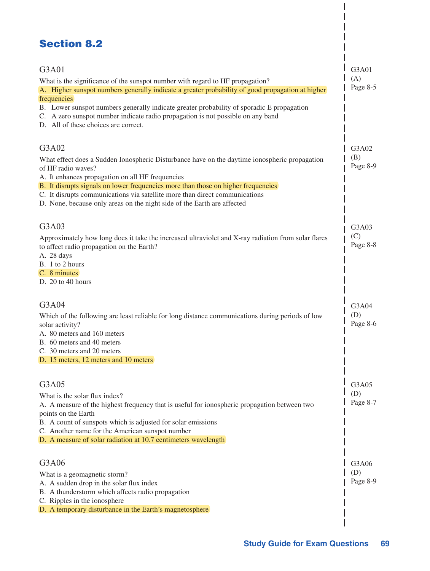## Section 8.2

| G3A01<br>What is the significance of the sunspot number with regard to HF propagation?<br>A. Higher sunspot numbers generally indicate a greater probability of good propagation at higher<br>frequencies<br>B. Lower sunspot numbers generally indicate greater probability of sporadic E propagation<br>C. A zero sunspot number indicate radio propagation is not possible on any band<br>D. All of these choices are correct. | G3A01<br>(A)<br>Page 8-5 |
|-----------------------------------------------------------------------------------------------------------------------------------------------------------------------------------------------------------------------------------------------------------------------------------------------------------------------------------------------------------------------------------------------------------------------------------|--------------------------|
| G3A02<br>What effect does a Sudden Ionospheric Disturbance have on the daytime ionospheric propagation<br>of HF radio waves?<br>A. It enhances propagation on all HF frequencies<br>B. It disrupts signals on lower frequencies more than those on higher frequencies<br>C. It disrupts communications via satellite more than direct communications<br>D. None, because only areas on the night side of the Earth are affected   | G3A02<br>(B)<br>Page 8-9 |
| G3A03<br>Approximately how long does it take the increased ultraviolet and X-ray radiation from solar flares<br>to affect radio propagation on the Earth?<br>A. 28 days<br>B. 1 to 2 hours<br>C. 8 minutes<br>D. 20 to 40 hours                                                                                                                                                                                                   | G3A03<br>(C)<br>Page 8-8 |
| G3A04<br>Which of the following are least reliable for long distance communications during periods of low<br>solar activity?<br>A. 80 meters and 160 meters<br>B. 60 meters and 40 meters<br>C. 30 meters and 20 meters<br>D. 15 meters, 12 meters and 10 meters                                                                                                                                                                  | G3A04<br>(D)<br>Page 8-6 |
| G3A05<br>What is the solar flux index?<br>A. A measure of the highest frequency that is useful for ionospheric propagation between two<br>points on the Earth<br>B. A count of sunspots which is adjusted for solar emissions<br>C. Another name for the American sunspot number<br>D. A measure of solar radiation at 10.7 centimeters wavelength                                                                                | G3A05<br>(D)<br>Page 8-7 |
| G3A06<br>What is a geomagnetic storm?<br>A. A sudden drop in the solar flux index<br>B. A thunderstorm which affects radio propagation<br>C. Ripples in the ionosphere<br>D. A temporary disturbance in the Earth's magnetosphere                                                                                                                                                                                                 | G3A06<br>(D)<br>Page 8-9 |

 $\overline{1}$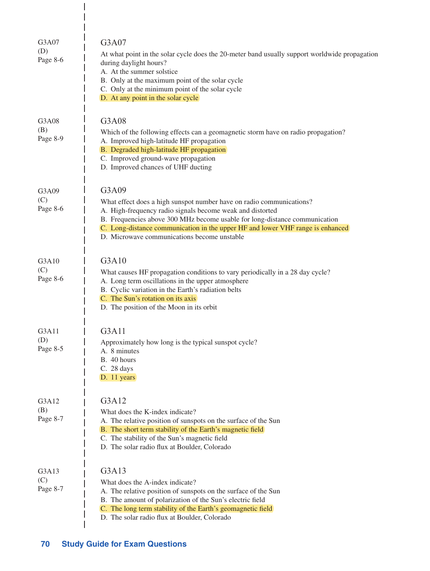| G3A07<br>(D)<br>Page 8-6 | G3A07<br>At what point in the solar cycle does the 20-meter band usually support worldwide propagation<br>during daylight hours?<br>A. At the summer solstice<br>B. Only at the maximum point of the solar cycle<br>C. Only at the minimum point of the solar cycle<br>D. At any point in the solar cycle                                                 |
|--------------------------|-----------------------------------------------------------------------------------------------------------------------------------------------------------------------------------------------------------------------------------------------------------------------------------------------------------------------------------------------------------|
| G3A08<br>(B)<br>Page 8-9 | G3A08<br>Which of the following effects can a geomagnetic storm have on radio propagation?<br>A. Improved high-latitude HF propagation<br>B. Degraded high-latitude HF propagation<br>C. Improved ground-wave propagation<br>D. Improved chances of UHF ducting                                                                                           |
| G3A09<br>(C)<br>Page 8-6 | G3A09<br>What effect does a high sunspot number have on radio communications?<br>A. High-frequency radio signals become weak and distorted<br>B. Frequencies above 300 MHz become usable for long-distance communication<br>C. Long-distance communication in the upper HF and lower VHF range is enhanced<br>D. Microwave communications become unstable |
| G3A10<br>(C)<br>Page 8-6 | G3A10<br>What causes HF propagation conditions to vary periodically in a 28 day cycle?<br>A. Long term oscillations in the upper atmosphere<br>B. Cyclic variation in the Earth's radiation belts<br>C. The Sun's rotation on its axis<br>D. The position of the Moon in its orbit                                                                        |
| G3A11<br>(D)<br>Page 8-5 | G3A11<br>Approximately how long is the typical sunspot cycle?<br>A. 8 minutes<br>B. 40 hours<br>C. 28 days<br>D. 11 years                                                                                                                                                                                                                                 |
| G3A12<br>(B)<br>Page 8-7 | G3A12<br>What does the K-index indicate?<br>A. The relative position of sunspots on the surface of the Sun<br>B. The short term stability of the Earth's magnetic field<br>C. The stability of the Sun's magnetic field<br>D. The solar radio flux at Boulder, Colorado                                                                                   |
| G3A13<br>(C)<br>Page 8-7 | G3A13<br>What does the A-index indicate?<br>A. The relative position of sunspots on the surface of the Sun<br>B. The amount of polarization of the Sun's electric field<br>C. The long term stability of the Earth's geomagnetic field<br>D. The solar radio flux at Boulder, Colorado                                                                    |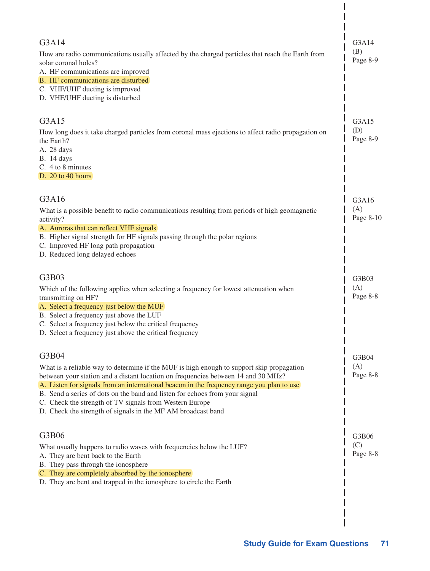| G3A14<br>How are radio communications usually affected by the charged particles that reach the Earth from<br>solar coronal holes?<br>A. HF communications are improved<br>B. HF communications are disturbed<br>C. VHF/UHF ducting is improved<br>D. VHF/UHF ducting is disturbed                                                                                                                                                                                                              | G3A14<br>(B)<br>Page 8-9  |
|------------------------------------------------------------------------------------------------------------------------------------------------------------------------------------------------------------------------------------------------------------------------------------------------------------------------------------------------------------------------------------------------------------------------------------------------------------------------------------------------|---------------------------|
| G3A15<br>How long does it take charged particles from coronal mass ejections to affect radio propagation on<br>the Earth?<br>A. 28 days<br><b>B.</b> 14 days<br>C. 4 to 8 minutes<br>D. $20$ to 40 hours                                                                                                                                                                                                                                                                                       | G3A15<br>(D)<br>Page 8-9  |
| G3A16<br>What is a possible benefit to radio communications resulting from periods of high geomagnetic<br>activity?<br>A. Auroras that can reflect VHF signals<br>B. Higher signal strength for HF signals passing through the polar regions<br>C. Improved HF long path propagation<br>D. Reduced long delayed echoes                                                                                                                                                                         | G3A16<br>(A)<br>Page 8-10 |
| G3B03<br>Which of the following applies when selecting a frequency for lowest attenuation when<br>transmitting on HF?<br>A. Select a frequency just below the MUF<br>B. Select a frequency just above the LUF<br>C. Select a frequency just below the critical frequency<br>D. Select a frequency just above the critical frequency                                                                                                                                                            | G3B03<br>(A)<br>Page 8-8  |
| G3B04<br>What is a reliable way to determine if the MUF is high enough to support skip propagation<br>between your station and a distant location on frequencies between 14 and 30 MHz?<br>A. Listen for signals from an international beacon in the frequency range you plan to use<br>B. Send a series of dots on the band and listen for echoes from your signal<br>C. Check the strength of TV signals from Western Europe<br>D. Check the strength of signals in the MF AM broadcast band | G3B04<br>(A)<br>Page 8-8  |
| G3B06<br>What usually happens to radio waves with frequencies below the LUF?<br>A. They are bent back to the Earth<br>B. They pass through the ionosphere<br>C. They are completely absorbed by the ionosphere<br>D. They are bent and trapped in the ionosphere to circle the Earth                                                                                                                                                                                                           | G3B06<br>(C)<br>Page 8-8  |
|                                                                                                                                                                                                                                                                                                                                                                                                                                                                                                |                           |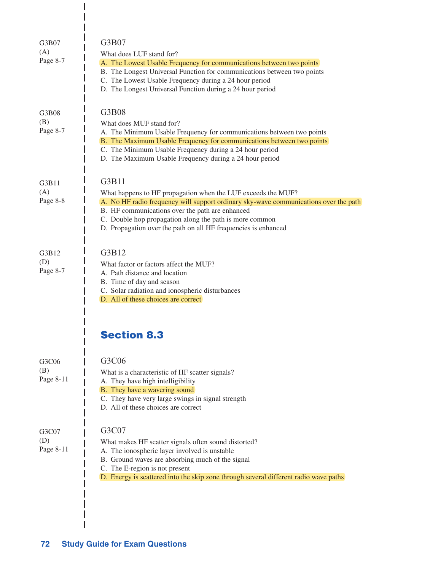| G3B07<br>(A)<br>Page 8-7  | G3B07<br>What does LUF stand for?<br>A. The Lowest Usable Frequency for communications between two points<br>B. The Longest Universal Function for communications between two points<br>C. The Lowest Usable Frequency during a 24 hour period<br>D. The Longest Universal Function during a 24 hour period                                   |
|---------------------------|-----------------------------------------------------------------------------------------------------------------------------------------------------------------------------------------------------------------------------------------------------------------------------------------------------------------------------------------------|
| G3B08<br>(B)<br>Page 8-7  | G3B08<br>What does MUF stand for?<br>A. The Minimum Usable Frequency for communications between two points<br>B. The Maximum Usable Frequency for communications between two points<br>C. The Minimum Usable Frequency during a 24 hour period<br>D. The Maximum Usable Frequency during a 24 hour period                                     |
| G3B11<br>(A)<br>Page 8-8  | G3B11<br>What happens to HF propagation when the LUF exceeds the MUF?<br>A. No HF radio frequency will support ordinary sky-wave communications over the path<br>B. HF communications over the path are enhanced<br>C. Double hop propagation along the path is more common<br>D. Propagation over the path on all HF frequencies is enhanced |
| G3B12<br>(D)<br>Page 8-7  | G3B12<br>What factor or factors affect the MUF?<br>A. Path distance and location<br>B. Time of day and season<br>C. Solar radiation and ionospheric disturbances<br>D. All of these choices are correct                                                                                                                                       |
|                           | <b>Section 8.3</b>                                                                                                                                                                                                                                                                                                                            |
| G3C06<br>(B)<br>Page 8-11 | G3C06<br>What is a characteristic of HF scatter signals?<br>A. They have high intelligibility<br>B. They have a wavering sound<br>C. They have very large swings in signal strength<br>D. All of these choices are correct                                                                                                                    |
| G3C07<br>(D)<br>Page 8-11 | G3C07<br>What makes HF scatter signals often sound distorted?<br>A. The ionospheric layer involved is unstable<br>B. Ground waves are absorbing much of the signal<br>C. The E-region is not present<br>D. Energy is scattered into the skip zone through several different radio wave paths                                                  |

 $\overline{\phantom{a}}$  $\overline{\phantom{a}}$ 

 $\overline{\phantom{a}}$  $\overline{\phantom{a}}$  $\overline{1}$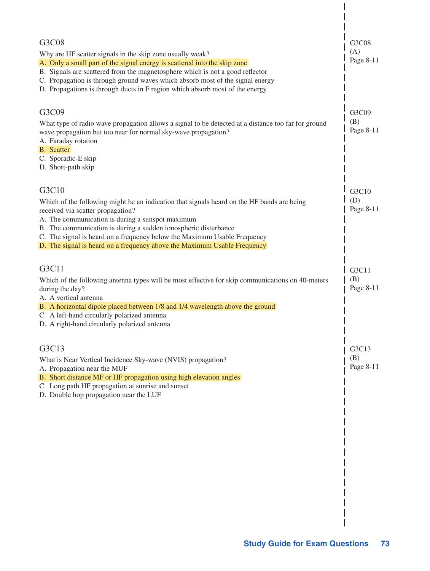| G3C08<br>Why are HF scatter signals in the skip zone usually weak?<br>A. Only a small part of the signal energy is scattered into the skip zone<br>B. Signals are scattered from the magnetosphere which is not a good reflector<br>C. Propagation is through ground waves which absorb most of the signal energy<br>D. Propagations is through ducts in F region which absorb most of the energy                       | G3C08<br>(A)<br>Page 8-11 |
|-------------------------------------------------------------------------------------------------------------------------------------------------------------------------------------------------------------------------------------------------------------------------------------------------------------------------------------------------------------------------------------------------------------------------|---------------------------|
| G3C09<br>What type of radio wave propagation allows a signal to be detected at a distance too far for ground<br>wave propagation but too near for normal sky-wave propagation?<br>A. Faraday rotation<br><b>B.</b> Scatter<br>C. Sporadic-E skip<br>D. Short-path skip                                                                                                                                                  | G3C09<br>(B)<br>Page 8-11 |
| G3C10<br>Which of the following might be an indication that signals heard on the HF bands are being<br>received via scatter propagation?<br>A. The communication is during a sunspot maximum<br>B. The communication is during a sudden ionospheric disturbance<br>C. The signal is heard on a frequency below the Maximum Usable Frequency<br>D. The signal is heard on a frequency above the Maximum Usable Frequency | G3C10<br>(D)<br>Page 8-11 |
| G3C11<br>Which of the following antenna types will be most effective for skip communications on 40-meters<br>during the day?<br>A. A vertical antenna<br>B. A horizontal dipole placed between 1/8 and 1/4 wavelength above the ground<br>C. A left-hand circularly polarized antenna<br>D. A right-hand circularly polarized antenna                                                                                   | G3C11<br>(B)<br>Page 8-11 |
| G3C13<br>What is Near Vertical Incidence Sky-wave (NVIS) propagation?<br>A. Propagation near the MUF<br>B. Short distance MF or HF propagation using high elevation angles<br>C. Long path HF propagation at sunrise and sunset<br>D. Double hop propagation near the LUF                                                                                                                                               | G3C13<br>(B)<br>Page 8-11 |

 $\begin{array}{c} \end{array}$  $\overline{\phantom{a}}$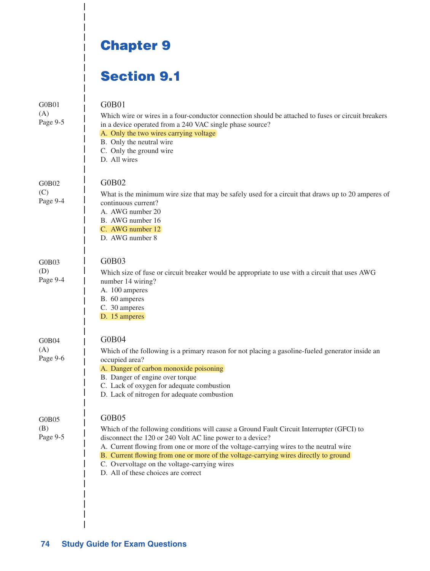## Chapter 9

 $\overline{\phantom{a}}$  $\overline{\phantom{a}}$ 

## Section 9.1

| G0B01<br>(A)<br>Page 9-5 | G0B01<br>Which wire or wires in a four-conductor connection should be attached to fuses or circuit breakers<br>in a device operated from a 240 VAC single phase source?<br>A. Only the two wires carrying voltage<br>B. Only the neutral wire<br>C. Only the ground wire<br>D. All wires                                                                                                                                                |
|--------------------------|-----------------------------------------------------------------------------------------------------------------------------------------------------------------------------------------------------------------------------------------------------------------------------------------------------------------------------------------------------------------------------------------------------------------------------------------|
| G0B02<br>(C)<br>Page 9-4 | G0B02<br>What is the minimum wire size that may be safely used for a circuit that draws up to 20 amperes of<br>continuous current?<br>A. AWG number 20<br>B. AWG number 16<br>C. AWG number 12<br>D. AWG number 8                                                                                                                                                                                                                       |
| G0B03<br>(D)<br>Page 9-4 | G0B03<br>Which size of fuse or circuit breaker would be appropriate to use with a circuit that uses AWG<br>number 14 wiring?<br>A. 100 amperes<br>B. 60 amperes<br>C. 30 amperes<br>D. 15 amperes                                                                                                                                                                                                                                       |
| G0B04<br>(A)<br>Page 9-6 | G0B04<br>Which of the following is a primary reason for not placing a gasoline-fueled generator inside an<br>occupied area?<br>A. Danger of carbon monoxide poisoning<br>B. Danger of engine over torque<br>C. Lack of oxygen for adequate combustion<br>D. Lack of nitrogen for adequate combustion                                                                                                                                    |
| G0B05<br>(B)<br>Page 9-5 | G0B05<br>Which of the following conditions will cause a Ground Fault Circuit Interrupter (GFCI) to<br>disconnect the 120 or 240 Volt AC line power to a device?<br>A. Current flowing from one or more of the voltage-carrying wires to the neutral wire<br>B. Current flowing from one or more of the voltage-carrying wires directly to ground<br>C. Overvoltage on the voltage-carrying wires<br>D. All of these choices are correct |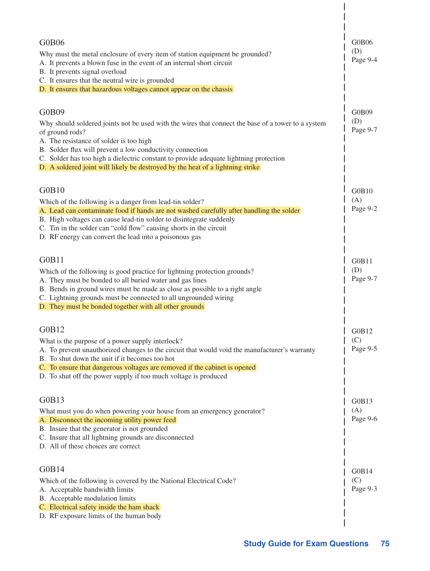| <b>G0B06</b><br>Why must the metal enclosure of every item of station equipment be grounded?<br>A. It prevents a blown fuse in the event of an internal short circuit<br>B. It prevents signal overload<br>C. It ensures that the neutral wire is grounded<br>D. It ensures that hazardous voltages cannot appear on the chassis                                                                                  | G0B06<br>(D)<br>Page 9-4 |
|-------------------------------------------------------------------------------------------------------------------------------------------------------------------------------------------------------------------------------------------------------------------------------------------------------------------------------------------------------------------------------------------------------------------|--------------------------|
| G0B09<br>Why should soldered joints not be used with the wires that connect the base of a tower to a system<br>of ground rods?<br>A. The resistance of solder is too high<br>B. Solder flux will prevent a low conductivity connection<br>C. Solder has too high a dielectric constant to provide adequate lightning protection<br>D. A soldered joint will likely be destroyed by the heat of a lightning strike | G0B09<br>(D)<br>Page 9-7 |
| GOB10<br>Which of the following is a danger from lead-tin solder?<br>A. Lead can contaminate food if hands are not washed carefully after handling the solder<br>B. High voltages can cause lead-tin solder to disintegrate suddenly<br>C. Tin in the solder can "cold flow" causing shorts in the circuit<br>D. RF energy can convert the lead into a poisonous gas                                              | GOB10<br>(A)<br>Page 9-2 |
| G0B11<br>Which of the following is good practice for lightning protection grounds?<br>A. They must be bonded to all buried water and gas lines<br>B. Bends in ground wires must be made as close as possible to a right angle<br>C. Lightning grounds must be connected to all ungrounded wiring<br>D. They must be bonded together with all other grounds                                                        | GOB11<br>(D)<br>Page 9-7 |
| GOB12<br>What is the purpose of a power supply interlock?<br>A. To prevent unauthorized changes to the circuit that would void the manufacturer's warranty<br>B. To shut down the unit if it becomes too hot<br>C. To ensure that dangerous voltages are removed if the cabinet is opened<br>D. To shut off the power supply if too much voltage is produced                                                      | G0B12<br>(C)<br>Page 9-5 |
| G0B13<br>What must you do when powering your house from an emergency generator?<br>A. Disconnect the incoming utility power feed<br>B. Insure that the generator is not grounded<br>C. Insure that all lightning grounds are disconnected<br>D. All of these choices are correct                                                                                                                                  | G0B13<br>(A)<br>Page 9-6 |
| GOB14<br>Which of the following is covered by the National Electrical Code?<br>A. Acceptable bandwidth limits<br>B. Acceptable modulation limits<br>C. Electrical safety inside the ham shack<br>D. RF exposure limits of the human body                                                                                                                                                                          | GOB14<br>(C)<br>Page 9-3 |

 $\overline{\phantom{a}}$  $\overline{\phantom{a}}$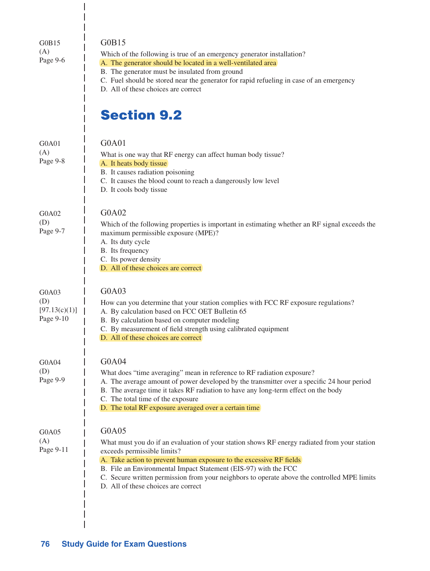| GOB15<br>(A)<br>Page 9-6                   | GOB15<br>Which of the following is true of an emergency generator installation?<br>A. The generator should be located in a well-ventilated area<br>B. The generator must be insulated from ground<br>C. Fuel should be stored near the generator for rapid refueling in case of an emergency<br>D. All of these choices are correct                                                                                  |
|--------------------------------------------|----------------------------------------------------------------------------------------------------------------------------------------------------------------------------------------------------------------------------------------------------------------------------------------------------------------------------------------------------------------------------------------------------------------------|
|                                            | <b>Section 9.2</b>                                                                                                                                                                                                                                                                                                                                                                                                   |
| G0A01<br>(A)<br>Page 9-8                   | G0A01<br>What is one way that RF energy can affect human body tissue?<br>A. It heats body tissue<br>B. It causes radiation poisoning<br>C. It causes the blood count to reach a dangerously low level<br>D. It cools body tissue                                                                                                                                                                                     |
| G0A02<br>(D)<br>Page 9-7                   | G0A02<br>Which of the following properties is important in estimating whether an RF signal exceeds the<br>maximum permissible exposure (MPE)?<br>A. Its duty cycle<br>B. Its frequency<br>C. Its power density<br>D. All of these choices are correct                                                                                                                                                                |
| G0A03<br>(D)<br>[97.13(c)(1)]<br>Page 9-10 | G0A03<br>How can you determine that your station complies with FCC RF exposure regulations?<br>A. By calculation based on FCC OET Bulletin 65<br>B. By calculation based on computer modeling<br>C. By measurement of field strength using calibrated equipment<br>D. All of these choices are correct                                                                                                               |
| G0A04<br>(D)<br>Page 9-9                   | G0A04<br>What does "time averaging" mean in reference to RF radiation exposure?<br>A. The average amount of power developed by the transmitter over a specific 24 hour period<br>B. The average time it takes RF radiation to have any long-term effect on the body<br>C. The total time of the exposure<br>D. The total RF exposure averaged over a certain time                                                    |
| G0A05<br>(A)<br>Page 9-11                  | G0A05<br>What must you do if an evaluation of your station shows RF energy radiated from your station<br>exceeds permissible limits?<br>A. Take action to prevent human exposure to the excessive RF fields<br>B. File an Environmental Impact Statement (EIS-97) with the FCC<br>C. Secure written permission from your neighbors to operate above the controlled MPE limits<br>D. All of these choices are correct |

 $\frac{1}{1}$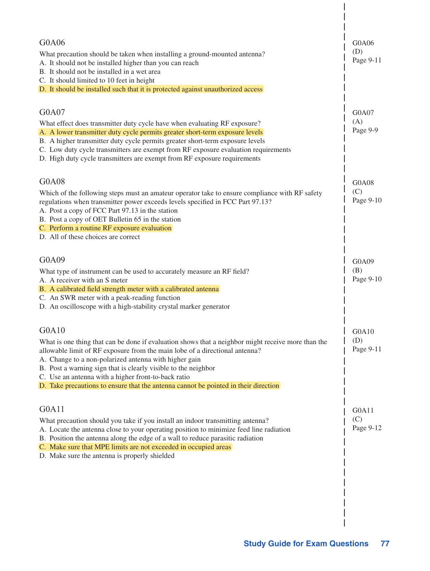| G0A06                                                                                                                                                               |                           |
|---------------------------------------------------------------------------------------------------------------------------------------------------------------------|---------------------------|
| What precaution should be taken when installing a ground-mounted antenna?                                                                                           | G0A06<br>(D)<br>Page 9-11 |
| A. It should not be installed higher than you can reach<br>B. It should not be installed in a wet area                                                              |                           |
| C. It should limited to 10 feet in height                                                                                                                           |                           |
| D. It should be installed such that it is protected against unauthorized access                                                                                     |                           |
| G0A07                                                                                                                                                               | G0A07                     |
| What effect does transmitter duty cycle have when evaluating RF exposure?                                                                                           | (A)                       |
| A. A lower transmitter duty cycle permits greater short-term exposure levels                                                                                        | Page 9-9                  |
| B. A higher transmitter duty cycle permits greater short-term exposure levels<br>C. Low duty cycle transmitters are exempt from RF exposure evaluation requirements |                           |
| D. High duty cycle transmitters are exempt from RF exposure requirements                                                                                            |                           |
| G0A08                                                                                                                                                               | G0A08                     |
| Which of the following steps must an amateur operator take to ensure compliance with RF safety                                                                      | (C)                       |
| regulations when transmitter power exceeds levels specified in FCC Part 97.13?                                                                                      | Page 9-10                 |
| A. Post a copy of FCC Part 97.13 in the station                                                                                                                     |                           |
| B. Post a copy of OET Bulletin 65 in the station<br>C. Perform a routine RF exposure evaluation                                                                     |                           |
| D. All of these choices are correct                                                                                                                                 |                           |
|                                                                                                                                                                     |                           |
| G0A09                                                                                                                                                               | G0A09                     |
| What type of instrument can be used to accurately measure an RF field?<br>A. A receiver with an S meter                                                             | (B)<br>Page 9-10          |
| B. A calibrated field strength meter with a calibrated antenna                                                                                                      |                           |
| C. An SWR meter with a peak-reading function                                                                                                                        |                           |
| D. An oscilloscope with a high-stability crystal marker generator                                                                                                   |                           |
| G0A10                                                                                                                                                               | G0A10                     |
| What is one thing that can be done if evaluation shows that a neighbor might receive more than the                                                                  | (D)                       |
| allowable limit of RF exposure from the main lobe of a directional antenna?                                                                                         | Page 9-11                 |
| A. Change to a non-polarized antenna with higher gain<br>B. Post a warning sign that is clearly visible to the neighbor                                             |                           |
| C. Use an antenna with a higher front-to-back ratio                                                                                                                 |                           |
| D. Take precautions to ensure that the antenna cannot be pointed in their direction                                                                                 |                           |
| G0A11                                                                                                                                                               | G0A11                     |
| What precaution should you take if you install an indoor transmitting antenna?                                                                                      | (C)                       |
| A. Locate the antenna close to your operating position to minimize feed line radiation                                                                              | Page 9-12                 |
| B. Position the antenna along the edge of a wall to reduce parasitic radiation                                                                                      |                           |
| C. Make sure that MPE limits are not exceeded in occupied areas                                                                                                     |                           |
| D. Make sure the antenna is properly shielded                                                                                                                       |                           |
|                                                                                                                                                                     |                           |
|                                                                                                                                                                     |                           |
|                                                                                                                                                                     |                           |
|                                                                                                                                                                     |                           |

 $\begin{array}{c} \end{array}$  $\overline{\phantom{a}}$  $\blacksquare$